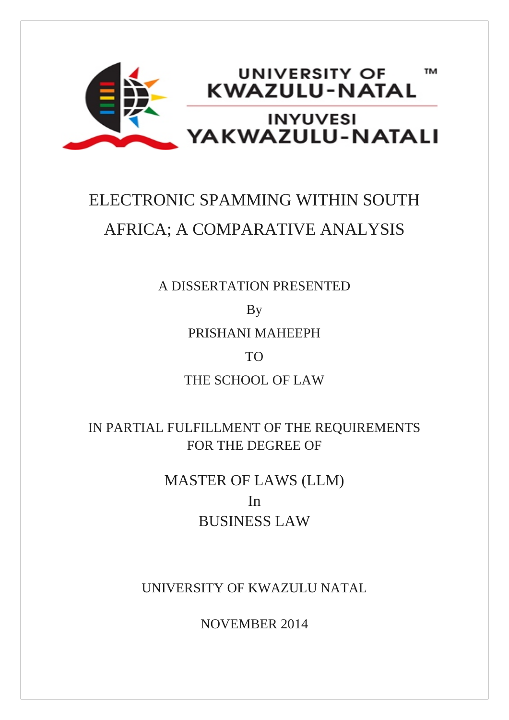

# ELECTRONIC SPAMMING WITHIN SOUTH AFRICA; A COMPARATIVE ANALYSIS

A DISSERTATION PRESENTED

By

PRISHANI MAHEEPH

# TO

THE SCHOOL OF LAW

IN PARTIAL FULFILLMENT OF THE REQUIREMENTS FOR THE DEGREE OF

> MASTER OF LAWS (LLM) In BUSINESS LAW

UNIVERSITY OF KWAZULU NATAL

NOVEMBER 2014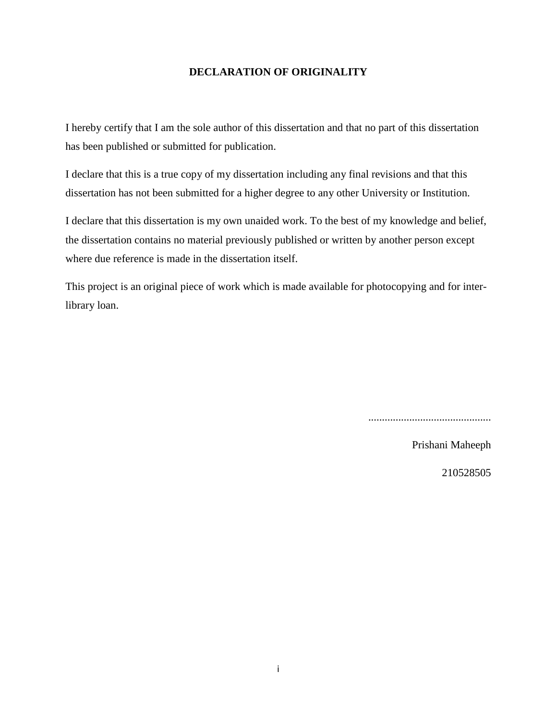#### **DECLARATION OF ORIGINALITY**

I hereby certify that I am the sole author of this dissertation and that no part of this dissertation has been published or submitted for publication.

I declare that this is a true copy of my dissertation including any final revisions and that this dissertation has not been submitted for a higher degree to any other University or Institution.

I declare that this dissertation is my own unaided work. To the best of my knowledge and belief, the dissertation contains no material previously published or written by another person except where due reference is made in the dissertation itself.

This project is an original piece of work which is made available for photocopying and for interlibrary loan.

.............................................

Prishani Maheeph

210528505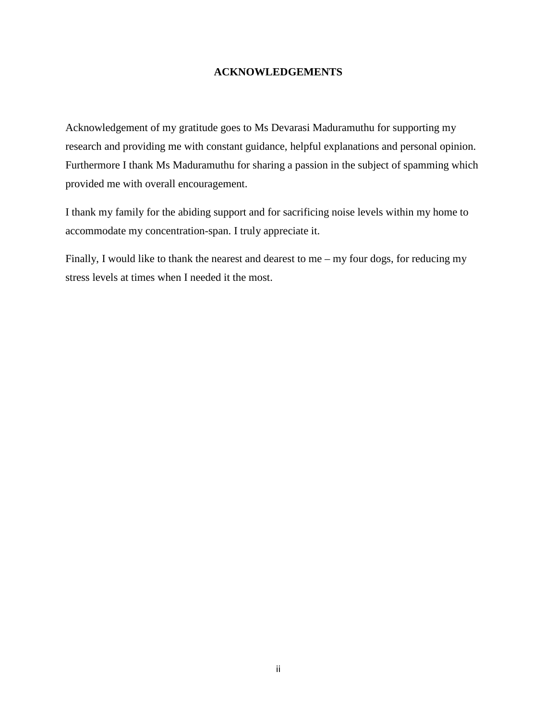#### **ACKNOWLEDGEMENTS**

Acknowledgement of my gratitude goes to Ms Devarasi Maduramuthu for supporting my research and providing me with constant guidance, helpful explanations and personal opinion. Furthermore I thank Ms Maduramuthu for sharing a passion in the subject of spamming which provided me with overall encouragement.

I thank my family for the abiding support and for sacrificing noise levels within my home to accommodate my concentration-span. I truly appreciate it.

Finally, I would like to thank the nearest and dearest to me – my four dogs, for reducing my stress levels at times when I needed it the most.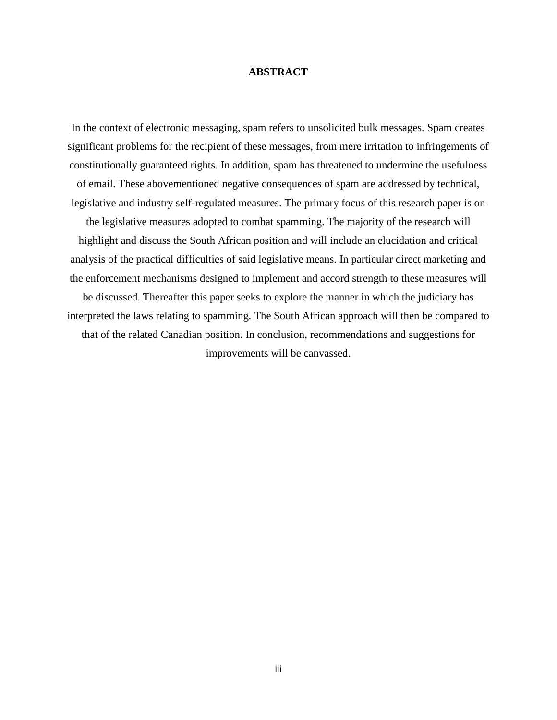#### **ABSTRACT**

In the context of electronic messaging, spam refers to unsolicited bulk messages. Spam creates significant problems for the recipient of these messages, from mere irritation to infringements of constitutionally guaranteed rights. In addition, spam has threatened to undermine the usefulness of email. These abovementioned negative consequences of spam are addressed by technical, legislative and industry self-regulated measures. The primary focus of this research paper is on the legislative measures adopted to combat spamming. The majority of the research will highlight and discuss the South African position and will include an elucidation and critical analysis of the practical difficulties of said legislative means. In particular direct marketing and the enforcement mechanisms designed to implement and accord strength to these measures will be discussed. Thereafter this paper seeks to explore the manner in which the judiciary has interpreted the laws relating to spamming. The South African approach will then be compared to that of the related Canadian position. In conclusion, recommendations and suggestions for improvements will be canvassed.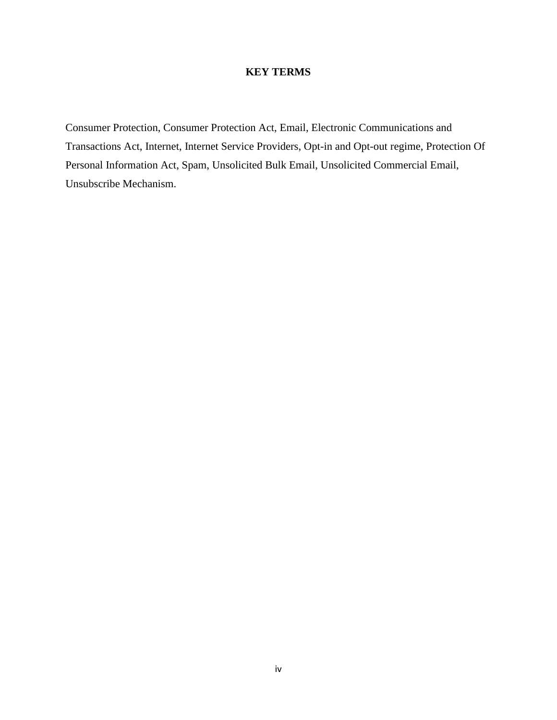# **KEY TERMS**

Consumer Protection, Consumer Protection Act, Email, Electronic Communications and Transactions Act, Internet, Internet Service Providers, Opt-in and Opt-out regime, Protection Of Personal Information Act, Spam, Unsolicited Bulk Email, Unsolicited Commercial Email, Unsubscribe Mechanism.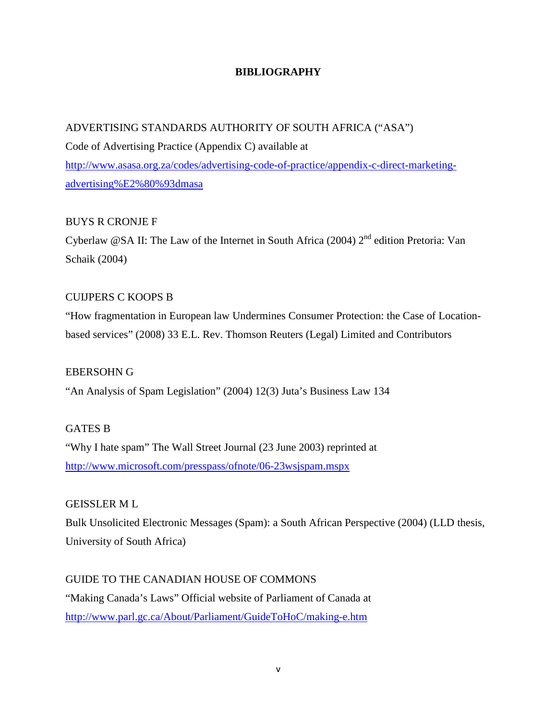# **BIBLIOGRAPHY**

# ADVERTISING STANDARDS AUTHORITY OF SOUTH AFRICA ("ASA")

Code of Advertising Practice (Appendix C) available at [http://www.asasa.org.za/codes/advertising-code-of-practice/appendix-c-direct-marketing](http://www.asasa.org.za/codes/advertising-code-of-practice/appendix-c-direct-marketing-advertising%E2%80%93dmasa)[advertising%E2%80%93dmasa](http://www.asasa.org.za/codes/advertising-code-of-practice/appendix-c-direct-marketing-advertising%E2%80%93dmasa)

# BUYS R CRONJE F

Cyberlaw @SA II: The Law of the Internet in South Africa (2004)  $2<sup>nd</sup>$  edition Pretoria: Van Schaik (2004)

# CUIJPERS C KOOPS B

"How fragmentation in European law Undermines Consumer Protection: the Case of Locationbased services" (2008) 33 E.L. Rev. Thomson Reuters (Legal) Limited and Contributors

# EBERSOHN G

"An Analysis of Spam Legislation" (2004) 12(3) Juta's Business Law 134

# GATES B

"Why I hate spam" The Wall Street Journal (23 June 2003) reprinted at <http://www.microsoft.com/presspass/ofnote/06-23wsjspam.mspx>

# GEISSLER M L

Bulk Unsolicited Electronic Messages (Spam): a South African Perspective (2004) (LLD thesis, University of South Africa)

# GUIDE TO THE CANADIAN HOUSE OF COMMONS

"Making Canada's Laws" Official website of Parliament of Canada at <http://www.parl.gc.ca/About/Parliament/GuideToHoC/making-e.htm>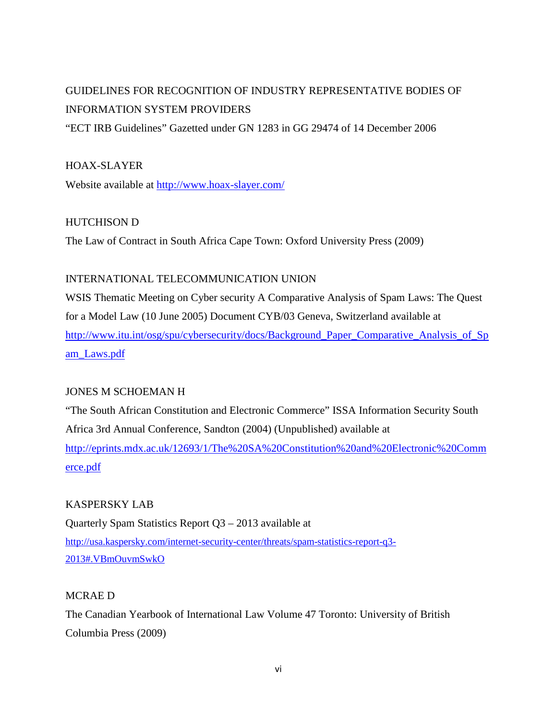# GUIDELINES FOR RECOGNITION OF INDUSTRY REPRESENTATIVE BODIES OF INFORMATION SYSTEM PROVIDERS

"ECT IRB Guidelines" Gazetted under GN 1283 in GG 29474 of 14 December 2006

# HOAX-SLAYER

Website available at<http://www.hoax-slayer.com/>

# HUTCHISON D

The Law of Contract in South Africa Cape Town: Oxford University Press (2009)

# INTERNATIONAL TELECOMMUNICATION UNION

WSIS Thematic Meeting on Cyber security A Comparative Analysis of Spam Laws: The Quest for a Model Law (10 June 2005) Document CYB/03 Geneva, Switzerland available at http://www.itu.int/osg/spu/cybersecurity/docs/Background Paper Comparative Analysis of Sp [am\\_Laws.pdf](http://www.itu.int/osg/spu/cybersecurity/docs/Background_Paper_Comparative_Analysis_of_Spam_Laws.pdf)

# JONES M SCHOEMAN H

"The South African Constitution and Electronic Commerce" ISSA Information Security South Africa 3rd Annual Conference, Sandton (2004) (Unpublished) available at [http://eprints.mdx.ac.uk/12693/1/The%20SA%20Constitution%20and%20Electronic%20Comm](http://eprints.mdx.ac.uk/12693/1/The%20SA%20Constitution%20and%20Electronic%20Commerce.pdf) [erce.pdf](http://eprints.mdx.ac.uk/12693/1/The%20SA%20Constitution%20and%20Electronic%20Commerce.pdf)

# KASPERSKY LAB

Quarterly Spam Statistics Report Q3 – 2013 available at [http://usa.kaspersky.com/internet-security-center/threats/spam-statistics-report-q3-](http://usa.kaspersky.com/internet-security-center/threats/spam-statistics-report-q3-2013%23.VBmOuvmSwkO) [2013#.VBmOuvmSwkO](http://usa.kaspersky.com/internet-security-center/threats/spam-statistics-report-q3-2013%23.VBmOuvmSwkO)

# MCRAE D

The Canadian Yearbook of International Law Volume 47 Toronto: University of British Columbia Press (2009)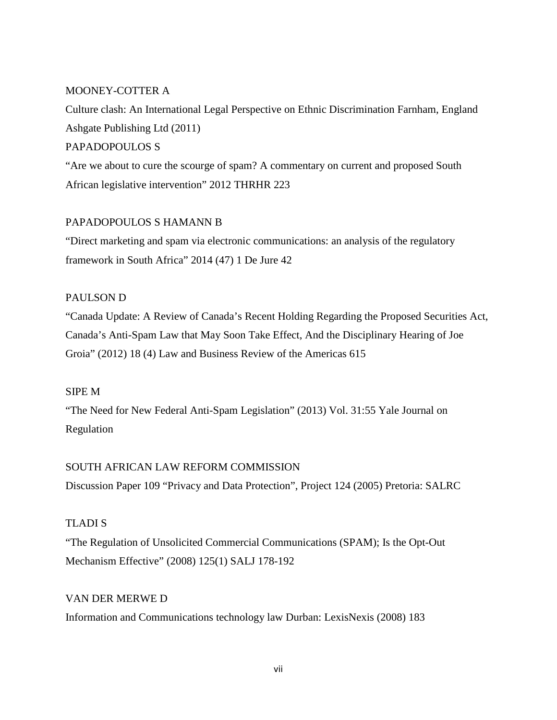# MOONEY-COTTER A

Culture clash: An International Legal Perspective on Ethnic Discrimination Farnham, England Ashgate Publishing Ltd (2011)

# PAPADOPOULOS S

"Are we about to cure the scourge of spam? A commentary on current and proposed South African legislative intervention" 2012 THRHR 223

# PAPADOPOULOS S HAMANN B

"Direct marketing and spam via electronic communications: an analysis of the regulatory framework in South Africa" 2014 (47) 1 De Jure 42

#### PAULSON D

"Canada Update: A Review of Canada's Recent Holding Regarding the Proposed Securities Act, Canada's Anti-Spam Law that May Soon Take Effect, And the Disciplinary Hearing of Joe Groia" (2012) 18 (4) Law and Business Review of the Americas 615

#### SIPE M

"The Need for New Federal Anti-Spam Legislation" (2013) Vol. 31:55 Yale Journal on Regulation

# SOUTH AFRICAN LAW REFORM COMMISSION

Discussion Paper 109 "Privacy and Data Protection", Project 124 (2005) Pretoria: SALRC

# TLADI S

"The Regulation of Unsolicited Commercial Communications (SPAM); Is the Opt-Out Mechanism Effective" (2008) 125(1) SALJ 178-192

# VAN DER MERWE D

Information and Communications technology law Durban: LexisNexis (2008) 183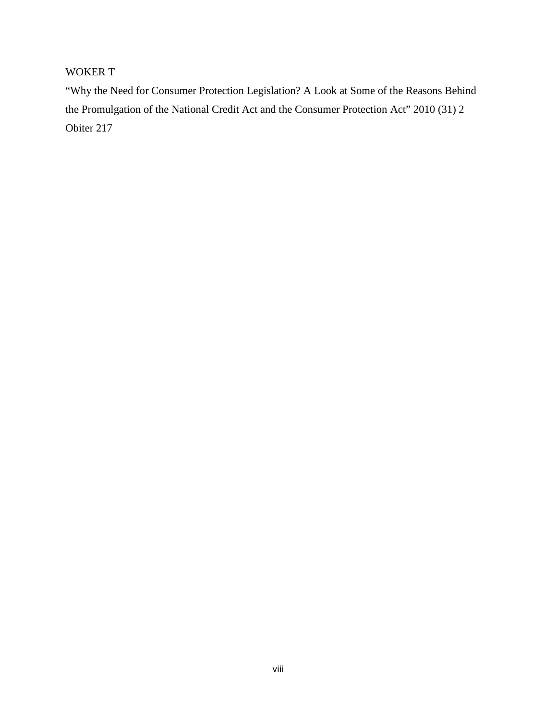# WOKER T

"Why the Need for Consumer Protection Legislation? A Look at Some of the Reasons Behind the Promulgation of the National Credit Act and the Consumer Protection Act" 2010 (31) 2 Obiter 217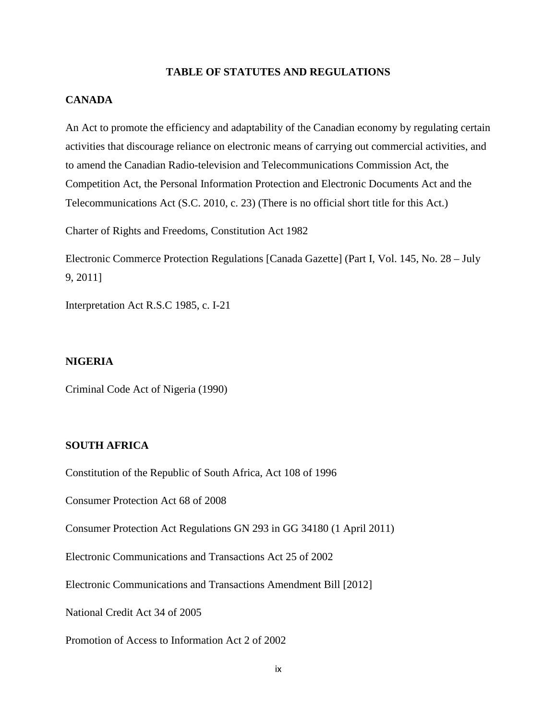#### **TABLE OF STATUTES AND REGULATIONS**

#### **CANADA**

An Act to promote the efficiency and adaptability of the Canadian economy by regulating certain activities that discourage reliance on electronic means of carrying out commercial activities, and to amend the Canadian Radio-television and Telecommunications Commission Act, the Competition Act, the Personal Information Protection and Electronic Documents Act and the Telecommunications Act (S.C. 2010, c. 23) (There is no official short title for this Act.)

Charter of Rights and Freedoms, Constitution Act 1982

Electronic Commerce Protection Regulations [Canada Gazette] (Part I, Vol. 145, No. 28 – July 9, 2011]

Interpretation Act R.S.C 1985, c. I-21

#### **NIGERIA**

Criminal Code Act of Nigeria (1990)

#### **SOUTH AFRICA**

Constitution of the Republic of South Africa, Act 108 of 1996

Consumer Protection Act 68 of 2008

Consumer Protection Act Regulations GN 293 in GG 34180 (1 April 2011)

Electronic Communications and Transactions Act 25 of 2002

Electronic Communications and Transactions Amendment Bill [2012]

National Credit Act 34 of 2005

Promotion of Access to Information Act 2 of 2002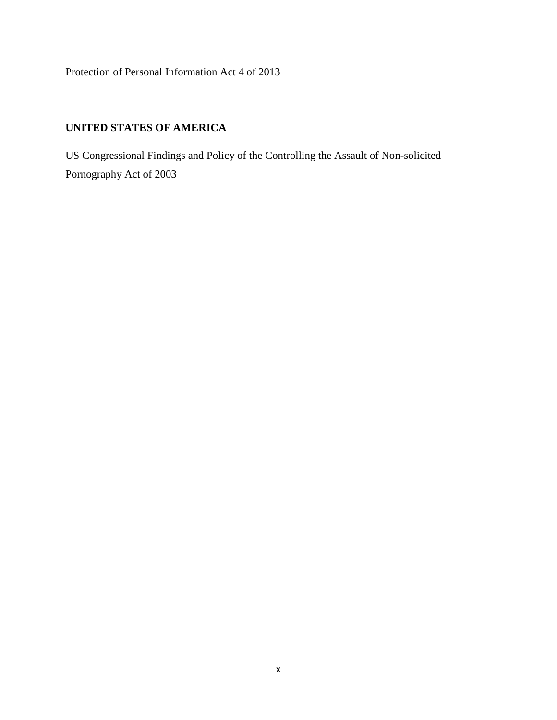Protection of Personal Information Act 4 of 2013

# **UNITED STATES OF AMERICA**

US Congressional Findings and Policy of the Controlling the Assault of Non-solicited Pornography Act of 2003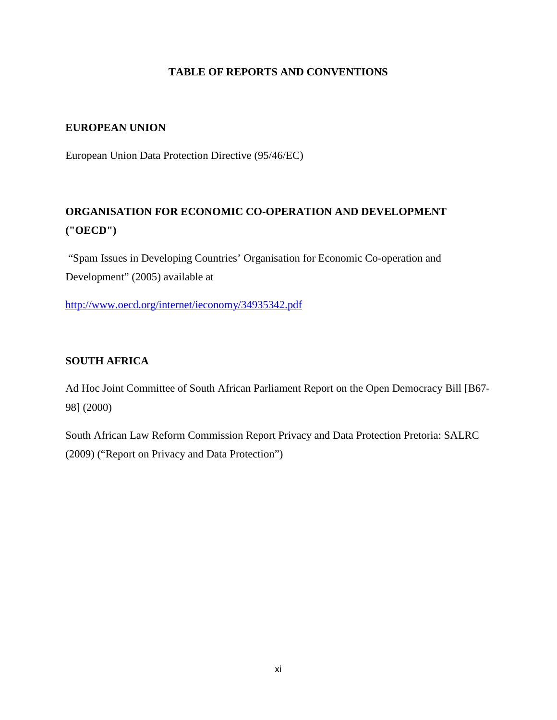# **TABLE OF REPORTS AND CONVENTIONS**

#### **EUROPEAN UNION**

European Union Data Protection Directive (95/46/EC)

# **ORGANISATION FOR ECONOMIC CO-OPERATION AND DEVELOPMENT ("OECD")**

"Spam Issues in Developing Countries' Organisation for Economic Co-operation and Development" (2005) available at

<http://www.oecd.org/internet/ieconomy/34935342.pdf>

# **SOUTH AFRICA**

Ad Hoc Joint Committee of South African Parliament Report on the Open Democracy Bill [B67- 98] (2000)

South African Law Reform Commission Report Privacy and Data Protection Pretoria: SALRC (2009) ("Report on Privacy and Data Protection")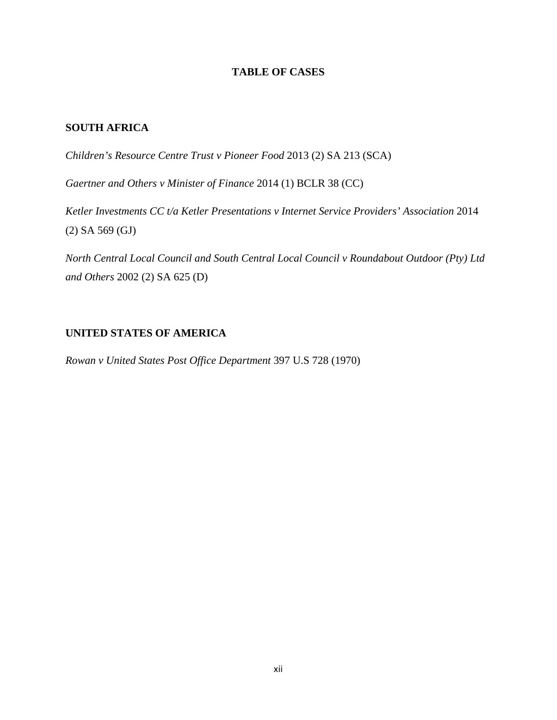# **TABLE OF CASES**

#### **SOUTH AFRICA**

*Children's Resource Centre Trust v Pioneer Food* 2013 (2) SA 213 (SCA)

*Gaertner and Others v Minister of Finance* 2014 (1) BCLR 38 (CC)

*Ketler Investments CC t/a Ketler Presentations v Internet Service Providers' Association* 2014 (2) SA 569 (GJ)

*North Central Local Council and South Central Local Council v Roundabout Outdoor (Pty) Ltd and Others* 2002 (2) SA 625 (D)

#### **UNITED STATES OF AMERICA**

*Rowan v United States Post Office Department* 397 U.S 728 (1970)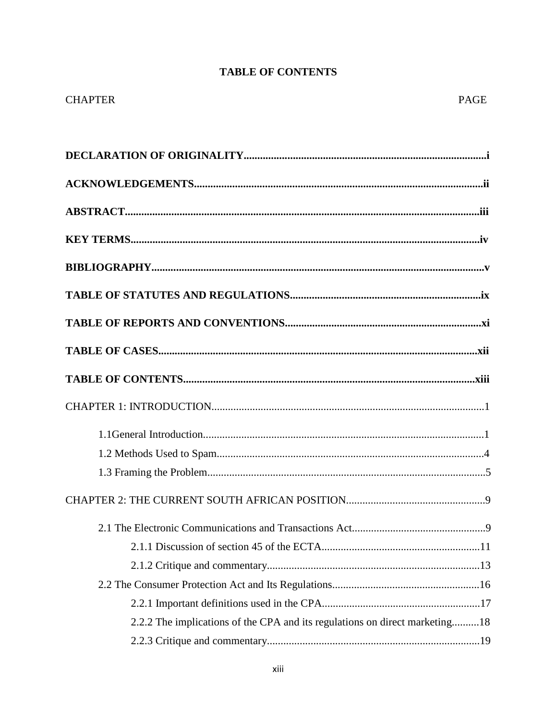# **TABLE OF CONTENTS**

| <b>CHAPTER</b>                                                              | <b>PAGE</b> |
|-----------------------------------------------------------------------------|-------------|
|                                                                             |             |
|                                                                             |             |
|                                                                             |             |
|                                                                             |             |
|                                                                             |             |
|                                                                             |             |
|                                                                             |             |
|                                                                             |             |
|                                                                             |             |
|                                                                             |             |
|                                                                             |             |
|                                                                             |             |
|                                                                             |             |
|                                                                             |             |
|                                                                             | .9          |
|                                                                             |             |
|                                                                             |             |
|                                                                             |             |
|                                                                             |             |
|                                                                             |             |
| 2.2.2 The implications of the CPA and its regulations on direct marketing18 |             |
|                                                                             |             |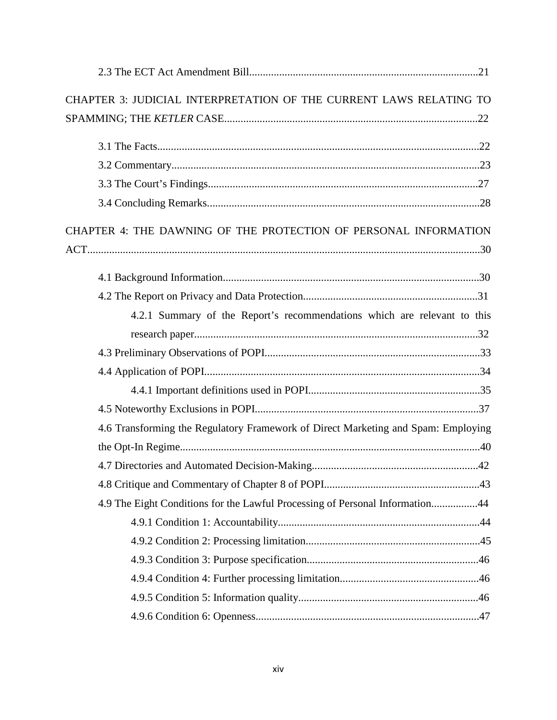| CHAPTER 3: JUDICIAL INTERPRETATION OF THE CURRENT LAWS RELATING TO                |  |
|-----------------------------------------------------------------------------------|--|
|                                                                                   |  |
|                                                                                   |  |
|                                                                                   |  |
|                                                                                   |  |
|                                                                                   |  |
| CHAPTER 4: THE DAWNING OF THE PROTECTION OF PERSONAL INFORMATION                  |  |
|                                                                                   |  |
|                                                                                   |  |
|                                                                                   |  |
|                                                                                   |  |
| 4.2.1 Summary of the Report's recommendations which are relevant to this          |  |
|                                                                                   |  |
|                                                                                   |  |
|                                                                                   |  |
|                                                                                   |  |
|                                                                                   |  |
| 4.6 Transforming the Regulatory Framework of Direct Marketing and Spam: Employing |  |
|                                                                                   |  |
|                                                                                   |  |
|                                                                                   |  |
| 4.9 The Eight Conditions for the Lawful Processing of Personal Information44      |  |
|                                                                                   |  |
|                                                                                   |  |
|                                                                                   |  |
|                                                                                   |  |
|                                                                                   |  |
|                                                                                   |  |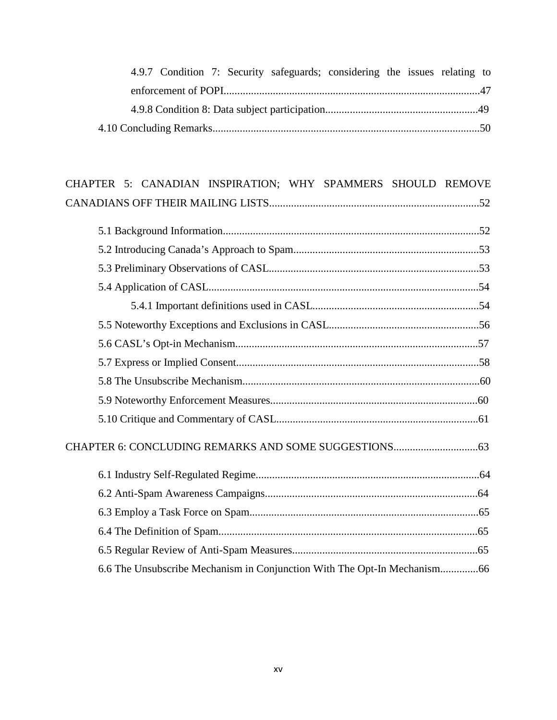|  |  | 4.9.7 Condition 7: Security safeguards; considering the issues relating to |  |  |  |
|--|--|----------------------------------------------------------------------------|--|--|--|
|  |  |                                                                            |  |  |  |
|  |  |                                                                            |  |  |  |
|  |  |                                                                            |  |  |  |

| CHAPTER 5: CANADIAN INSPIRATION; WHY SPAMMERS SHOULD REMOVE              |
|--------------------------------------------------------------------------|
|                                                                          |
|                                                                          |
|                                                                          |
|                                                                          |
|                                                                          |
|                                                                          |
|                                                                          |
|                                                                          |
|                                                                          |
|                                                                          |
|                                                                          |
|                                                                          |
|                                                                          |
|                                                                          |
|                                                                          |
|                                                                          |
|                                                                          |
|                                                                          |
|                                                                          |
| 6.6 The Unsubscribe Mechanism in Conjunction With The Opt-In Mechanism66 |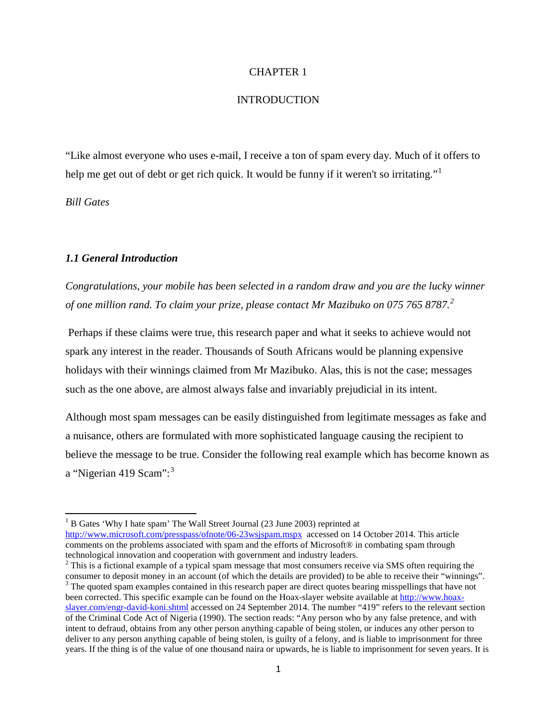#### CHAPTER 1

#### **INTRODUCTION**

"Like almost everyone who uses e-mail, I receive a ton of spam every day. Much of it offers to help me get out of debt or get rich quick. It would be funny if it weren't so irritating."<sup>[1](#page-16-0)</sup>

*Bill Gates* 

#### *1.1 General Introduction*

*Congratulations, your mobile has been selected in a random draw and you are the lucky winner of one million rand. To claim your prize, please contact Mr Mazibuko on 075 765 8787.[2](#page-16-1)*

Perhaps if these claims were true, this research paper and what it seeks to achieve would not spark any interest in the reader. Thousands of South Africans would be planning expensive holidays with their winnings claimed from Mr Mazibuko. Alas, this is not the case; messages such as the one above, are almost always false and invariably prejudicial in its intent.

Although most spam messages can be easily distinguished from legitimate messages as fake and a nuisance, others are formulated with more sophisticated language causing the recipient to believe the message to be true. Consider the following real example which has become known as a "Nigerian 419 Scam": $3$ 

<span id="page-16-0"></span><sup>&</sup>lt;sup>1</sup> B Gates 'Why I hate spam' The Wall Street Journal (23 June 2003) reprinted at <http://www.microsoft.com/presspass/ofnote/06-23wsjspam.mspx> accessed on 14 October 2014. This article comments on the problems associated with spam and the efforts of Microsoft® in combating spam through technological innovation and cooperation with government and industry leaders.

<span id="page-16-2"></span><span id="page-16-1"></span><sup>&</sup>lt;sup>2</sup> This is a fictional example of a typical spam message that most consumers receive via SMS often requiring the consumer to deposit money in an account (of which the details are provided) to be able to receive their "winnings". <sup>3</sup> The quoted spam examples contained in this research paper are direct quotes bearing misspellings that have not been corrected. This specific example can be found on the Hoax-slayer website available at [http://www.hoax](http://www.hoax-slayer.com/engr-david-koni.shtml)[slayer.com/engr-david-koni.shtml](http://www.hoax-slayer.com/engr-david-koni.shtml) accessed on 24 September 2014. The number "419" refers to the relevant section of the Criminal Code Act of Nigeria (1990). The section reads: "Any person who by any false pretence, and with intent to defraud, obtains from any other person anything capable of being stolen, or induces any other person to deliver to any person anything capable of being stolen, is guilty of a felony, and is liable to imprisonment for three years. If the thing is of the value of one thousand naira or upwards, he is liable to imprisonment for seven years. It is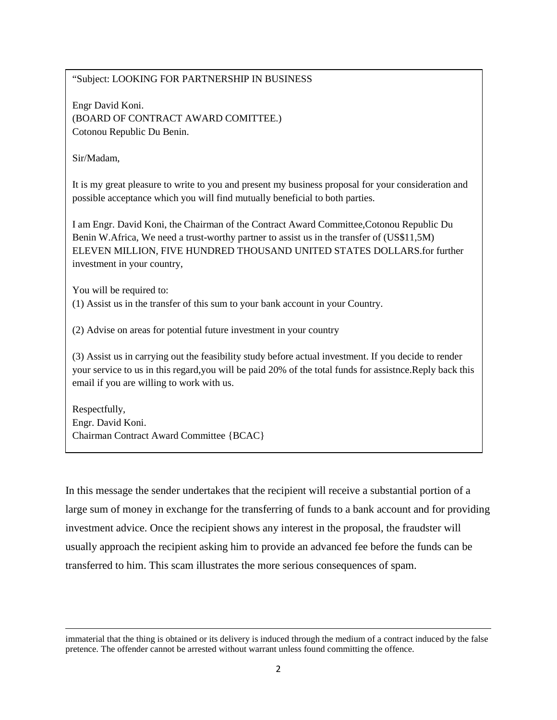#### "Subject: LOOKING FOR PARTNERSHIP IN BUSINESS

Engr David Koni. (BOARD OF CONTRACT AWARD COMITTEE.) Cotonou Republic Du Benin.

Sir/Madam,

It is my great pleasure to write to you and present my business proposal for your consideration and possible acceptance which you will find mutually beneficial to both parties.

I am Engr. David Koni, the Chairman of the Contract Award Committee,Cotonou Republic Du Benin W.Africa, We need a trust-worthy partner to assist us in the transfer of (US\$11,5M) ELEVEN MILLION, FIVE HUNDRED THOUSAND UNITED STATES DOLLARS.for further investment in your country,

You will be required to:

l

(1) Assist us in the transfer of this sum to your bank account in your Country.

(2) Advise on areas for potential future investment in your country

(3) Assist us in carrying out the feasibility study before actual investment. If you decide to render your service to us in this regard,you will be paid 20% of the total funds for assistnce.Reply back this email if you are willing to work with us.

Respectfully, Engr. David Koni. Chairman Contract Award Committee {BCAC}

In this message the sender undertakes that the recipient will receive a substantial portion of a large sum of money in exchange for the transferring of funds to a bank account and for providing investment advice. Once the recipient shows any interest in the proposal, the fraudster will usually approach the recipient asking him to provide an advanced fee before the funds can be transferred to him. This scam illustrates the more serious consequences of spam.

immaterial that the thing is obtained or its delivery is induced through the medium of a contract induced by the false pretence. The offender cannot be arrested without warrant unless found committing the offence.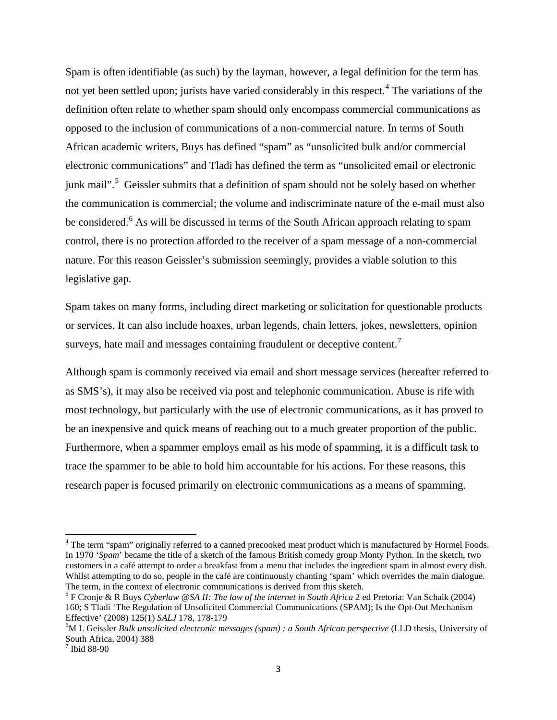Spam is often identifiable (as such) by the layman, however, a legal definition for the term has not yet been settled upon; jurists have varied considerably in this respect.<sup>[4](#page-18-0)</sup> The variations of the definition often relate to whether spam should only encompass commercial communications as opposed to the inclusion of communications of a non-commercial nature. In terms of South African academic writers, Buys has defined "spam" as "unsolicited bulk and/or commercial electronic communications" and Tladi has defined the term as "unsolicited email or electronic junk mail".<sup>[5](#page-18-1)</sup> Geissler submits that a definition of spam should not be solely based on whether the communication is commercial; the volume and indiscriminate nature of the e-mail must also be considered.<sup>[6](#page-18-2)</sup> As will be discussed in terms of the South African approach relating to spam control, there is no protection afforded to the receiver of a spam message of a non-commercial nature. For this reason Geissler's submission seemingly, provides a viable solution to this legislative gap.

Spam takes on many forms, including direct marketing or solicitation for questionable products or services. It can also include hoaxes, urban legends, chain letters, jokes, newsletters, opinion surveys, hate mail and messages containing fraudulent or deceptive content.<sup>[7](#page-18-3)</sup>

Although spam is commonly received via email and short message services (hereafter referred to as SMS's), it may also be received via post and telephonic communication. Abuse is rife with most technology, but particularly with the use of electronic communications, as it has proved to be an inexpensive and quick means of reaching out to a much greater proportion of the public. Furthermore, when a spammer employs email as his mode of spamming, it is a difficult task to trace the spammer to be able to hold him accountable for his actions. For these reasons, this research paper is focused primarily on electronic communications as a means of spamming.

<span id="page-18-0"></span><sup>&</sup>lt;sup>4</sup> The term "spam" originally referred to a canned precooked meat product which is manufactured by Hormel Foods. In 1970 '*Spam*' became the title of a sketch of the famous British comedy group Monty Python. In the sketch, two customers in a café attempt to order a breakfast from a menu that includes the ingredient spam in almost every dish. Whilst attempting to do so, people in the café are continuously chanting 'spam' which overrides the main dialogue.<br>The term, in the context of electronic communications is derived from this sketch.

<span id="page-18-1"></span> $5$  F Cronje & R Buys *Cyberlaw @SA II: The law of the internet in South Africa* 2 ed Pretoria: Van Schaik (2004) 160; S Tladi 'The Regulation of Unsolicited Commercial Communications (SPAM); Is the Opt-Out Mechanism Effective' (2008) 125(1) *SALJ* 178, 178-179 6

<span id="page-18-2"></span><sup>&</sup>lt;sup>6</sup>M L Geissler *Bulk unsolicited electronic messages (spam) : a South African perspective (LLD thesis, University of* South Africa, 2004) 388

<span id="page-18-3"></span> $<sup>7</sup>$  Ibid 88-90</sup>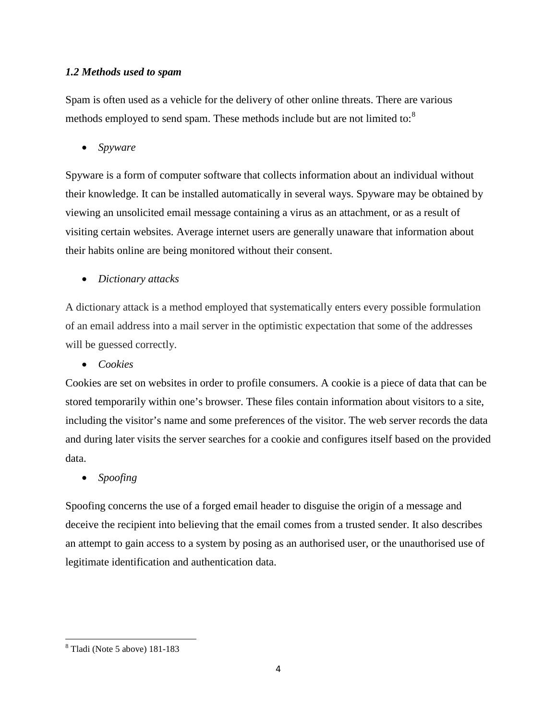# *1.2 Methods used to spam*

Spam is often used as a vehicle for the delivery of other online threats. There are various methods employed to send spam. These methods include but are not limited to:<sup>[8](#page-19-0)</sup>

• *Spyware*

Spyware is a form of computer software that collects information about an individual without their knowledge. It can be installed automatically in several ways. Spyware may be obtained by viewing an unsolicited email message containing a virus as an attachment, or as a result of visiting certain websites. Average internet users are generally unaware that information about their habits online are being monitored without their consent.

• *Dictionary attacks*

A dictionary attack is a method employed that systematically enters every possible formulation of an email address into a mail server in the optimistic expectation that some of the addresses will be guessed correctly.

• *Cookies*

Cookies are set on websites in order to profile consumers. A cookie is a piece of data that can be stored temporarily within one's browser. These files contain information about visitors to a site, including the visitor's name and some preferences of the visitor. The web server records the data and during later visits the server searches for a cookie and configures itself based on the provided data.

• *Spoofing*

Spoofing concerns the use of a forged email header to disguise the origin of a message and deceive the recipient into believing that the email comes from a trusted sender. It also describes an attempt to gain access to a system by posing as an authorised user, or the unauthorised use of legitimate identification and authentication data.

<span id="page-19-0"></span><sup>8</sup> Tladi (Note 5 above) 181-183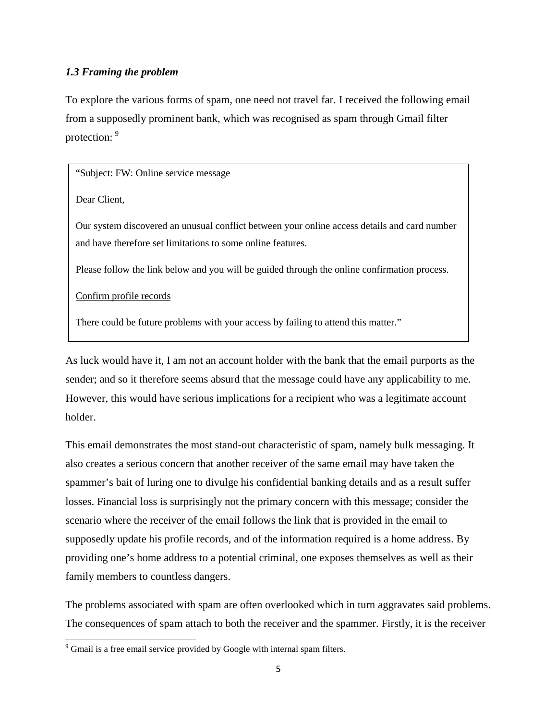#### *1.3 Framing the problem*

To explore the various forms of spam, one need not travel far. I received the following email from a supposedly prominent bank, which was recognised as spam through Gmail filter protection: [9](#page-20-0)

"Subject: FW: Online service message

Dear Client,

Our system discovered an unusual conflict between your online access details and card number and have therefore set limitations to some online features.

Please follow the link below and you will be guided through the online confirmation process.

Confirm profile records

There could be future problems with your access by failing to attend this matter."

As luck would have it, I am not an account holder with the bank that the email purports as the sender; and so it therefore seems absurd that the message could have any applicability to me. However, this would have serious implications for a recipient who was a legitimate account holder.

This email demonstrates the most stand-out characteristic of spam, namely bulk messaging. It also creates a serious concern that another receiver of the same email may have taken the spammer's bait of luring one to divulge his confidential banking details and as a result suffer losses. Financial loss is surprisingly not the primary concern with this message; consider the scenario where the receiver of the email follows the link that is provided in the email to supposedly update his profile records, and of the information required is a home address. By providing one's home address to a potential criminal, one exposes themselves as well as their family members to countless dangers.

The problems associated with spam are often overlooked which in turn aggravates said problems. The consequences of spam attach to both the receiver and the spammer. Firstly, it is the receiver

<span id="page-20-0"></span><sup>&</sup>lt;sup>9</sup> Gmail is a free email service provided by Google with internal spam filters.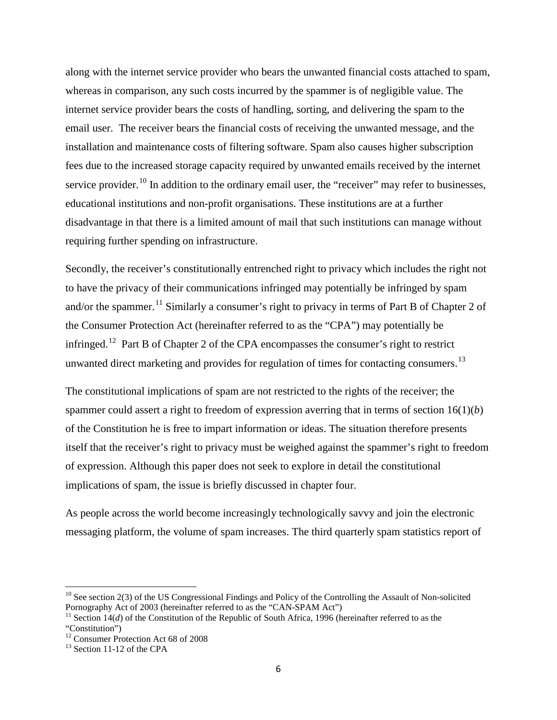along with the internet service provider who bears the unwanted financial costs attached to spam, whereas in comparison, any such costs incurred by the spammer is of negligible value. The internet service provider bears the costs of handling, sorting, and delivering the spam to the email user. The receiver bears the financial costs of receiving the unwanted message, and the installation and maintenance costs of filtering software. Spam also causes higher subscription fees due to the increased storage capacity required by unwanted emails received by the internet service provider.<sup>[10](#page-21-0)</sup> In addition to the ordinary email user, the "receiver" may refer to businesses, educational institutions and non-profit organisations. These institutions are at a further disadvantage in that there is a limited amount of mail that such institutions can manage without requiring further spending on infrastructure.

Secondly, the receiver's constitutionally entrenched right to privacy which includes the right not to have the privacy of their communications infringed may potentially be infringed by spam and/or the spammer.<sup>[11](#page-21-1)</sup> Similarly a consumer's right to privacy in terms of Part B of Chapter 2 of the Consumer Protection Act (hereinafter referred to as the "CPA") may potentially be infringed.<sup>12</sup> Part B of Chapter 2 of the CPA encompasses the consumer's right to restrict unwanted direct marketing and provides for regulation of times for contacting consumers.<sup>[13](#page-21-3)</sup>

The constitutional implications of spam are not restricted to the rights of the receiver; the spammer could assert a right to freedom of expression averring that in terms of section 16(1)(*b*) of the Constitution he is free to impart information or ideas. The situation therefore presents itself that the receiver's right to privacy must be weighed against the spammer's right to freedom of expression. Although this paper does not seek to explore in detail the constitutional implications of spam, the issue is briefly discussed in chapter four.

As people across the world become increasingly technologically savvy and join the electronic messaging platform, the volume of spam increases. The third quarterly spam statistics report of

<span id="page-21-0"></span><sup>&</sup>lt;sup>10</sup> See section 2(3) of the US Congressional Findings and Policy of the Controlling the Assault of Non-solicited Pornography Act of 2003 (hereinafter referred to as the "CAN-SPAM Act")

<span id="page-21-1"></span><sup>&</sup>lt;sup>11</sup> Section 14(*d*) of the Constitution of the Republic of South Africa, 1996 (hereinafter referred to as the

<sup>&</sup>quot;Constitution")

<span id="page-21-2"></span><sup>&</sup>lt;sup>12</sup> Consumer Protection Act 68 of 2008<br><sup>13</sup> Section 11-12 of the CPA

<span id="page-21-3"></span>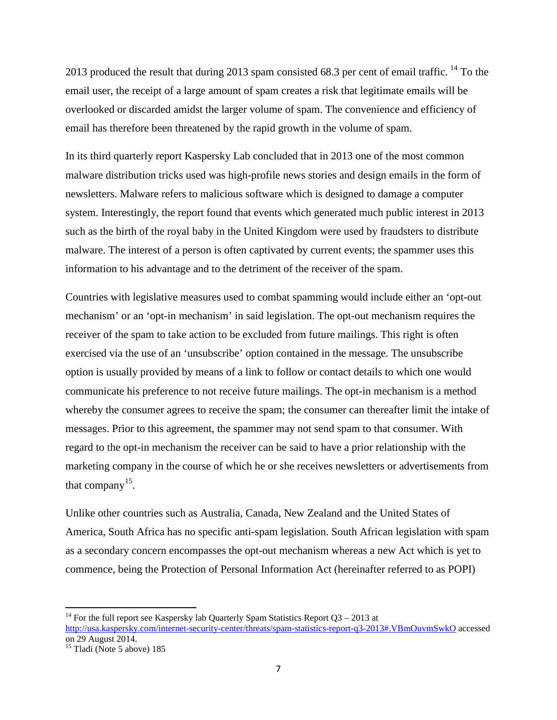2013 produced the result that during 2013 spam consisted 68.3 per cent of email traffic. <sup>[14](#page-22-0)</sup> To the email user, the receipt of a large amount of spam creates a risk that legitimate emails will be overlooked or discarded amidst the larger volume of spam. The convenience and efficiency of email has therefore been threatened by the rapid growth in the volume of spam.

In its third quarterly report Kaspersky Lab concluded that in 2013 one of the most common malware distribution tricks used was high-profile news stories and design emails in the form of newsletters. Malware refers to malicious software which is designed to damage a computer system. Interestingly, the report found that events which generated much public interest in 2013 such as the birth of the royal baby in the United Kingdom were used by fraudsters to distribute malware. The interest of a person is often captivated by current events; the spammer uses this information to his advantage and to the detriment of the receiver of the spam.

Countries with legislative measures used to combat spamming would include either an 'opt-out mechanism' or an 'opt-in mechanism' in said legislation. The opt-out mechanism requires the receiver of the spam to take action to be excluded from future mailings. This right is often exercised via the use of an 'unsubscribe' option contained in the message. The unsubscribe option is usually provided by means of a link to follow or contact details to which one would communicate his preference to not receive future mailings. The opt-in mechanism is a method whereby the consumer agrees to receive the spam; the consumer can thereafter limit the intake of messages. Prior to this agreement, the spammer may not send spam to that consumer. With regard to the opt-in mechanism the receiver can be said to have a prior relationship with the marketing company in the course of which he or she receives newsletters or advertisements from that company<sup>15</sup>.

Unlike other countries such as Australia, Canada, New Zealand and the United States of America, South Africa has no specific anti-spam legislation. South African legislation with spam as a secondary concern encompasses the opt-out mechanism whereas a new Act which is yet to commence, being the Protection of Personal Information Act (hereinafter referred to as POPI)

<span id="page-22-0"></span><sup>&</sup>lt;sup>14</sup> For the full report see Kaspersky lab Quarterly Spam Statistics Report Q3 – 2013 at [http://usa.kaspersky.com/internet-security-center/threats/spam-statistics-report-q3-2013#.VBmOuvmSwkO](http://usa.kaspersky.com/internet-security-center/threats/spam-statistics-report-q3-2013%23.VBmOuvmSwkO) accessed on 29 August 2014.

<span id="page-22-1"></span> $15$  Tladi (Note 5 above) 185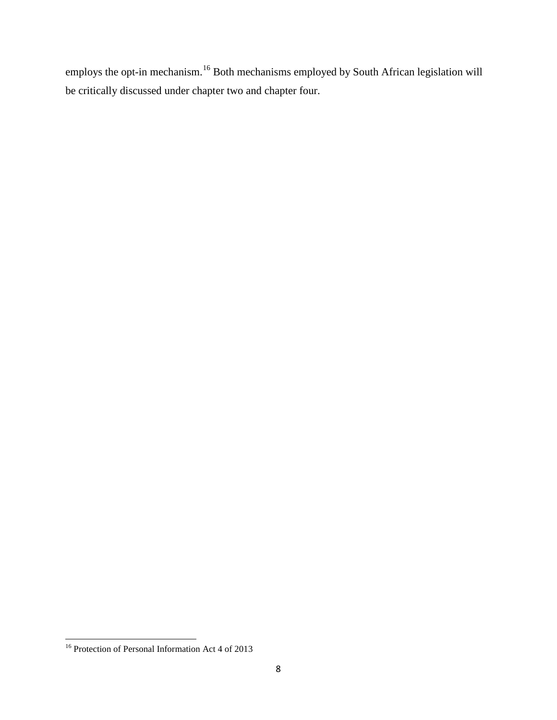employs the opt-in mechanism.[16](#page-23-0) Both mechanisms employed by South African legislation will be critically discussed under chapter two and chapter four.

<span id="page-23-0"></span><sup>&</sup>lt;sup>16</sup> Protection of Personal Information Act 4 of 2013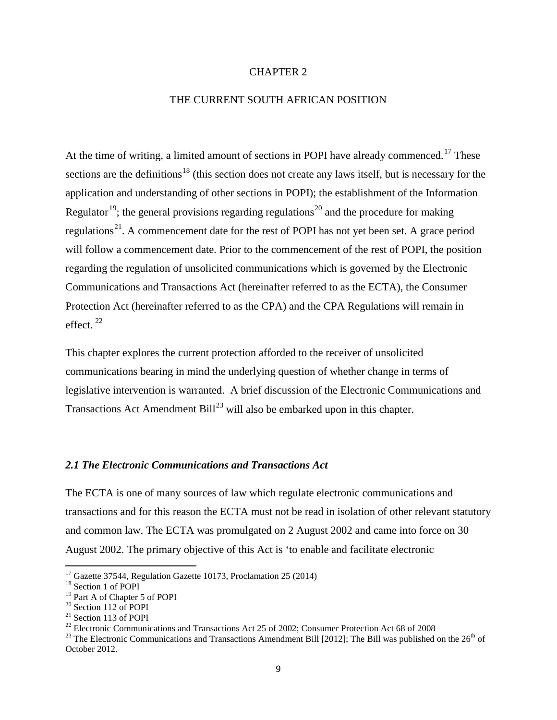#### CHAPTER 2

#### THE CURRENT SOUTH AFRICAN POSITION

At the time of writing, a limited amount of sections in POPI have already commenced.<sup>[17](#page-24-0)</sup> These sections are the definitions<sup>[18](#page-24-1)</sup> (this section does not create any laws itself, but is necessary for the application and understanding of other sections in POPI); the establishment of the Information Regulator<sup>[19](#page-24-2)</sup>; the general provisions regarding regulations<sup>[20](#page-24-3)</sup> and the procedure for making regulations<sup>[21](#page-24-4)</sup>. A commencement date for the rest of POPI has not yet been set. A grace period will follow a commencement date. Prior to the commencement of the rest of POPI, the position regarding the regulation of unsolicited communications which is governed by the Electronic Communications and Transactions Act (hereinafter referred to as the ECTA), the Consumer Protection Act (hereinafter referred to as the CPA) and the CPA Regulations will remain in effect. [22](#page-24-5)

This chapter explores the current protection afforded to the receiver of unsolicited communications bearing in mind the underlying question of whether change in terms of legislative intervention is warranted. A brief discussion of the Electronic Communications and Transactions Act Amendment Bill<sup>[23](#page-24-6)</sup> will also be embarked upon in this chapter.

#### *2.1 The Electronic Communications and Transactions Act*

The ECTA is one of many sources of law which regulate electronic communications and transactions and for this reason the ECTA must not be read in isolation of other relevant statutory and common law. The ECTA was promulgated on 2 August 2002 and came into force on 30 August 2002. The primary objective of this Act is 'to enable and facilitate electronic

<span id="page-24-0"></span><sup>&</sup>lt;sup>17</sup> Gazette 37544, Regulation Gazette 10173, Proclamation 25 (2014)<br><sup>18</sup> Section 1 of POPI<br><sup>19</sup> Part A of Chapter 5 of POPI

<span id="page-24-1"></span>

<span id="page-24-4"></span><span id="page-24-3"></span><span id="page-24-2"></span><sup>&</sup>lt;sup>20</sup> Section 112 of POPI<br><sup>21</sup> Section 113 of POPI<br><sup>22</sup> Electronic Communications and Transactions Act 25 of 2002; Consumer Protection Act 68 of 2008<br><sup>23</sup> The Electronic Communications and Transactions Amendment Bill [2012

<span id="page-24-6"></span><span id="page-24-5"></span>October 2012.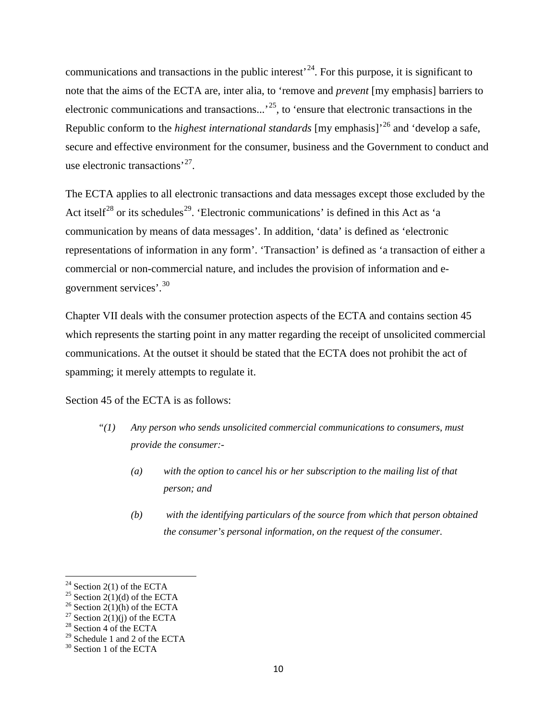communications and transactions in the public interest<sup> $24$ </sup>. For this purpose, it is significant to note that the aims of the ECTA are, inter alia, to 'remove and *prevent* [my emphasis] barriers to electronic communications and transactions...'<sup>25</sup>, to 'ensure that electronic transactions in the Republic conform to the *highest international standards* [my emphasis]'[26](#page-25-2) and 'develop a safe, secure and effective environment for the consumer, business and the Government to conduct and use electronic transactions'[27](#page-25-3).

The ECTA applies to all electronic transactions and data messages except those excluded by the Act itself<sup>[28](#page-25-4)</sup> or its schedules<sup>29</sup>. 'Electronic communications' is defined in this Act as 'a communication by means of data messages'. In addition, 'data' is defined as 'electronic representations of information in any form'. 'Transaction' is defined as 'a transaction of either a commercial or non-commercial nature, and includes the provision of information and egovernment services'.[30](#page-25-6)

Chapter VII deals with the consumer protection aspects of the ECTA and contains section 45 which represents the starting point in any matter regarding the receipt of unsolicited commercial communications. At the outset it should be stated that the ECTA does not prohibit the act of spamming; it merely attempts to regulate it.

Section 45 of the ECTA is as follows:

- *"(1) Any person who sends unsolicited commercial communications to consumers, must provide the consumer:-*
	- *(a) with the option to cancel his or her subscription to the mailing list of that person; and*
	- *(b) with the identifying particulars of the source from which that person obtained the consumer's personal information, on the request of the consumer.*

<span id="page-25-2"></span>

<span id="page-25-1"></span><span id="page-25-0"></span><sup>&</sup>lt;sup>24</sup> Section 2(1) of the ECTA<br><sup>25</sup> Section 2(1)(d) of the ECTA<br><sup>26</sup> Section 2(1)(h) of the ECTA<br><sup>27</sup> Section 2(1)(j) of the ECTA<br><sup>28</sup> Section 4 of the ECTA

<span id="page-25-4"></span><span id="page-25-3"></span>

<span id="page-25-6"></span><span id="page-25-5"></span><sup>&</sup>lt;sup>29</sup> Schedule 1 and 2 of the ECTA  $^{30}$  Section 1 of the ECTA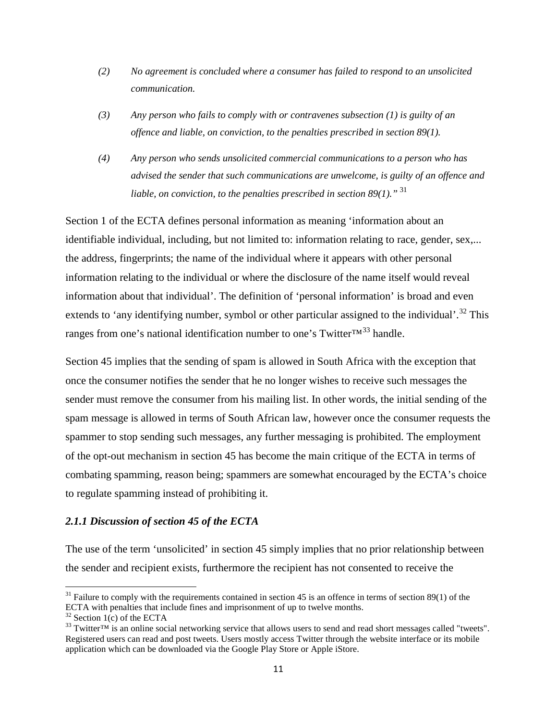- *(2) No agreement is concluded where a consumer has failed to respond to an unsolicited communication.*
- *(3) Any person who fails to comply with or contravenes subsection (1) is guilty of an offence and liable, on conviction, to the penalties prescribed in section 89(1).*
- *(4) Any person who sends unsolicited commercial communications to a person who has advised the sender that such communications are unwelcome, is guilty of an offence and liable, on conviction, to the penalties prescribed in section 89(1)."* [31](#page-26-0)

Section 1 of the ECTA defines personal information as meaning 'information about an identifiable individual, including, but not limited to: information relating to race, gender, sex,... the address, fingerprints; the name of the individual where it appears with other personal information relating to the individual or where the disclosure of the name itself would reveal information about that individual'. The definition of 'personal information' is broad and even extends to 'any identifying number, symbol or other particular assigned to the individual'.<sup>[32](#page-26-1)</sup> This ranges from one's national identification number to one's Twitter $TM^{33}$  $TM^{33}$  $TM^{33}$  handle.

Section 45 implies that the sending of spam is allowed in South Africa with the exception that once the consumer notifies the sender that he no longer wishes to receive such messages the sender must remove the consumer from his mailing list. In other words, the initial sending of the spam message is allowed in terms of South African law, however once the consumer requests the spammer to stop sending such messages, any further messaging is prohibited. The employment of the opt-out mechanism in section 45 has become the main critique of the ECTA in terms of combating spamming, reason being; spammers are somewhat encouraged by the ECTA's choice to regulate spamming instead of prohibiting it.

#### *2.1.1 Discussion of section 45 of the ECTA*

The use of the term 'unsolicited' in section 45 simply implies that no prior relationship between the sender and recipient exists, furthermore the recipient has not consented to receive the

<span id="page-26-0"></span> $31$  Failure to comply with the requirements contained in section 45 is an offence in terms of section 89(1) of the ECTA with penalties that include fines and imprisonment of up to twelve months.

<span id="page-26-2"></span><span id="page-26-1"></span><sup>&</sup>lt;sup>32</sup> Section 1(c) of the ECTA<br><sup>33</sup> Twitter<sup>TM</sup> is an online social networking service that allows users to send and read short messages called "tweets". Registered users can read and post tweets. Users mostly access Twitter through the website interface or its mobile application which can be downloaded via the Google Play Store or Apple iStore.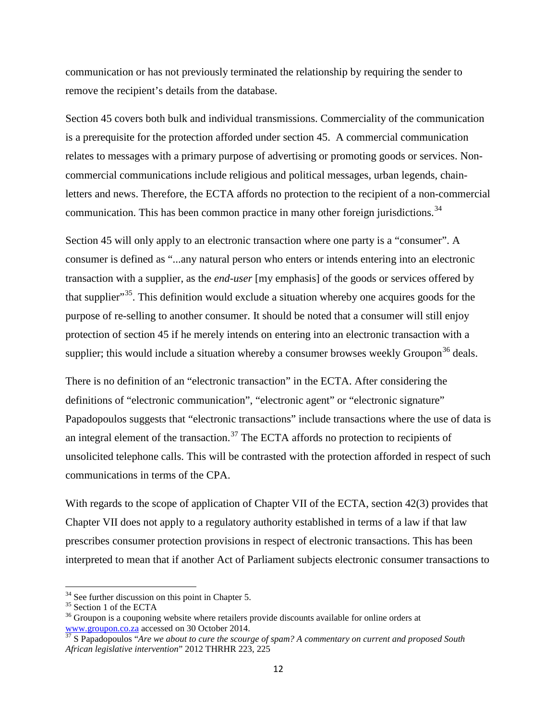communication or has not previously terminated the relationship by requiring the sender to remove the recipient's details from the database.

Section 45 covers both bulk and individual transmissions. Commerciality of the communication is a prerequisite for the protection afforded under section 45. A commercial communication relates to messages with a primary purpose of advertising or promoting goods or services. Noncommercial communications include religious and political messages, urban legends, chainletters and news. Therefore, the ECTA affords no protection to the recipient of a non-commercial communication. This has been common practice in many other foreign jurisdictions.<sup>[34](#page-27-0)</sup>

Section 45 will only apply to an electronic transaction where one party is a "consumer". A consumer is defined as "...any natural person who enters or intends entering into an electronic transaction with a supplier, as the *end-user* [my emphasis] of the goods or services offered by that supplier"<sup>35</sup>. This definition would exclude a situation whereby one acquires goods for the purpose of re-selling to another consumer. It should be noted that a consumer will still enjoy protection of section 45 if he merely intends on entering into an electronic transaction with a supplier; this would include a situation whereby a consumer browses weekly Groupon<sup>[36](#page-27-2)</sup> deals.

There is no definition of an "electronic transaction" in the ECTA. After considering the definitions of "electronic communication", "electronic agent" or "electronic signature" Papadopoulos suggests that "electronic transactions" include transactions where the use of data is an integral element of the transaction.<sup>[37](#page-27-3)</sup> The ECTA affords no protection to recipients of unsolicited telephone calls. This will be contrasted with the protection afforded in respect of such communications in terms of the CPA.

With regards to the scope of application of Chapter VII of the ECTA, section 42(3) provides that Chapter VII does not apply to a regulatory authority established in terms of a law if that law prescribes consumer protection provisions in respect of electronic transactions. This has been interpreted to mean that if another Act of Parliament subjects electronic consumer transactions to

<span id="page-27-2"></span>

<span id="page-27-1"></span><span id="page-27-0"></span><sup>&</sup>lt;sup>34</sup> See further discussion on this point in Chapter 5.<br><sup>35</sup> Section 1 of the ECTA  $\frac{36}{10}$  Groupon is a couponing website where retailers provide discounts available for online orders at www.groupon.co.za accessed on 30 October 2014.<br><sup>[37](http://www.groupon.co.za/)</sup> S Papadopoulos "*Are we about to cure the scourge of spam?* A *commentary on current and proposed South* 

<span id="page-27-3"></span>*African legislative intervention*" 2012 THRHR 223, 225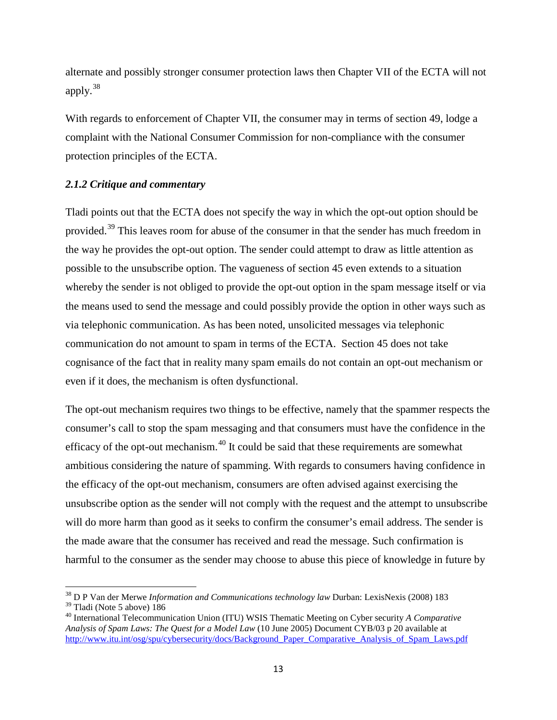alternate and possibly stronger consumer protection laws then Chapter VII of the ECTA will not apply. $38$ 

With regards to enforcement of Chapter VII, the consumer may in terms of section 49, lodge a complaint with the National Consumer Commission for non-compliance with the consumer protection principles of the ECTA.

#### *2.1.2 Critique and commentary*

Tladi points out that the ECTA does not specify the way in which the opt-out option should be provided.[39](#page-28-1) This leaves room for abuse of the consumer in that the sender has much freedom in the way he provides the opt-out option. The sender could attempt to draw as little attention as possible to the unsubscribe option. The vagueness of section 45 even extends to a situation whereby the sender is not obliged to provide the opt-out option in the spam message itself or via the means used to send the message and could possibly provide the option in other ways such as via telephonic communication. As has been noted, unsolicited messages via telephonic communication do not amount to spam in terms of the ECTA. Section 45 does not take cognisance of the fact that in reality many spam emails do not contain an opt-out mechanism or even if it does, the mechanism is often dysfunctional.

The opt-out mechanism requires two things to be effective, namely that the spammer respects the consumer's call to stop the spam messaging and that consumers must have the confidence in the efficacy of the opt-out mechanism.<sup>[40](#page-28-2)</sup> It could be said that these requirements are somewhat ambitious considering the nature of spamming. With regards to consumers having confidence in the efficacy of the opt-out mechanism, consumers are often advised against exercising the unsubscribe option as the sender will not comply with the request and the attempt to unsubscribe will do more harm than good as it seeks to confirm the consumer's email address. The sender is the made aware that the consumer has received and read the message. Such confirmation is harmful to the consumer as the sender may choose to abuse this piece of knowledge in future by

<span id="page-28-1"></span><span id="page-28-0"></span><sup>&</sup>lt;sup>38</sup> D P Van der Merwe *Information and Communications technology law* Durban: LexisNexis (2008) 183<sup>39</sup> Tladi (Note 5 above) 186

<span id="page-28-2"></span><sup>&</sup>lt;sup>40</sup> International Telecommunication Union (ITU) WSIS Thematic Meeting on Cyber security *A Comparative Analysis of Spam Laws: The Quest for a Model Law* (10 June 2005) Document CYB/03 p 20 available at [http://www.itu.int/osg/spu/cybersecurity/docs/Background\\_Paper\\_Comparative\\_Analysis\\_of\\_Spam\\_Laws.pdf](http://www.itu.int/osg/spu/cybersecurity/docs/Background_Paper_Comparative_Analysis_of_Spam_Laws.pdf)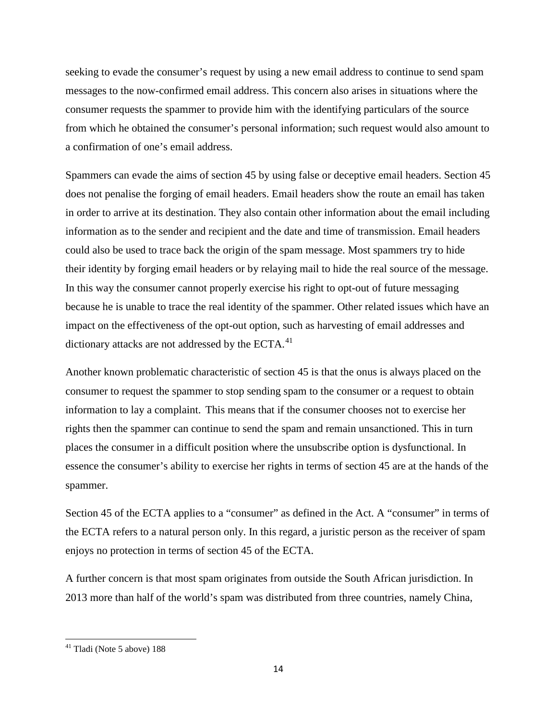seeking to evade the consumer's request by using a new email address to continue to send spam messages to the now-confirmed email address. This concern also arises in situations where the consumer requests the spammer to provide him with the identifying particulars of the source from which he obtained the consumer's personal information; such request would also amount to a confirmation of one's email address.

Spammers can evade the aims of section 45 by using false or deceptive email headers. Section 45 does not penalise the forging of email headers. Email headers show the route an email has taken in order to arrive at its destination. They also contain other information about the email including information as to the sender and recipient and the date and time of transmission. Email headers could also be used to trace back the origin of the spam message. Most spammers try to hide their identity by forging email headers or by relaying mail to hide the real source of the message. In this way the consumer cannot properly exercise his right to opt-out of future messaging because he is unable to trace the real identity of the spammer. Other related issues which have an impact on the effectiveness of the opt-out option, such as harvesting of email addresses and dictionary attacks are not addressed by the ECTA.<sup>[41](#page-29-0)</sup>

Another known problematic characteristic of section 45 is that the onus is always placed on the consumer to request the spammer to stop sending spam to the consumer or a request to obtain information to lay a complaint. This means that if the consumer chooses not to exercise her rights then the spammer can continue to send the spam and remain unsanctioned. This in turn places the consumer in a difficult position where the unsubscribe option is dysfunctional. In essence the consumer's ability to exercise her rights in terms of section 45 are at the hands of the spammer.

Section 45 of the ECTA applies to a "consumer" as defined in the Act. A "consumer" in terms of the ECTA refers to a natural person only. In this regard, a juristic person as the receiver of spam enjoys no protection in terms of section 45 of the ECTA.

A further concern is that most spam originates from outside the South African jurisdiction. In 2013 more than half of the world's spam was distributed from three countries, namely China,

<span id="page-29-0"></span><sup>41</sup> Tladi (Note 5 above) 188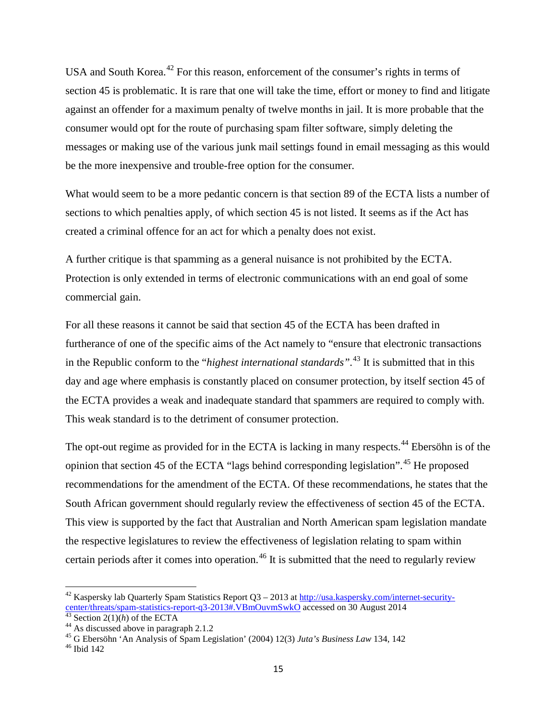USA and South Korea.<sup>[42](#page-30-0)</sup> For this reason, enforcement of the consumer's rights in terms of section 45 is problematic. It is rare that one will take the time, effort or money to find and litigate against an offender for a maximum penalty of twelve months in jail. It is more probable that the consumer would opt for the route of purchasing spam filter software, simply deleting the messages or making use of the various junk mail settings found in email messaging as this would be the more inexpensive and trouble-free option for the consumer.

What would seem to be a more pedantic concern is that section 89 of the ECTA lists a number of sections to which penalties apply, of which section 45 is not listed. It seems as if the Act has created a criminal offence for an act for which a penalty does not exist.

A further critique is that spamming as a general nuisance is not prohibited by the ECTA. Protection is only extended in terms of electronic communications with an end goal of some commercial gain.

For all these reasons it cannot be said that section 45 of the ECTA has been drafted in furtherance of one of the specific aims of the Act namely to "ensure that electronic transactions in the Republic conform to the "*highest international standards".* [43](#page-30-1) It is submitted that in this day and age where emphasis is constantly placed on consumer protection, by itself section 45 of the ECTA provides a weak and inadequate standard that spammers are required to comply with. This weak standard is to the detriment of consumer protection.

The opt-out regime as provided for in the ECTA is lacking in many respects.<sup>[44](#page-30-2)</sup> Ebersöhn is of the opinion that section [45](#page-30-3) of the ECTA "lags behind corresponding legislation".<sup>45</sup> He proposed recommendations for the amendment of the ECTA. Of these recommendations, he states that the South African government should regularly review the effectiveness of section 45 of the ECTA. This view is supported by the fact that Australian and North American spam legislation mandate the respective legislatures to review the effectiveness of legislation relating to spam within certain periods after it comes into operation.<sup>[46](#page-30-4)</sup> It is submitted that the need to regularly review

<span id="page-30-0"></span><sup>&</sup>lt;sup>42</sup> Kaspersky lab Quarterly Spam Statistics Report Q3 – 2013 at  $\frac{http://usa.kaspersky.com/internet-security-center/threads/spam-statistics-report-q3-2013#.VBmOuvmSwkO$  accessed on 30 August 2014

<span id="page-30-3"></span>

<span id="page-30-2"></span><span id="page-30-1"></span><sup>&</sup>lt;sup>[43](http://usa.kaspersky.com/internet-security-center/threats/spam-statistics-report-q3-2013%23.VBmOuvmSwkO)</sup> Section 2(1)(*h*) of the ECTA<br><sup>44</sup> As discussed [a](http://usa.kaspersky.com/internet-security-center/threats/spam-statistics-report-q3-2013%23.VBmOuvmSwkO)bove in paragraph 2.1.2<br><sup>45</sup> G Ebersöhn 'An Analysis of Spam Legislation' (2004) 12(3) Juta's Business Law 134, 142<br><sup>46</sup> Ibid 142

<span id="page-30-4"></span>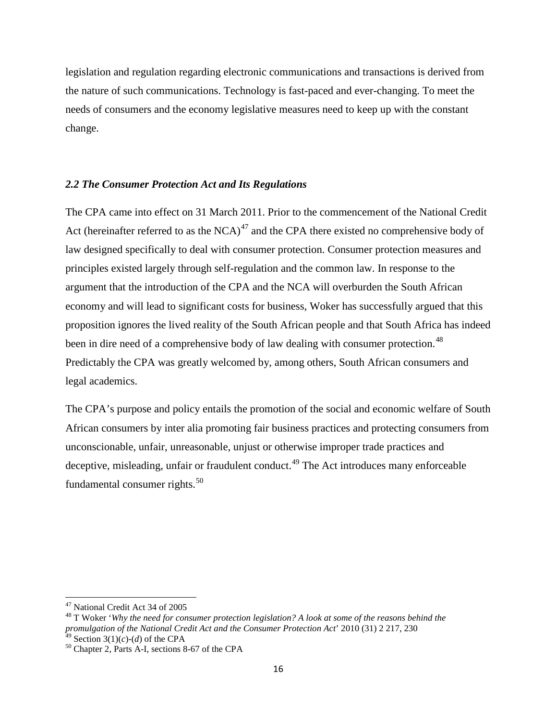legislation and regulation regarding electronic communications and transactions is derived from the nature of such communications. Technology is fast-paced and ever-changing. To meet the needs of consumers and the economy legislative measures need to keep up with the constant change.

#### *2.2 The Consumer Protection Act and Its Regulations*

The CPA came into effect on 31 March 2011. Prior to the commencement of the National Credit Act (hereinafter referred to as the  $NCA$ )<sup>[47](#page-31-0)</sup> and the CPA there existed no comprehensive body of law designed specifically to deal with consumer protection. Consumer protection measures and principles existed largely through self-regulation and the common law. In response to the argument that the introduction of the CPA and the NCA will overburden the South African economy and will lead to significant costs for business, Woker has successfully argued that this proposition ignores the lived reality of the South African people and that South Africa has indeed been in dire need of a comprehensive body of law dealing with consumer protection.<sup>[48](#page-31-1)</sup> Predictably the CPA was greatly welcomed by, among others, South African consumers and legal academics.

The CPA's purpose and policy entails the promotion of the social and economic welfare of South African consumers by inter alia promoting fair business practices and protecting consumers from unconscionable, unfair, unreasonable, unjust or otherwise improper trade practices and deceptive, misleading, unfair or fraudulent conduct.<sup>[49](#page-31-2)</sup> The Act introduces many enforceable fundamental consumer rights. $50$ 

<span id="page-31-1"></span><span id="page-31-0"></span><sup>&</sup>lt;sup>47</sup> National Credit Act 34 of 2005<br><sup>48</sup> T Woker *'Why the need for consumer protection legislation? A look at some of the reasons behind the promulgation of the National Credit Act and the Consumer Protection Act*' 2010 (31) 2 217, 230

<span id="page-31-3"></span><span id="page-31-2"></span><sup>&</sup>lt;sup>49</sup> Section 3(1)( $c$ )-( $d$ ) of the CPA<br><sup>50</sup> Chapter 2, Parts A-I, sections 8-67 of the CPA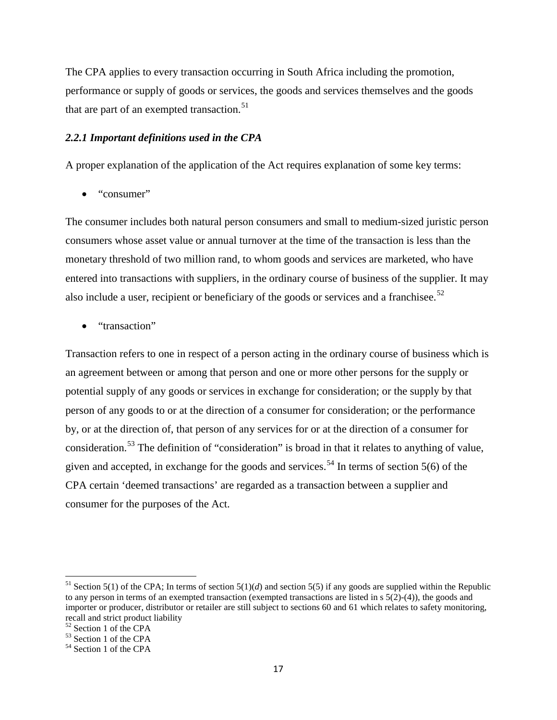The CPA applies to every transaction occurring in South Africa including the promotion, performance or supply of goods or services, the goods and services themselves and the goods that are part of an exempted transaction. $51$ 

#### *2.2.1 Important definitions used in the CPA*

A proper explanation of the application of the Act requires explanation of some key terms:

• "consumer"

The consumer includes both natural person consumers and small to medium-sized juristic person consumers whose asset value or annual turnover at the time of the transaction is less than the monetary threshold of two million rand, to whom goods and services are marketed, who have entered into transactions with suppliers, in the ordinary course of business of the supplier. It may also include a user, recipient or beneficiary of the goods or services and a franchisee.<sup>[52](#page-32-1)</sup>

• "transaction"

Transaction refers to one in respect of a person acting in the ordinary course of business which is an agreement between or among that person and one or more other persons for the supply or potential supply of any goods or services in exchange for consideration; or the supply by that person of any goods to or at the direction of a consumer for consideration; or the performance by, or at the direction of, that person of any services for or at the direction of a consumer for consideration.<sup>[53](#page-32-2)</sup> The definition of "consideration" is broad in that it relates to anything of value, given and accepted, in exchange for the goods and services.<sup>[54](#page-32-3)</sup> In terms of section  $5(6)$  of the CPA certain 'deemed transactions' are regarded as a transaction between a supplier and consumer for the purposes of the Act.

<span id="page-32-0"></span><sup>&</sup>lt;sup>51</sup> Section 5(1) of the CPA; In terms of section 5(1)(*d*) and section 5(5) if any goods are supplied within the Republic to any person in terms of an exempted transaction (exempted transactions are listed in s 5(2)-(4)), the goods and importer or producer, distributor or retailer are still subject to sections 60 and 61 which relates to safety monitoring, recall and strict product liability<br><sup>52</sup> Section 1 of the CPA

<span id="page-32-3"></span><span id="page-32-2"></span><span id="page-32-1"></span><sup>52</sup> Section 1 of the CPA <sup>53</sup> Section 1 of the CPA <sup>54</sup> Section 1 of the CPA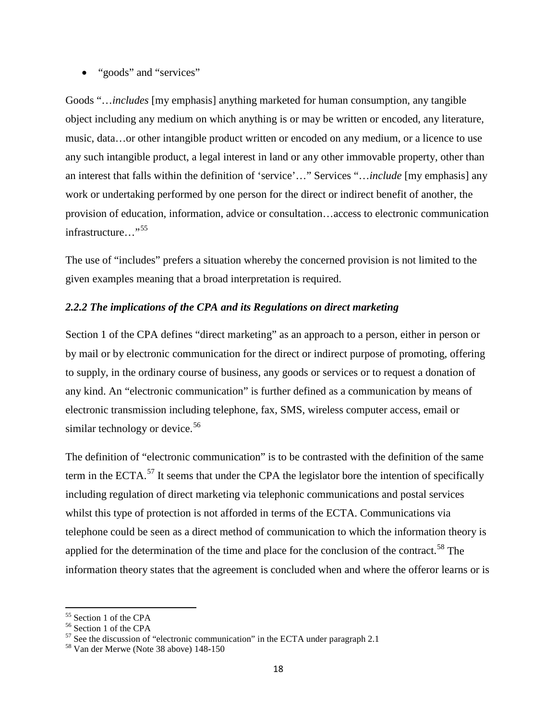• "goods" and "services"

Goods "…*includes* [my emphasis] anything marketed for human consumption, any tangible object including any medium on which anything is or may be written or encoded, any literature, music, data…or other intangible product written or encoded on any medium, or a licence to use any such intangible product, a legal interest in land or any other immovable property, other than an interest that falls within the definition of 'service'…" Services "…*include* [my emphasis] any work or undertaking performed by one person for the direct or indirect benefit of another, the provision of education, information, advice or consultation…access to electronic communication infrastructure…"<sup>[55](#page-33-0)</sup>

The use of "includes" prefers a situation whereby the concerned provision is not limited to the given examples meaning that a broad interpretation is required.

#### *2.2.2 The implications of the CPA and its Regulations on direct marketing*

Section 1 of the CPA defines "direct marketing" as an approach to a person, either in person or by mail or by electronic communication for the direct or indirect purpose of promoting, offering to supply, in the ordinary course of business, any goods or services or to request a donation of any kind. An "electronic communication" is further defined as a communication by means of electronic transmission including telephone, fax, SMS, wireless computer access, email or similar technology or device.<sup>[56](#page-33-1)</sup>

The definition of "electronic communication" is to be contrasted with the definition of the same term in the ECTA.<sup>[57](#page-33-2)</sup> It seems that under the CPA the legislator bore the intention of specifically including regulation of direct marketing via telephonic communications and postal services whilst this type of protection is not afforded in terms of the ECTA. Communications via telephone could be seen as a direct method of communication to which the information theory is applied for the determination of the time and place for the conclusion of the contract.<sup>[58](#page-33-3)</sup> The information theory states that the agreement is concluded when and where the offeror learns or is

<span id="page-33-2"></span>

<span id="page-33-1"></span><span id="page-33-0"></span><sup>&</sup>lt;sup>55</sup> Section 1 of the CPA<br>
<sup>56</sup> Section 1 of the CPA<br>
<sup>57</sup> See the discussion of "electronic communication" in the ECTA under paragraph 2.1<br>
<sup>58</sup> Van der Merwe (Note 38 above) 148-150

<span id="page-33-3"></span>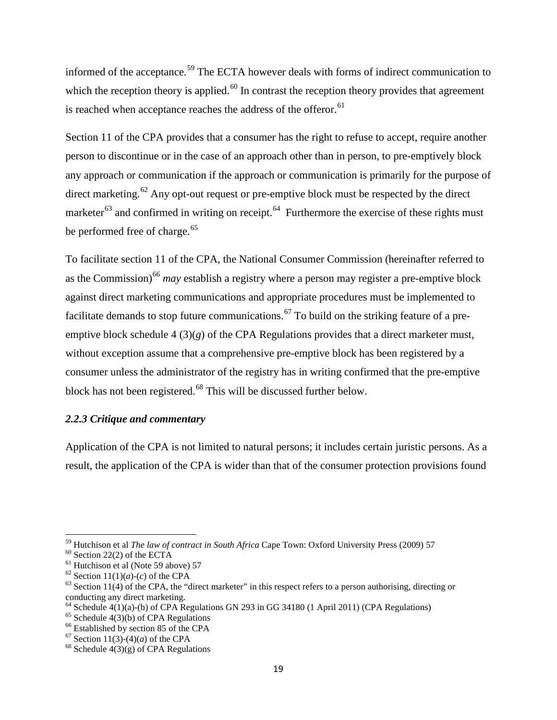informed of the acceptance.<sup>[59](#page-34-0)</sup> The ECTA however deals with forms of indirect communication to which the reception theory is applied.<sup>[60](#page-34-1)</sup> In contrast the reception theory provides that agreement is reached when acceptance reaches the address of the offeror.<sup>[61](#page-34-2)</sup>

Section 11 of the CPA provides that a consumer has the right to refuse to accept, require another person to discontinue or in the case of an approach other than in person, to pre-emptively block any approach or communication if the approach or communication is primarily for the purpose of direct marketing.<sup>[62](#page-34-3)</sup> Any opt-out request or pre-emptive block must be respected by the direct marketer $^{63}$  $^{63}$  $^{63}$  and confirmed in writing on receipt.<sup>[64](#page-34-5)</sup> Furthermore the exercise of these rights must be performed free of charge.<sup>[65](#page-34-6)</sup>

To facilitate section 11 of the CPA, the National Consumer Commission (hereinafter referred to as the Commission)<sup>[66](#page-34-7)</sup> may establish a registry where a person may register a pre-emptive block against direct marketing communications and appropriate procedures must be implemented to facilitate demands to stop future communications.<sup>[67](#page-34-8)</sup> To build on the striking feature of a preemptive block schedule 4 (3)(*g*) of the CPA Regulations provides that a direct marketer must, without exception assume that a comprehensive pre-emptive block has been registered by a consumer unless the administrator of the registry has in writing confirmed that the pre-emptive block has not been registered.<sup>[68](#page-34-9)</sup> This will be discussed further below.

#### *2.2.3 Critique and commentary*

Application of the CPA is not limited to natural persons; it includes certain juristic persons. As a result, the application of the CPA is wider than that of the consumer protection provisions found

<span id="page-34-1"></span><span id="page-34-0"></span><sup>&</sup>lt;sup>59</sup> Hutchison et al *The law of contract in South Africa* Cape Town: Oxford University Press (2009) 57<br><sup>60</sup> Section 22(2) of the ECTA<br><sup>61</sup> Hutchison et al (Note 59 above) 57<br><sup>62</sup> Section 11(1)(*a*)-(*c*) of the CPA<br><sup>63</sup>

<span id="page-34-2"></span>

<span id="page-34-3"></span>

<span id="page-34-4"></span>conducting any direct marketing.

<span id="page-34-6"></span><span id="page-34-5"></span><sup>&</sup>lt;sup>64</sup> Schedule 4(1)(a)-(b) of CPA Regulations GN 293 in GG 34180 (1 April 2011) (CPA Regulations)<br><sup>65</sup> Schedule 4(3)(b) of CPA Regulations<br><sup>66</sup> Established by section 85 of the CPA<br><sup>67</sup> Section 11(3)-(4)(*a*) of the CPA<br><sup>6</sup>

<span id="page-34-7"></span>

<span id="page-34-8"></span>

<span id="page-34-9"></span>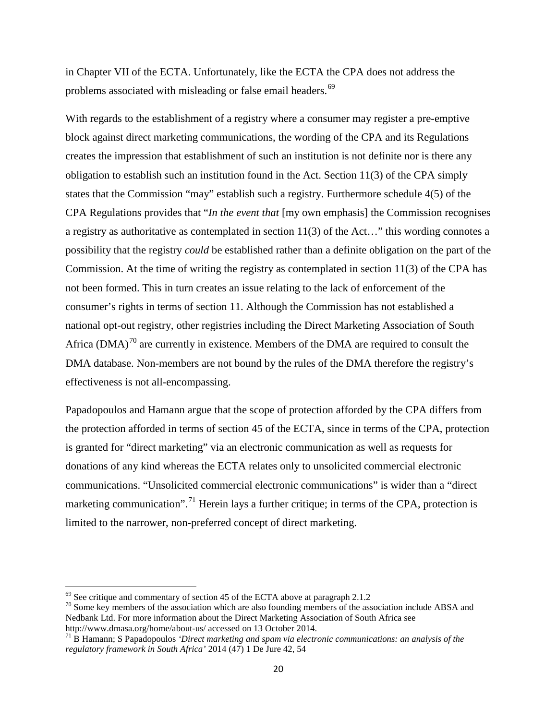in Chapter VII of the ECTA. Unfortunately, like the ECTA the CPA does not address the problems associated with misleading or false email headers.<sup>[69](#page-35-0)</sup>

With regards to the establishment of a registry where a consumer may register a pre-emptive block against direct marketing communications, the wording of the CPA and its Regulations creates the impression that establishment of such an institution is not definite nor is there any obligation to establish such an institution found in the Act. Section 11(3) of the CPA simply states that the Commission "may" establish such a registry. Furthermore schedule 4(5) of the CPA Regulations provides that "*In the event that* [my own emphasis] the Commission recognises a registry as authoritative as contemplated in section 11(3) of the Act…" this wording connotes a possibility that the registry *could* be established rather than a definite obligation on the part of the Commission. At the time of writing the registry as contemplated in section 11(3) of the CPA has not been formed. This in turn creates an issue relating to the lack of enforcement of the consumer's rights in terms of section 11. Although the Commission has not established a national opt-out registry, other registries including the Direct Marketing Association of South Africa  $(DMA)^{70}$  $(DMA)^{70}$  $(DMA)^{70}$  are currently in existence. Members of the DMA are required to consult the DMA database. Non-members are not bound by the rules of the DMA therefore the registry's effectiveness is not all-encompassing.

Papadopoulos and Hamann argue that the scope of protection afforded by the CPA differs from the protection afforded in terms of section 45 of the ECTA, since in terms of the CPA, protection is granted for "direct marketing" via an electronic communication as well as requests for donations of any kind whereas the ECTA relates only to unsolicited commercial electronic communications. "Unsolicited commercial electronic communications" is wider than a "direct marketing communication".<sup>[71](#page-35-2)</sup> Herein lays a further critique; in terms of the CPA, protection is limited to the narrower, non-preferred concept of direct marketing.

<span id="page-35-1"></span><span id="page-35-0"></span><sup>&</sup>lt;sup>69</sup> See critique and commentary of section 45 of the ECTA above at paragraph 2.1.2  $^{70}$  Some key members of the association which are also founding members of the association include ABSA and Nedbank Ltd. For more information about the Direct Marketing Association of South Africa see

<span id="page-35-2"></span>http://www.dmasa.org/home/about-us/ accessed on 13 October 2014.<br><sup>71</sup> B Hamann; S Papadopoulos *'Direct marketing and spam via electronic communications: an analysis of the regulatory framework in South Africa'* 2014 (47) 1 De Jure 42, 54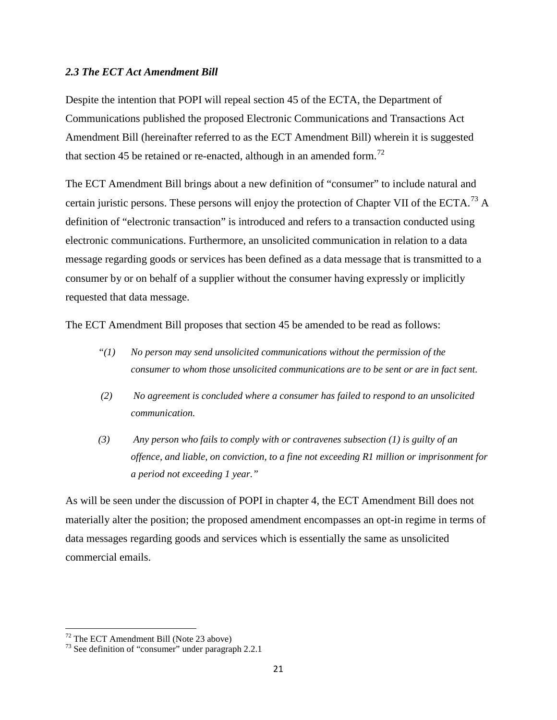#### *2.3 The ECT Act Amendment Bill*

Despite the intention that POPI will repeal section 45 of the ECTA, the Department of Communications published the proposed Electronic Communications and Transactions Act Amendment Bill (hereinafter referred to as the ECT Amendment Bill) wherein it is suggested that section 45 be retained or re-enacted, although in an amended form.<sup>[72](#page-36-0)</sup>

The ECT Amendment Bill brings about a new definition of "consumer" to include natural and certain juristic persons. These persons will enjoy the protection of Chapter VII of the ECTA.<sup>[73](#page-36-1)</sup> A definition of "electronic transaction" is introduced and refers to a transaction conducted using electronic communications. Furthermore, an unsolicited communication in relation to a data message regarding goods or services has been defined as a data message that is transmitted to a consumer by or on behalf of a supplier without the consumer having expressly or implicitly requested that data message.

The ECT Amendment Bill proposes that section 45 be amended to be read as follows:

- *"(1) No person may send unsolicited communications without the permission of the consumer to whom those unsolicited communications are to be sent or are in fact sent.*
- *(2) No agreement is concluded where a consumer has failed to respond to an unsolicited communication.*
- *(3) Any person who fails to comply with or contravenes subsection (1) is guilty of an offence, and liable, on conviction, to a fine not exceeding R1 million or imprisonment for a period not exceeding 1 year."*

As will be seen under the discussion of POPI in chapter 4, the ECT Amendment Bill does not materially alter the position; the proposed amendment encompasses an opt-in regime in terms of data messages regarding goods and services which is essentially the same as unsolicited commercial emails.

<span id="page-36-1"></span>

<span id="page-36-0"></span><sup>&</sup>lt;sup>72</sup> The ECT Amendment Bill (Note 23 above)<br><sup>73</sup> See definition of "consumer" under paragraph 2.2.1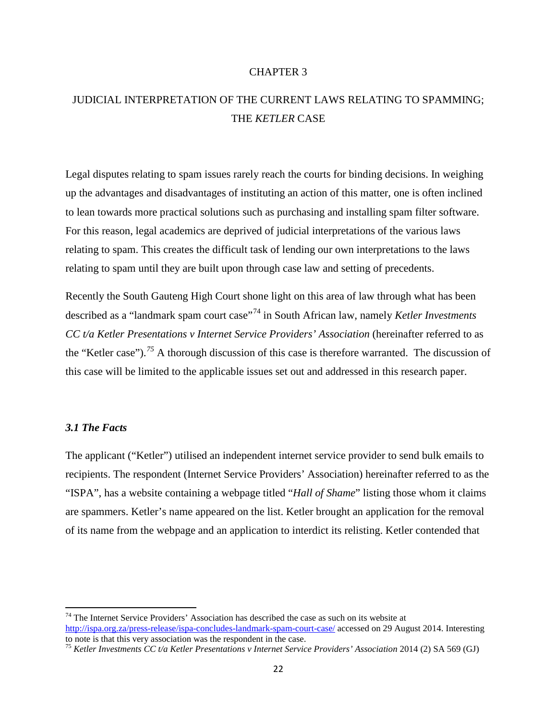#### CHAPTER 3

# JUDICIAL INTERPRETATION OF THE CURRENT LAWS RELATING TO SPAMMING; THE *KETLER* CASE

Legal disputes relating to spam issues rarely reach the courts for binding decisions. In weighing up the advantages and disadvantages of instituting an action of this matter, one is often inclined to lean towards more practical solutions such as purchasing and installing spam filter software. For this reason, legal academics are deprived of judicial interpretations of the various laws relating to spam. This creates the difficult task of lending our own interpretations to the laws relating to spam until they are built upon through case law and setting of precedents.

Recently the South Gauteng High Court shone light on this area of law through what has been described as a "landmark spam court case"[74](#page-37-0) in South African law, namely *Ketler Investments CC t/a Ketler Presentations v Internet Service Providers' Association* (hereinafter referred to as the "Ketler case").*[75](#page-37-1)* A thorough discussion of this case is therefore warranted. The discussion of this case will be limited to the applicable issues set out and addressed in this research paper.

## *3.1 The Facts*

The applicant ("Ketler") utilised an independent internet service provider to send bulk emails to recipients. The respondent (Internet Service Providers' Association) hereinafter referred to as the "ISPA", has a website containing a webpage titled "*Hall of Shame*" listing those whom it claims are spammers. Ketler's name appeared on the list. Ketler brought an application for the removal of its name from the webpage and an application to interdict its relisting. Ketler contended that

<span id="page-37-0"></span> $74$  The Internet Service Providers' Association has described the case as such on its website at <http://ispa.org.za/press-release/ispa-concludes-landmark-spam-court-case/> accessed on 29 August 2014. Interesting to note is that this very association was the respondent in the case.

<span id="page-37-1"></span><sup>&</sup>lt;sup>75</sup> *Ketler Investments CC t/a Ketler Presentations v Internet Service Providers' Association 2014 (2) SA 569 (GJ)*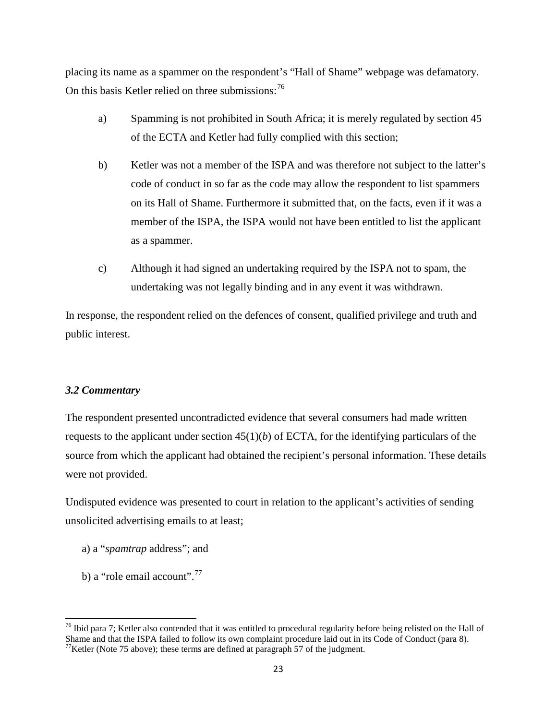placing its name as a spammer on the respondent's "Hall of Shame" webpage was defamatory. On this basis Ketler relied on three submissions:  $76$ 

- a) Spamming is not prohibited in South Africa; it is merely regulated by section 45 of the ECTA and Ketler had fully complied with this section;
- b) Ketler was not a member of the ISPA and was therefore not subject to the latter's code of conduct in so far as the code may allow the respondent to list spammers on its Hall of Shame. Furthermore it submitted that, on the facts, even if it was a member of the ISPA, the ISPA would not have been entitled to list the applicant as a spammer.
- c) Although it had signed an undertaking required by the ISPA not to spam, the undertaking was not legally binding and in any event it was withdrawn.

In response, the respondent relied on the defences of consent, qualified privilege and truth and public interest.

#### *3.2 Commentary*

The respondent presented uncontradicted evidence that several consumers had made written requests to the applicant under section  $45(1)(b)$  of ECTA, for the identifying particulars of the source from which the applicant had obtained the recipient's personal information. These details were not provided.

Undisputed evidence was presented to court in relation to the applicant's activities of sending unsolicited advertising emails to at least;

- a) a "*spamtrap* address"; and
- b) a "role email account".<sup>[77](#page-38-1)</sup>

<span id="page-38-1"></span><span id="page-38-0"></span> $^{76}$  Ibid para 7; Ketler also contended that it was entitled to procedural regularity before being relisted on the Hall of Shame and that the ISPA failed to follow its own complaint procedure laid out in its Code of Conduct (para 8).  $^{77}$ Ketler (Note 75 above); these terms are defined at paragraph 57 of the judgment.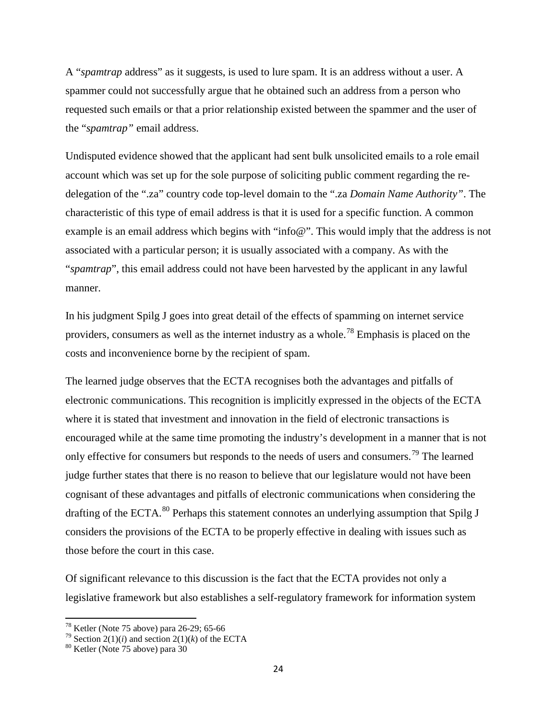A "*spamtrap* address" as it suggests, is used to lure spam. It is an address without a user. A spammer could not successfully argue that he obtained such an address from a person who requested such emails or that a prior relationship existed between the spammer and the user of the "*spamtrap"* email address.

Undisputed evidence showed that the applicant had sent bulk unsolicited emails to a role email account which was set up for the sole purpose of soliciting public comment regarding the redelegation of the ".za" country code top-level domain to the ".za *Domain Name Authority"*. The characteristic of this type of email address is that it is used for a specific function. A common example is an email address which begins with "info@". This would imply that the address is not associated with a particular person; it is usually associated with a company. As with the "*spamtrap*", this email address could not have been harvested by the applicant in any lawful manner.

In his judgment Spilg J goes into great detail of the effects of spamming on internet service providers, consumers as well as the internet industry as a whole.<sup>[78](#page-39-0)</sup> Emphasis is placed on the costs and inconvenience borne by the recipient of spam.

The learned judge observes that the ECTA recognises both the advantages and pitfalls of electronic communications. This recognition is implicitly expressed in the objects of the ECTA where it is stated that investment and innovation in the field of electronic transactions is encouraged while at the same time promoting the industry's development in a manner that is not only effective for consumers but responds to the needs of users and consumers.<sup>[79](#page-39-1)</sup> The learned judge further states that there is no reason to believe that our legislature would not have been cognisant of these advantages and pitfalls of electronic communications when considering the drafting of the ECTA.<sup>[80](#page-39-2)</sup> Perhaps this statement connotes an underlying assumption that Spilg J considers the provisions of the ECTA to be properly effective in dealing with issues such as those before the court in this case.

Of significant relevance to this discussion is the fact that the ECTA provides not only a legislative framework but also establishes a self-regulatory framework for information system

<span id="page-39-1"></span><span id="page-39-0"></span><sup>&</sup>lt;sup>78</sup> Ketler (Note 75 above) para 26-29; 65-66<br><sup>79</sup> Section 2(1)(*i*) and section 2(1)(*k*) of the ECTA<br><sup>80</sup> Ketler (Note 75 above) para 30

<span id="page-39-2"></span>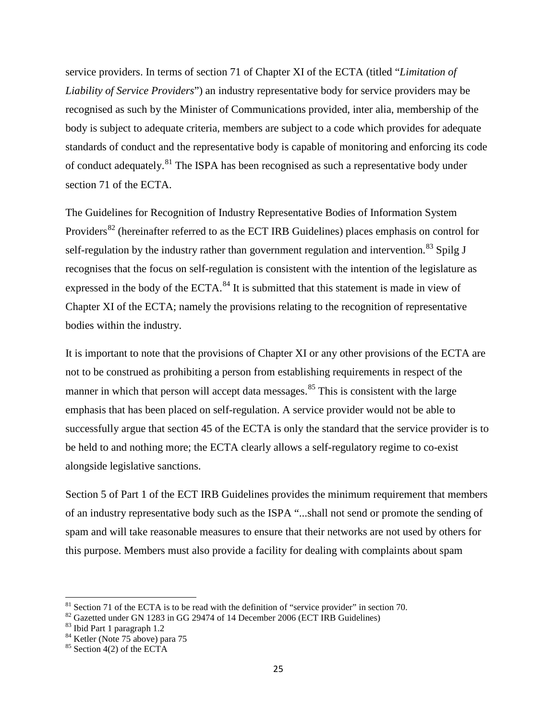service providers. In terms of section 71 of Chapter XI of the ECTA (titled "*Limitation of Liability of Service Providers*") an industry representative body for service providers may be recognised as such by the Minister of Communications provided, inter alia, membership of the body is subject to adequate criteria, members are subject to a code which provides for adequate standards of conduct and the representative body is capable of monitoring and enforcing its code of conduct adequately.<sup>[81](#page-40-0)</sup> The ISPA has been recognised as such a representative body under section 71 of the ECTA.

The Guidelines for Recognition of Industry Representative Bodies of Information System Providers<sup>[82](#page-40-1)</sup> (hereinafter referred to as the ECT IRB Guidelines) places emphasis on control for self-regulation by the industry rather than government regulation and intervention.<sup>[83](#page-40-2)</sup> Spilg J recognises that the focus on self-regulation is consistent with the intention of the legislature as expressed in the body of the ECTA. $^{84}$  $^{84}$  $^{84}$  It is submitted that this statement is made in view of Chapter XI of the ECTA; namely the provisions relating to the recognition of representative bodies within the industry.

It is important to note that the provisions of Chapter XI or any other provisions of the ECTA are not to be construed as prohibiting a person from establishing requirements in respect of the manner in which that person will accept data messages.<sup>[85](#page-40-4)</sup> This is consistent with the large emphasis that has been placed on self-regulation. A service provider would not be able to successfully argue that section 45 of the ECTA is only the standard that the service provider is to be held to and nothing more; the ECTA clearly allows a self-regulatory regime to co-exist alongside legislative sanctions.

Section 5 of Part 1 of the ECT IRB Guidelines provides the minimum requirement that members of an industry representative body such as the ISPA "...shall not send or promote the sending of spam and will take reasonable measures to ensure that their networks are not used by others for this purpose. Members must also provide a facility for dealing with complaints about spam

<span id="page-40-1"></span><span id="page-40-0"></span><sup>&</sup>lt;sup>81</sup> Section 71 of the ECTA is to be read with the definition of "service provider" in section 70.<br><sup>82</sup> Gazetted under GN 1283 in GG 29474 of 14 December 2006 (ECT IRB Guidelines)<br><sup>83</sup> Ibid Part 1 paragraph 1.2<br><sup>84</sup> Ketle

<span id="page-40-2"></span>

<span id="page-40-4"></span><span id="page-40-3"></span>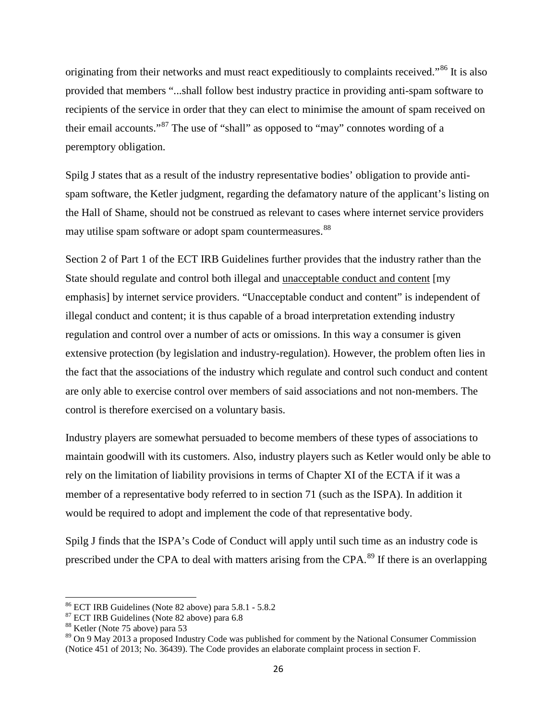originating from their networks and must react expeditiously to complaints received."<sup>[86](#page-41-0)</sup> It is also provided that members "...shall follow best industry practice in providing anti-spam software to recipients of the service in order that they can elect to minimise the amount of spam received on their email accounts."[87](#page-41-1) The use of "shall" as opposed to "may" connotes wording of a peremptory obligation.

Spilg J states that as a result of the industry representative bodies' obligation to provide antispam software, the Ketler judgment, regarding the defamatory nature of the applicant's listing on the Hall of Shame, should not be construed as relevant to cases where internet service providers may utilise spam software or adopt spam countermeasures.<sup>[88](#page-41-2)</sup>

Section 2 of Part 1 of the ECT IRB Guidelines further provides that the industry rather than the State should regulate and control both illegal and unacceptable conduct and content [my emphasis] by internet service providers. "Unacceptable conduct and content" is independent of illegal conduct and content; it is thus capable of a broad interpretation extending industry regulation and control over a number of acts or omissions. In this way a consumer is given extensive protection (by legislation and industry-regulation). However, the problem often lies in the fact that the associations of the industry which regulate and control such conduct and content are only able to exercise control over members of said associations and not non-members. The control is therefore exercised on a voluntary basis.

Industry players are somewhat persuaded to become members of these types of associations to maintain goodwill with its customers. Also, industry players such as Ketler would only be able to rely on the limitation of liability provisions in terms of Chapter XI of the ECTA if it was a member of a representative body referred to in section 71 (such as the ISPA). In addition it would be required to adopt and implement the code of that representative body.

Spilg J finds that the ISPA's Code of Conduct will apply until such time as an industry code is prescribed under the CPA to deal with matters arising from the CPA.<sup>[89](#page-41-3)</sup> If there is an overlapping

<span id="page-41-0"></span><sup>&</sup>lt;sup>86</sup> ECT IRB Guidelines (Note 82 above) para 5.8.1 - 5.8.2<br><sup>87</sup> ECT IRB Guidelines (Note 82 above) para 6.8<br><sup>88</sup> Ketler (Note 75 above) para 53

<span id="page-41-1"></span>

<span id="page-41-3"></span><span id="page-41-2"></span><sup>&</sup>lt;sup>89</sup> On 9 May 2013 a proposed Industry Code was published for comment by the National Consumer Commission (Notice 451 of 2013; No. 36439). The Code provides an elaborate complaint process in section F.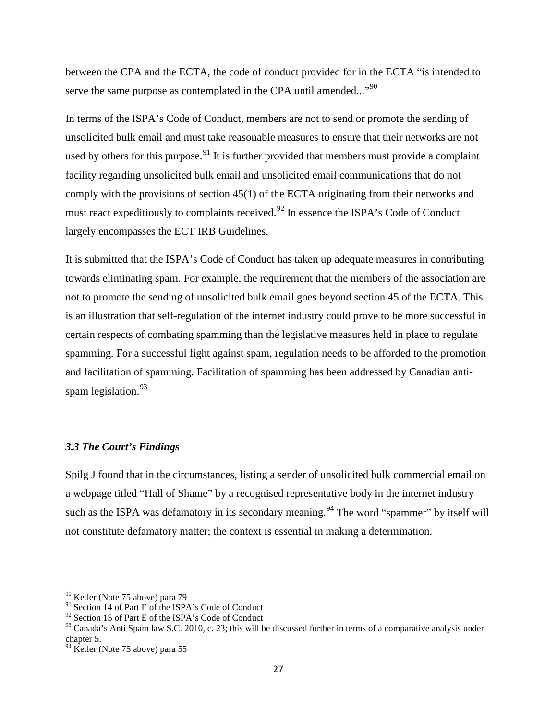between the CPA and the ECTA, the code of conduct provided for in the ECTA "is intended to serve the same purpose as contemplated in the CPA until amended..."<sup>[90](#page-42-0)</sup>

In terms of the ISPA's Code of Conduct, members are not to send or promote the sending of unsolicited bulk email and must take reasonable measures to ensure that their networks are not used by others for this purpose.<sup>[91](#page-42-1)</sup> It is further provided that members must provide a complaint facility regarding unsolicited bulk email and unsolicited email communications that do not comply with the provisions of section 45(1) of the ECTA originating from their networks and must react expeditiously to complaints received.<sup>[92](#page-42-2)</sup> In essence the ISPA's Code of Conduct largely encompasses the ECT IRB Guidelines.

It is submitted that the ISPA's Code of Conduct has taken up adequate measures in contributing towards eliminating spam. For example, the requirement that the members of the association are not to promote the sending of unsolicited bulk email goes beyond section 45 of the ECTA. This is an illustration that self-regulation of the internet industry could prove to be more successful in certain respects of combating spamming than the legislative measures held in place to regulate spamming. For a successful fight against spam, regulation needs to be afforded to the promotion and facilitation of spamming. Facilitation of spamming has been addressed by Canadian anti-spam legislation.<sup>[93](#page-42-3)</sup>

## *3.3 The Court's Findings*

Spilg J found that in the circumstances, listing a sender of unsolicited bulk commercial email on a webpage titled "Hall of Shame" by a recognised representative body in the internet industry such as the ISPA was defamatory in its secondary meaning.<sup>[94](#page-42-4)</sup> The word "spammer" by itself will not constitute defamatory matter; the context is essential in making a determination.

<span id="page-42-0"></span><sup>90</sup> Ketler (Note 75 above) para 79

<span id="page-42-1"></span><sup>&</sup>lt;sup>91</sup> Section 14 of Part E of the ISPA's Code of Conduct

<span id="page-42-2"></span><sup>&</sup>lt;sup>92</sup> Section 15 of Part E of the ISPA's Code of Conduct

<span id="page-42-3"></span> $93$  Canada's Anti Spam law S.C. 2010, c. 23; this will be discussed further in terms of a comparative analysis under chapter 5.

<span id="page-42-4"></span><sup>&</sup>lt;sup>94</sup> Ketler (Note 75 above) para 55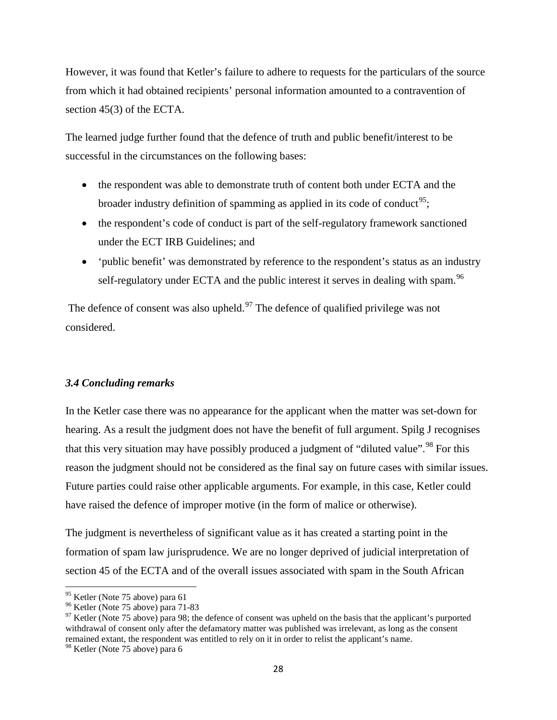However, it was found that Ketler's failure to adhere to requests for the particulars of the source from which it had obtained recipients' personal information amounted to a contravention of section 45(3) of the ECTA.

The learned judge further found that the defence of truth and public benefit/interest to be successful in the circumstances on the following bases:

- the respondent was able to demonstrate truth of content both under ECTA and the broader industry definition of spamming as applied in its code of conduct<sup>95</sup>;
- the respondent's code of conduct is part of the self-regulatory framework sanctioned under the ECT IRB Guidelines; and
- 'public benefit' was demonstrated by reference to the respondent's status as an industry self-regulatory under ECTA and the public interest it serves in dealing with spam.<sup>[96](#page-43-1)</sup>

The defence of consent was also upheld.<sup>[97](#page-43-2)</sup> The defence of qualified privilege was not considered.

## *3.4 Concluding remarks*

In the Ketler case there was no appearance for the applicant when the matter was set-down for hearing. As a result the judgment does not have the benefit of full argument. Spilg J recognises that this very situation may have possibly produced a judgment of "diluted value".<sup>[98](#page-43-3)</sup> For this reason the judgment should not be considered as the final say on future cases with similar issues. Future parties could raise other applicable arguments. For example, in this case, Ketler could have raised the defence of improper motive (in the form of malice or otherwise).

The judgment is nevertheless of significant value as it has created a starting point in the formation of spam law jurisprudence. We are no longer deprived of judicial interpretation of section 45 of the ECTA and of the overall issues associated with spam in the South African

<span id="page-43-2"></span><span id="page-43-1"></span>

<span id="page-43-0"></span><sup>&</sup>lt;sup>95</sup> Ketler (Note 75 above) para 61<br><sup>96</sup> Ketler (Note 75 above) para 71-83<br><sup>97</sup> Ketler (Note 75 above) para 98; the defence of consent was upheld on the basis that the applicant's purported withdrawal of consent only after the defamatory matter was published was irrelevant, as long as the consent remained extant, the respondent was entitled to rely on it in order to relist the applicant's name.

<span id="page-43-3"></span><sup>98</sup> Ketler (Note 75 above) para 6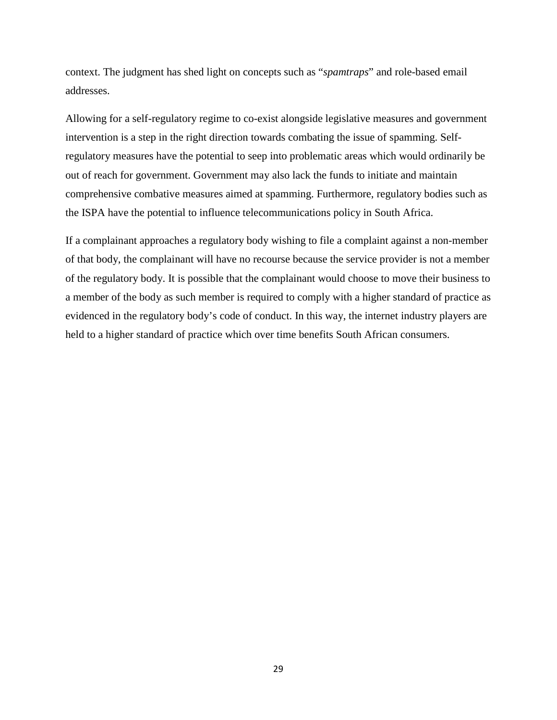context. The judgment has shed light on concepts such as "*spamtraps*" and role-based email addresses.

Allowing for a self-regulatory regime to co-exist alongside legislative measures and government intervention is a step in the right direction towards combating the issue of spamming. Selfregulatory measures have the potential to seep into problematic areas which would ordinarily be out of reach for government. Government may also lack the funds to initiate and maintain comprehensive combative measures aimed at spamming. Furthermore, regulatory bodies such as the ISPA have the potential to influence telecommunications policy in South Africa.

If a complainant approaches a regulatory body wishing to file a complaint against a non-member of that body, the complainant will have no recourse because the service provider is not a member of the regulatory body. It is possible that the complainant would choose to move their business to a member of the body as such member is required to comply with a higher standard of practice as evidenced in the regulatory body's code of conduct. In this way, the internet industry players are held to a higher standard of practice which over time benefits South African consumers.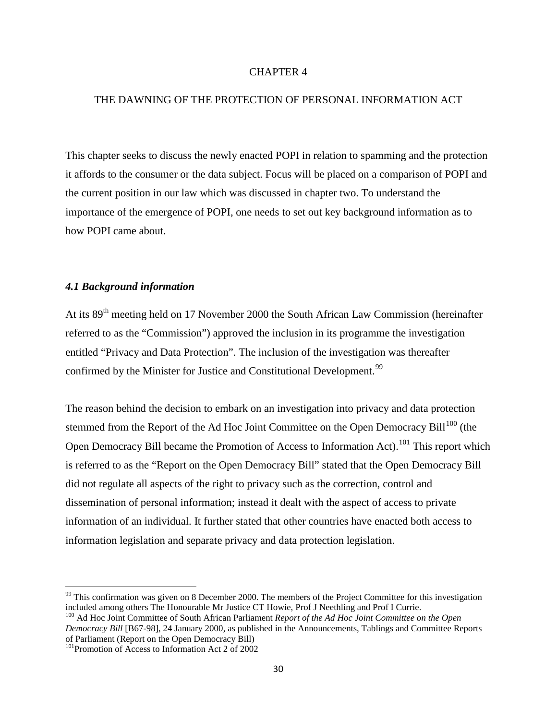#### CHAPTER 4

## THE DAWNING OF THE PROTECTION OF PERSONAL INFORMATION ACT

This chapter seeks to discuss the newly enacted POPI in relation to spamming and the protection it affords to the consumer or the data subject. Focus will be placed on a comparison of POPI and the current position in our law which was discussed in chapter two. To understand the importance of the emergence of POPI, one needs to set out key background information as to how POPI came about.

#### *4.1 Background information*

At its 89<sup>th</sup> meeting held on 17 November 2000 the South African Law Commission (hereinafter referred to as the "Commission") approved the inclusion in its programme the investigation entitled "Privacy and Data Protection". The inclusion of the investigation was thereafter confirmed by the Minister for Justice and Constitutional Development.<sup>[99](#page-45-0)</sup>

The reason behind the decision to embark on an investigation into privacy and data protection stemmed from the Report of the Ad Hoc Joint Committee on the Open Democracy Bill<sup>[100](#page-45-1)</sup> (the Open Democracy Bill became the Promotion of Access to Information Act).<sup>[101](#page-45-2)</sup> This report which is referred to as the "Report on the Open Democracy Bill" stated that the Open Democracy Bill did not regulate all aspects of the right to privacy such as the correction, control and dissemination of personal information; instead it dealt with the aspect of access to private information of an individual. It further stated that other countries have enacted both access to information legislation and separate privacy and data protection legislation.

<span id="page-45-0"></span> $99$  This confirmation was given on 8 December 2000. The members of the Project Committee for this investigation included among others The Honourable Mr Justice CT Howie, Prof J Neethling and Prof I Currie.

<span id="page-45-1"></span><sup>100</sup> Ad Hoc Joint Committee of South African Parliament *Report of the Ad Hoc Joint Committee on the Open Democracy Bill* [B67-98], 24 January 2000, as published in the Announcements, Tablings and Committee Reports of Parliament (Report on the Open Democracy Bill)

<span id="page-45-2"></span><sup>&</sup>lt;sup>101</sup>Promotion of Access to Information Act 2 of 2002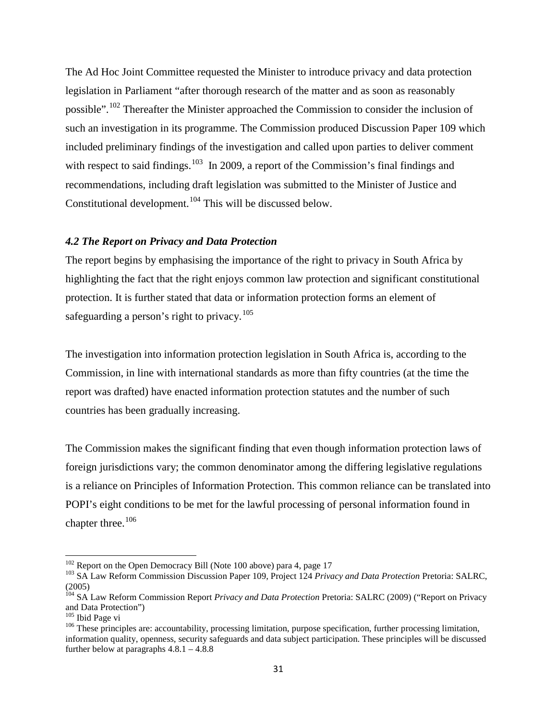The Ad Hoc Joint Committee requested the Minister to introduce privacy and data protection legislation in Parliament "after thorough research of the matter and as soon as reasonably possible".[102](#page-46-0) Thereafter the Minister approached the Commission to consider the inclusion of such an investigation in its programme. The Commission produced Discussion Paper 109 which included preliminary findings of the investigation and called upon parties to deliver comment with respect to said findings.<sup>[103](#page-46-1)</sup> In 2009, a report of the Commission's final findings and recommendations, including draft legislation was submitted to the Minister of Justice and Constitutional development.<sup>[104](#page-46-2)</sup> This will be discussed below.

#### *4.2 The Report on Privacy and Data Protection*

The report begins by emphasising the importance of the right to privacy in South Africa by highlighting the fact that the right enjoys common law protection and significant constitutional protection. It is further stated that data or information protection forms an element of safeguarding a person's right to privacy.<sup>[105](#page-46-3)</sup>

The investigation into information protection legislation in South Africa is, according to the Commission, in line with international standards as more than fifty countries (at the time the report was drafted) have enacted information protection statutes and the number of such countries has been gradually increasing.

The Commission makes the significant finding that even though information protection laws of foreign jurisdictions vary; the common denominator among the differing legislative regulations is a reliance on Principles of Information Protection. This common reliance can be translated into POPI's eight conditions to be met for the lawful processing of personal information found in chapter three.<sup>[106](#page-46-4)</sup>

<span id="page-46-1"></span><span id="page-46-0"></span><sup>&</sup>lt;sup>102</sup> Report on the Open Democracy Bill (Note 100 above) para 4, page 17<br><sup>103</sup> SA Law Reform Commission Discussion Paper 109, Project 124 *Privacy and Data Protection* Pretoria: SALRC, (2005)

<span id="page-46-2"></span><sup>104</sup> SA Law Reform Commission Report *Privacy and Data Protection* Pretoria: SALRC (2009) ("Report on Privacy and Data Protection")<br><sup>105</sup> Ibid Page vi

<span id="page-46-4"></span><span id="page-46-3"></span><sup>&</sup>lt;sup>106</sup> These principles are: accountability, processing limitation, purpose specification, further processing limitation, information quality, openness, security safeguards and data subject participation. These principles will be discussed further below at paragraphs  $4.8.1 - 4.8.8$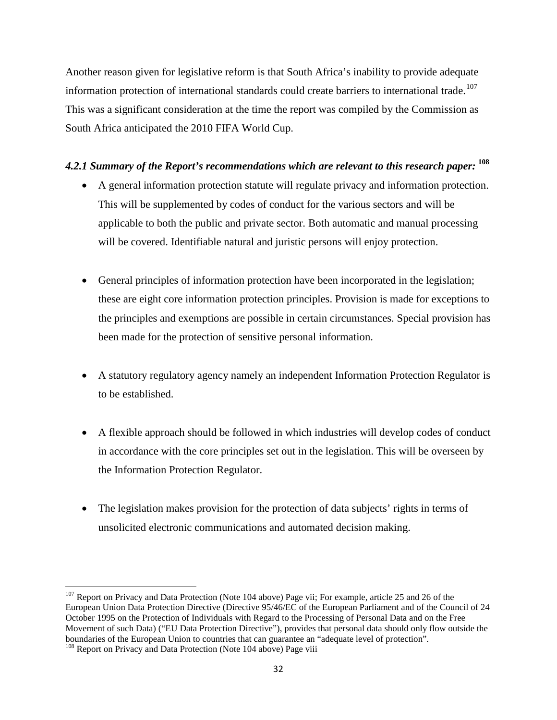Another reason given for legislative reform is that South Africa's inability to provide adequate information protection of international standards could create barriers to international trade.<sup>[107](#page-47-0)</sup> This was a significant consideration at the time the report was compiled by the Commission as South Africa anticipated the 2010 FIFA World Cup.

# *4.2.1 Summary of the Report's recommendations which are relevant to this research paper:* **[108](#page-47-1)**

- A general information protection statute will regulate privacy and information protection. This will be supplemented by codes of conduct for the various sectors and will be applicable to both the public and private sector. Both automatic and manual processing will be covered. Identifiable natural and juristic persons will enjoy protection.
- General principles of information protection have been incorporated in the legislation; these are eight core information protection principles. Provision is made for exceptions to the principles and exemptions are possible in certain circumstances. Special provision has been made for the protection of sensitive personal information.
- A statutory regulatory agency namely an independent Information Protection Regulator is to be established.
- A flexible approach should be followed in which industries will develop codes of conduct in accordance with the core principles set out in the legislation. This will be overseen by the Information Protection Regulator.
- The legislation makes provision for the protection of data subjects' rights in terms of unsolicited electronic communications and automated decision making.

<span id="page-47-0"></span><sup>&</sup>lt;sup>107</sup> Report on Privacy and Data Protection (Note 104 above) Page vii; For example, article 25 and 26 of the European Union Data Protection Directive (Directive 95/46/EC of the European Parliament and of the Council of 24 October 1995 on the Protection of Individuals with Regard to the Processing of Personal Data and on the Free Movement of such Data) ("EU Data Protection Directive"), provides that personal data should only flow outside the boundaries of the European Union to countries that can guarantee an "adequate level of protection".

<span id="page-47-1"></span><sup>&</sup>lt;sup>108</sup> Report on Privacy and Data Protection (Note 104 above) Page viii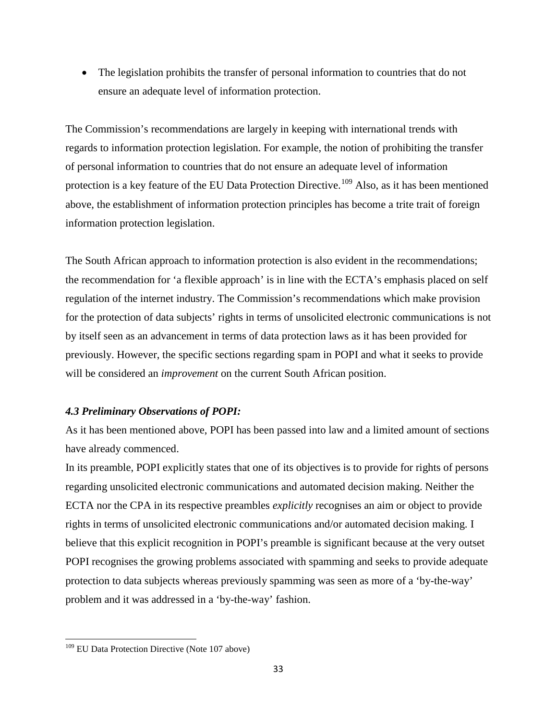• The legislation prohibits the transfer of personal information to countries that do not ensure an adequate level of information protection.

The Commission's recommendations are largely in keeping with international trends with regards to information protection legislation. For example, the notion of prohibiting the transfer of personal information to countries that do not ensure an adequate level of information protection is a key feature of the EU Data Protection Directive.<sup>[109](#page-48-0)</sup> Also, as it has been mentioned above, the establishment of information protection principles has become a trite trait of foreign information protection legislation.

The South African approach to information protection is also evident in the recommendations; the recommendation for 'a flexible approach' is in line with the ECTA's emphasis placed on self regulation of the internet industry. The Commission's recommendations which make provision for the protection of data subjects' rights in terms of unsolicited electronic communications is not by itself seen as an advancement in terms of data protection laws as it has been provided for previously. However, the specific sections regarding spam in POPI and what it seeks to provide will be considered an *improvement* on the current South African position.

## *4.3 Preliminary Observations of POPI:*

As it has been mentioned above, POPI has been passed into law and a limited amount of sections have already commenced.

In its preamble, POPI explicitly states that one of its objectives is to provide for rights of persons regarding unsolicited electronic communications and automated decision making. Neither the ECTA nor the CPA in its respective preambles *explicitly* recognises an aim or object to provide rights in terms of unsolicited electronic communications and/or automated decision making. I believe that this explicit recognition in POPI's preamble is significant because at the very outset POPI recognises the growing problems associated with spamming and seeks to provide adequate protection to data subjects whereas previously spamming was seen as more of a 'by-the-way' problem and it was addressed in a 'by-the-way' fashion.

<span id="page-48-0"></span><sup>&</sup>lt;sup>109</sup> EU Data Protection Directive (Note 107 above)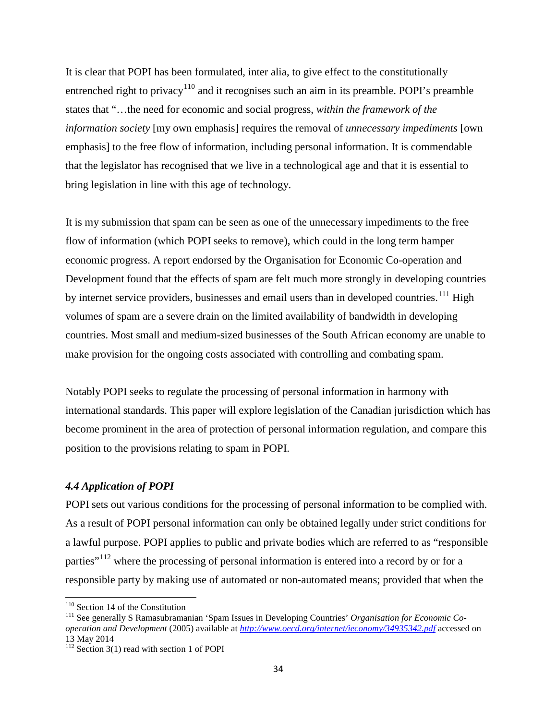It is clear that POPI has been formulated, inter alia, to give effect to the constitutionally entrenched right to privacy<sup>[110](#page-49-0)</sup> and it recognises such an aim in its preamble. POPI's preamble states that "…the need for economic and social progress, *within the framework of the information society* [my own emphasis] requires the removal of *unnecessary impediments* [own emphasis] to the free flow of information, including personal information. It is commendable that the legislator has recognised that we live in a technological age and that it is essential to bring legislation in line with this age of technology.

It is my submission that spam can be seen as one of the unnecessary impediments to the free flow of information (which POPI seeks to remove), which could in the long term hamper economic progress. A report endorsed by the Organisation for Economic Co-operation and Development found that the effects of spam are felt much more strongly in developing countries by internet service providers, businesses and email users than in developed countries.<sup>[111](#page-49-1)</sup> High volumes of spam are a severe drain on the limited availability of bandwidth in developing countries. Most small and medium-sized businesses of the South African economy are unable to make provision for the ongoing costs associated with controlling and combating spam.

Notably POPI seeks to regulate the processing of personal information in harmony with international standards. This paper will explore legislation of the Canadian jurisdiction which has become prominent in the area of protection of personal information regulation, and compare this position to the provisions relating to spam in POPI.

## *4.4 Application of POPI*

POPI sets out various conditions for the processing of personal information to be complied with. As a result of POPI personal information can only be obtained legally under strict conditions for a lawful purpose. POPI applies to public and private bodies which are referred to as "responsible parties<sup>"[112](#page-49-2)</sup> where the processing of personal information is entered into a record by or for a responsible party by making use of automated or non-automated means; provided that when the

<span id="page-49-1"></span><span id="page-49-0"></span><sup>&</sup>lt;sup>110</sup> Section 14 of the Constitution<br><sup>111</sup> See generally S Ramasubramanian 'Spam Issues in Developing Countries' *Organisation for Economic Cooperation and Development* (2005) available at *<http://www.oecd.org/internet/ieconomy/34935342.pdf>* accessed on 13 May 2014

<span id="page-49-2"></span> $112$  Section 3(1) read with section 1 of POPI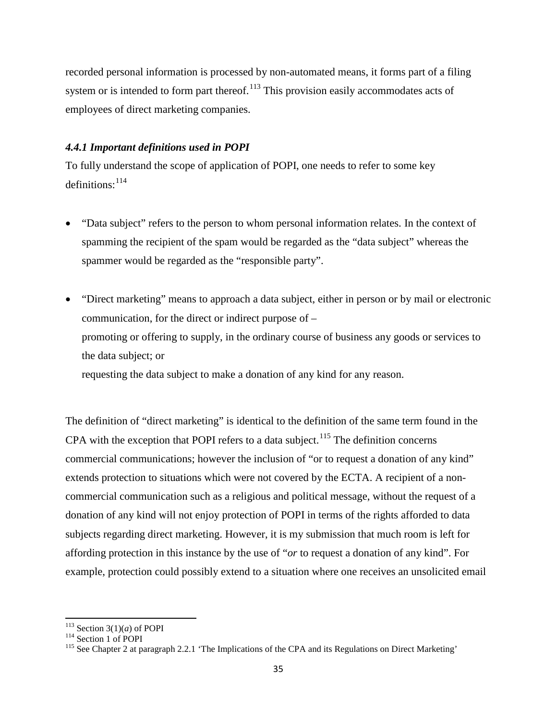recorded personal information is processed by non-automated means, it forms part of a filing system or is intended to form part thereof.<sup>[113](#page-50-0)</sup> This provision easily accommodates acts of employees of direct marketing companies.

## *4.4.1 Important definitions used in POPI*

To fully understand the scope of application of POPI, one needs to refer to some key definitions: $114$ 

- "Data subject" refers to the person to whom personal information relates. In the context of spamming the recipient of the spam would be regarded as the "data subject" whereas the spammer would be regarded as the "responsible party".
- "Direct marketing" means to approach a data subject, either in person or by mail or electronic communication, for the direct or indirect purpose of – promoting or offering to supply, in the ordinary course of business any goods or services to the data subject; or requesting the data subject to make a donation of any kind for any reason.

The definition of "direct marketing" is identical to the definition of the same term found in the CPA with the exception that POPI refers to a data subject.<sup>[115](#page-50-2)</sup> The definition concerns commercial communications; however the inclusion of "or to request a donation of any kind" extends protection to situations which were not covered by the ECTA. A recipient of a noncommercial communication such as a religious and political message, without the request of a donation of any kind will not enjoy protection of POPI in terms of the rights afforded to data subjects regarding direct marketing. However, it is my submission that much room is left for affording protection in this instance by the use of "*or* to request a donation of any kind". For example, protection could possibly extend to a situation where one receives an unsolicited email

<span id="page-50-2"></span><span id="page-50-1"></span>

<span id="page-50-0"></span><sup>&</sup>lt;sup>113</sup> Section 3(1)(*a*) of POPI<br><sup>114</sup> Section 1 of POPI<br><sup>115</sup> See Chapter 2 at paragraph 2.2.1 'The Implications of the CPA and its Regulations on Direct Marketing'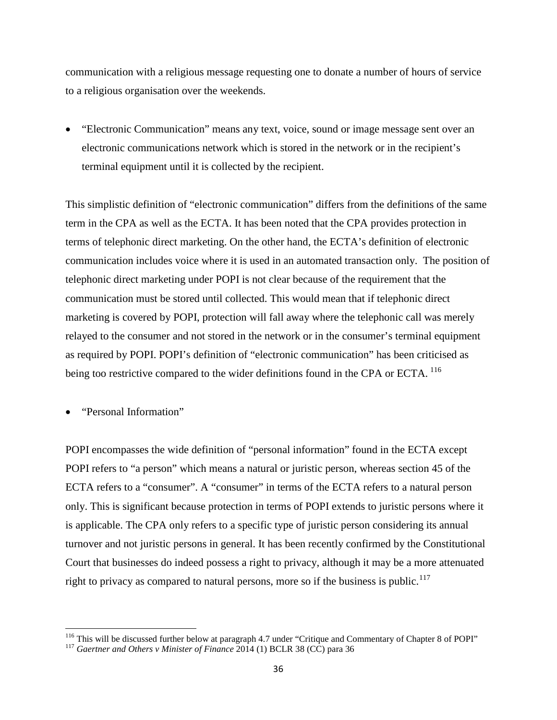communication with a religious message requesting one to donate a number of hours of service to a religious organisation over the weekends.

• "Electronic Communication" means any text, voice, sound or image message sent over an electronic communications network which is stored in the network or in the recipient's terminal equipment until it is collected by the recipient.

This simplistic definition of "electronic communication" differs from the definitions of the same term in the CPA as well as the ECTA. It has been noted that the CPA provides protection in terms of telephonic direct marketing. On the other hand, the ECTA's definition of electronic communication includes voice where it is used in an automated transaction only. The position of telephonic direct marketing under POPI is not clear because of the requirement that the communication must be stored until collected. This would mean that if telephonic direct marketing is covered by POPI, protection will fall away where the telephonic call was merely relayed to the consumer and not stored in the network or in the consumer's terminal equipment as required by POPI. POPI's definition of "electronic communication" has been criticised as being too restrictive compared to the wider definitions found in the CPA or ECTA. <sup>[116](#page-51-0)</sup>

• "Personal Information"

POPI encompasses the wide definition of "personal information" found in the ECTA except POPI refers to "a person" which means a natural or juristic person, whereas section 45 of the ECTA refers to a "consumer". A "consumer" in terms of the ECTA refers to a natural person only. This is significant because protection in terms of POPI extends to juristic persons where it is applicable. The CPA only refers to a specific type of juristic person considering its annual turnover and not juristic persons in general. It has been recently confirmed by the Constitutional Court that businesses do indeed possess a right to privacy, although it may be a more attenuated right to privacy as compared to natural persons, more so if the business is public.<sup>[117](#page-51-1)</sup>

<span id="page-51-0"></span><sup>&</sup>lt;sup>116</sup> This will be discussed further below at paragraph 4.7 under "Critique and Commentary of Chapter 8 of POPI" <sup>117</sup> *Gaertner and Others v Minister of Finance* 2014 (1) BCLR 38 (CC) para 36

<span id="page-51-1"></span>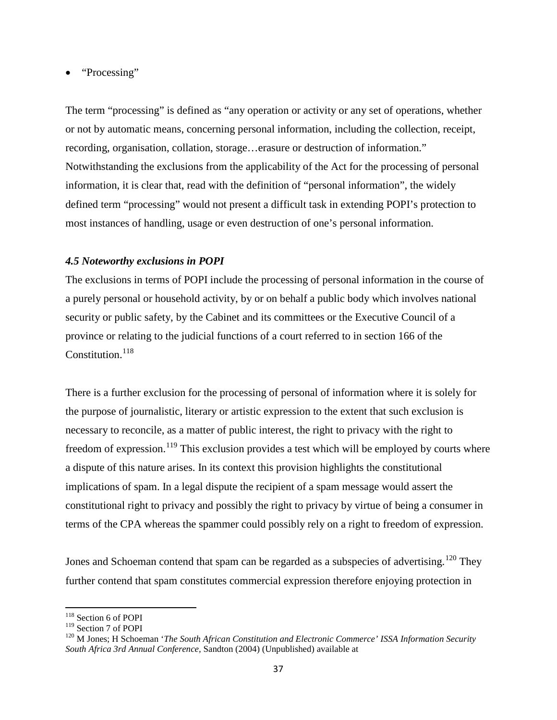## • "Processing"

The term "processing" is defined as "any operation or activity or any set of operations, whether or not by automatic means, concerning personal information, including the collection, receipt, recording, organisation, collation, storage…erasure or destruction of information." Notwithstanding the exclusions from the applicability of the Act for the processing of personal information, it is clear that, read with the definition of "personal information", the widely defined term "processing" would not present a difficult task in extending POPI's protection to most instances of handling, usage or even destruction of one's personal information.

## *4.5 Noteworthy exclusions in POPI*

The exclusions in terms of POPI include the processing of personal information in the course of a purely personal or household activity, by or on behalf a public body which involves national security or public safety, by the Cabinet and its committees or the Executive Council of a province or relating to the judicial functions of a court referred to in section 166 of the Constitution.<sup>[118](#page-52-0)</sup>

There is a further exclusion for the processing of personal of information where it is solely for the purpose of journalistic, literary or artistic expression to the extent that such exclusion is necessary to reconcile, as a matter of public interest, the right to privacy with the right to freedom of expression.<sup>[119](#page-52-1)</sup> This exclusion provides a test which will be employed by courts where a dispute of this nature arises. In its context this provision highlights the constitutional implications of spam. In a legal dispute the recipient of a spam message would assert the constitutional right to privacy and possibly the right to privacy by virtue of being a consumer in terms of the CPA whereas the spammer could possibly rely on a right to freedom of expression.

Jones and Schoeman contend that spam can be regarded as a subspecies of advertising.<sup>[120](#page-52-2)</sup> They further contend that spam constitutes commercial expression therefore enjoying protection in

<span id="page-52-0"></span> $118$  Section 6 of POPI<br> $119$  Section 7 of POPI

<span id="page-52-2"></span><span id="page-52-1"></span><sup>&</sup>lt;sup>120</sup> M Jones; H Schoeman '*The South African Constitution and Electronic Commerce' ISSA Information Security South Africa 3rd Annual Conference,* Sandton (2004) (Unpublished) available at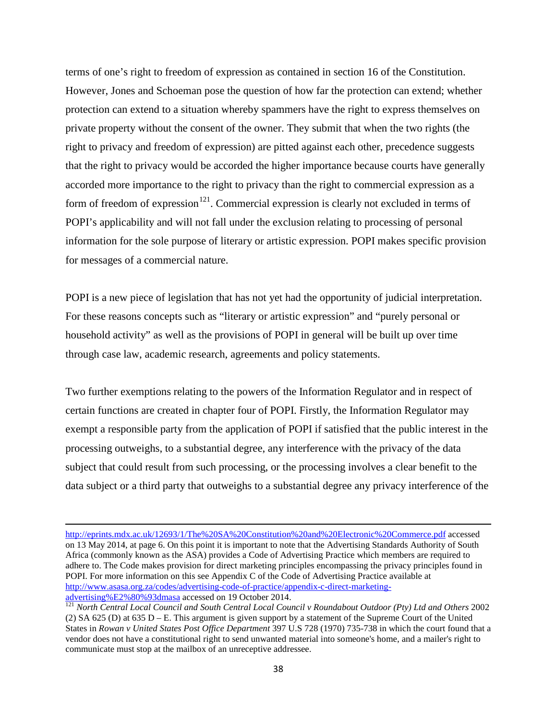terms of one's right to freedom of expression as contained in section 16 of the Constitution. However, Jones and Schoeman pose the question of how far the protection can extend; whether protection can extend to a situation whereby spammers have the right to express themselves on private property without the consent of the owner. They submit that when the two rights (the right to privacy and freedom of expression) are pitted against each other, precedence suggests that the right to privacy would be accorded the higher importance because courts have generally accorded more importance to the right to privacy than the right to commercial expression as a form of freedom of expression<sup>[121](#page-53-0)</sup>. Commercial expression is clearly not excluded in terms of POPI's applicability and will not fall under the exclusion relating to processing of personal information for the sole purpose of literary or artistic expression. POPI makes specific provision for messages of a commercial nature.

POPI is a new piece of legislation that has not yet had the opportunity of judicial interpretation. For these reasons concepts such as "literary or artistic expression" and "purely personal or household activity" as well as the provisions of POPI in general will be built up over time through case law, academic research, agreements and policy statements.

Two further exemptions relating to the powers of the Information Regulator and in respect of certain functions are created in chapter four of POPI. Firstly, the Information Regulator may exempt a responsible party from the application of POPI if satisfied that the public interest in the processing outweighs, to a substantial degree, any interference with the privacy of the data subject that could result from such processing, or the processing involves a clear benefit to the data subject or a third party that outweighs to a substantial degree any privacy interference of the

 $\overline{\phantom{a}}$ 

<http://eprints.mdx.ac.uk/12693/1/The%20SA%20Constitution%20and%20Electronic%20Commerce.pdf> accessed on 13 May 2014, at page 6. On this point it is important to note that the Advertising Standards Authority of South Africa (commonly known as the ASA) provides a Code of Advertising Practice which members are required to adhere to. The Code makes provision for direct marketing principles encompassing the privacy principles found in POPI. For more information on this see Appendix C of the Code of Advertising Practice available at [http://www.asasa.org.za/codes/advertising-code-of-practice/appendix-c-direct-marketing-](http://www.asasa.org.za/codes/advertising-code-of-practice/appendix-c-direct-marketing-advertising%E2%80%93dmasa)advertising%E2%80%93dmasa accessed on 19 October 2014.<br><sup>[121](http://www.asasa.org.za/codes/advertising-code-of-practice/appendix-c-direct-marketing-advertising%E2%80%93dmasa)</sup> *North Central Local Council and South Central Local Council v Roundabout Outdoor (Pty) Ltd and Others* 2002

<span id="page-53-0"></span><sup>(2)</sup> SA 625 (D) at 635 D – E. This argument is given support by a statement of the Supreme Court of the United States in *Rowan v United States Post Office Department* 397 U.S 728 (1970) 735-738 in which the court found that a vendor does not have a constitutional right to send unwanted material into someone's home, and a mailer's right to communicate must stop at the mailbox of an unreceptive addressee.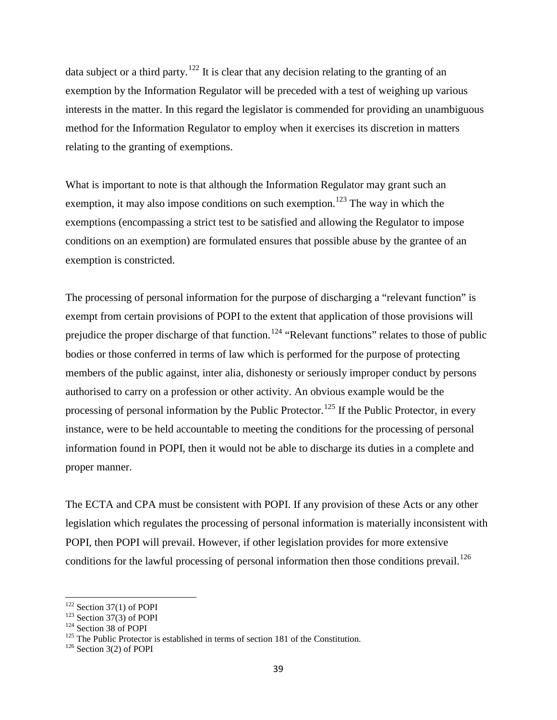data subject or a third party.<sup>[122](#page-54-0)</sup> It is clear that any decision relating to the granting of an exemption by the Information Regulator will be preceded with a test of weighing up various interests in the matter. In this regard the legislator is commended for providing an unambiguous method for the Information Regulator to employ when it exercises its discretion in matters relating to the granting of exemptions.

What is important to note is that although the Information Regulator may grant such an exemption, it may also impose conditions on such exemption.<sup>[123](#page-54-1)</sup> The way in which the exemptions (encompassing a strict test to be satisfied and allowing the Regulator to impose conditions on an exemption) are formulated ensures that possible abuse by the grantee of an exemption is constricted.

The processing of personal information for the purpose of discharging a "relevant function" is exempt from certain provisions of POPI to the extent that application of those provisions will prejudice the proper discharge of that function.<sup>[124](#page-54-2)</sup> "Relevant functions" relates to those of public bodies or those conferred in terms of law which is performed for the purpose of protecting members of the public against, inter alia, dishonesty or seriously improper conduct by persons authorised to carry on a profession or other activity. An obvious example would be the processing of personal information by the Public Protector.<sup>[125](#page-54-3)</sup> If the Public Protector, in every instance, were to be held accountable to meeting the conditions for the processing of personal information found in POPI, then it would not be able to discharge its duties in a complete and proper manner.

The ECTA and CPA must be consistent with POPI. If any provision of these Acts or any other legislation which regulates the processing of personal information is materially inconsistent with POPI, then POPI will prevail. However, if other legislation provides for more extensive conditions for the lawful processing of personal information then those conditions prevail.<sup>[126](#page-54-4)</sup>

<span id="page-54-1"></span>

<span id="page-54-3"></span><span id="page-54-2"></span>

<span id="page-54-0"></span><sup>&</sup>lt;sup>122</sup> Section 37(1) of POPI<br><sup>123</sup> Section 37(3) of POPI<br><sup>124</sup> Section 38 of POPI<br><sup>125</sup> The Public Protector is established in terms of section 181 of the Constitution.<br><sup>126</sup> Section 3(2) of POPI

<span id="page-54-4"></span>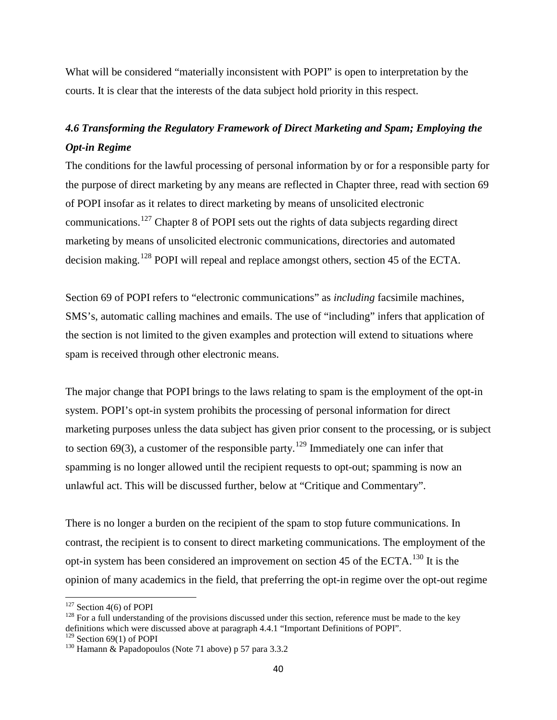What will be considered "materially inconsistent with POPI" is open to interpretation by the courts. It is clear that the interests of the data subject hold priority in this respect.

# *4.6 Transforming the Regulatory Framework of Direct Marketing and Spam; Employing the Opt-in Regime*

The conditions for the lawful processing of personal information by or for a responsible party for the purpose of direct marketing by any means are reflected in Chapter three, read with section 69 of POPI insofar as it relates to direct marketing by means of unsolicited electronic communications.<sup>[127](#page-55-0)</sup> Chapter 8 of POPI sets out the rights of data subjects regarding direct marketing by means of unsolicited electronic communications, directories and automated decision making.<sup>[128](#page-55-1)</sup> POPI will repeal and replace amongst others, section 45 of the ECTA.

Section 69 of POPI refers to "electronic communications" as *including* facsimile machines, SMS's, automatic calling machines and emails. The use of "including" infers that application of the section is not limited to the given examples and protection will extend to situations where spam is received through other electronic means.

The major change that POPI brings to the laws relating to spam is the employment of the opt-in system. POPI's opt-in system prohibits the processing of personal information for direct marketing purposes unless the data subject has given prior consent to the processing, or is subject to section 69(3), a customer of the responsible party.<sup>[129](#page-55-2)</sup> Immediately one can infer that spamming is no longer allowed until the recipient requests to opt-out; spamming is now an unlawful act. This will be discussed further, below at "Critique and Commentary".

There is no longer a burden on the recipient of the spam to stop future communications. In contrast, the recipient is to consent to direct marketing communications. The employment of the opt-in system has been considered an improvement on section 45 of the ECTA.[130](#page-55-3) It is the opinion of many academics in the field, that preferring the opt-in regime over the opt-out regime

<span id="page-55-1"></span>

<span id="page-55-0"></span><sup>&</sup>lt;sup>127</sup> Section 4(6) of POPI<br><sup>128</sup> For a full understanding of the provisions discussed under this section, reference must be made to the key definitions which were discussed above at paragraph 4.4.1 "Important Definitions of POPI".<br><sup>129</sup> Section 69(1) of POPI

<span id="page-55-3"></span><span id="page-55-2"></span> $130$  Hamann & Papadopoulos (Note 71 above) p 57 para 3.3.2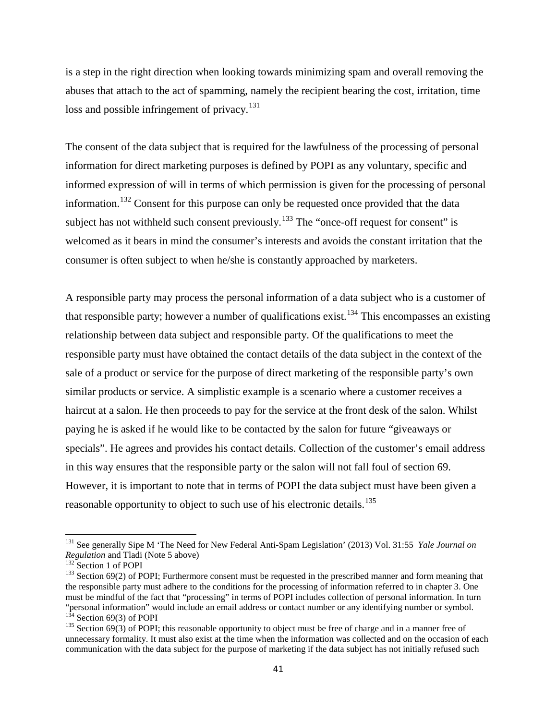is a step in the right direction when looking towards minimizing spam and overall removing the abuses that attach to the act of spamming, namely the recipient bearing the cost, irritation, time loss and possible infringement of privacy.<sup>[131](#page-56-0)</sup>

The consent of the data subject that is required for the lawfulness of the processing of personal information for direct marketing purposes is defined by POPI as any voluntary, specific and informed expression of will in terms of which permission is given for the processing of personal information.[132](#page-56-1) Consent for this purpose can only be requested once provided that the data subject has not withheld such consent previously.<sup>[133](#page-56-2)</sup> The "once-off request for consent" is welcomed as it bears in mind the consumer's interests and avoids the constant irritation that the consumer is often subject to when he/she is constantly approached by marketers.

A responsible party may process the personal information of a data subject who is a customer of that responsible party; however a number of qualifications exist.<sup>[134](#page-56-3)</sup> This encompasses an existing relationship between data subject and responsible party. Of the qualifications to meet the responsible party must have obtained the contact details of the data subject in the context of the sale of a product or service for the purpose of direct marketing of the responsible party's own similar products or service. A simplistic example is a scenario where a customer receives a haircut at a salon. He then proceeds to pay for the service at the front desk of the salon. Whilst paying he is asked if he would like to be contacted by the salon for future "giveaways or specials". He agrees and provides his contact details. Collection of the customer's email address in this way ensures that the responsible party or the salon will not fall foul of section 69. However, it is important to note that in terms of POPI the data subject must have been given a reasonable opportunity to object to such use of his electronic details.<sup>[135](#page-56-4)</sup>

<span id="page-56-0"></span><sup>&</sup>lt;sup>131</sup> See generally Sipe M 'The Need for New Federal Anti-Spam Legislation' (2013) Vol. 31:55 *Yale Journal on Regulation* and Tladi (Note 5 above)

<span id="page-56-2"></span><span id="page-56-1"></span><sup>&</sup>lt;sup>132</sup> Section 1 of POPI<br><sup>133</sup> Section 69(2) of POPI; Furthermore consent must be requested in the prescribed manner and form meaning that the responsible party must adhere to the conditions for the processing of information referred to in chapter 3. One must be mindful of the fact that "processing" in terms of POPI includes collection of personal information. In turn "personal information" would include an email address or contact number or any identifying number or symbol.<br><sup>134</sup> Section 69(3) of POPI

<span id="page-56-4"></span><span id="page-56-3"></span> $135$  Section 69(3) of POPI; this reasonable opportunity to object must be free of charge and in a manner free of unnecessary formality. It must also exist at the time when the information was collected and on the occasion of each communication with the data subject for the purpose of marketing if the data subject has not initially refused such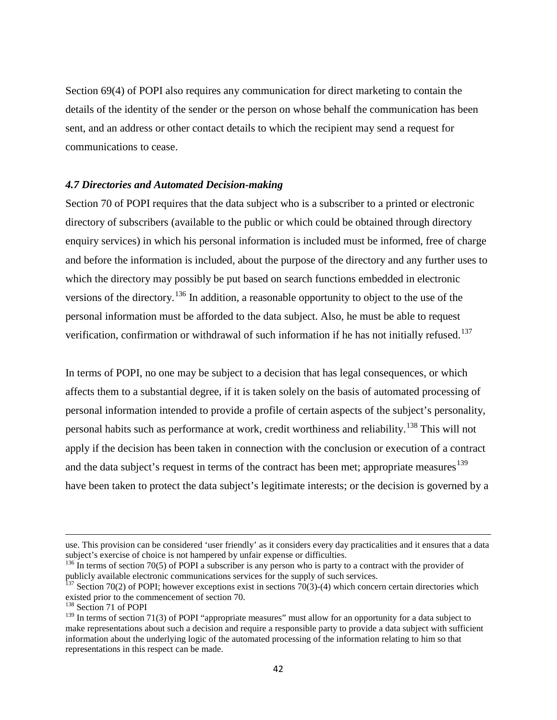Section 69(4) of POPI also requires any communication for direct marketing to contain the details of the identity of the sender or the person on whose behalf the communication has been sent, and an address or other contact details to which the recipient may send a request for communications to cease.

#### *4.7 Directories and Automated Decision-making*

Section 70 of POPI requires that the data subject who is a subscriber to a printed or electronic directory of subscribers (available to the public or which could be obtained through directory enquiry services) in which his personal information is included must be informed, free of charge and before the information is included, about the purpose of the directory and any further uses to which the directory may possibly be put based on search functions embedded in electronic versions of the directory.[136](#page-57-0) In addition, a reasonable opportunity to object to the use of the personal information must be afforded to the data subject. Also, he must be able to request verification, confirmation or withdrawal of such information if he has not initially refused.<sup>[137](#page-57-1)</sup>

In terms of POPI, no one may be subject to a decision that has legal consequences, or which affects them to a substantial degree, if it is taken solely on the basis of automated processing of personal information intended to provide a profile of certain aspects of the subject's personality, personal habits such as performance at work, credit worthiness and reliability.<sup>[138](#page-57-2)</sup> This will not apply if the decision has been taken in connection with the conclusion or execution of a contract and the data subject's request in terms of the contract has been met; appropriate measures $139$ have been taken to protect the data subject's legitimate interests; or the decision is governed by a

 $\overline{\phantom{a}}$ 

use. This provision can be considered 'user friendly' as it considers every day practicalities and it ensures that a data subject's exercise of choice is not hampered by unfair expense or difficulties.

<span id="page-57-0"></span> $^{136}$  In terms of section 70(5) of POPI a subscriber is any person who is party to a contract with the provider of publicly available electronic communications services for the supply of such services.

<span id="page-57-1"></span><sup>&</sup>lt;sup>137</sup> Section 70(2) of POPI; however exceptions exist in sections  $70(3)$ -(4) which concern certain directories which existed prior to the commencement of section 70. 138 Section 71 of POPI

<span id="page-57-2"></span>

<span id="page-57-3"></span><sup>&</sup>lt;sup>139</sup> In terms of section 71(3) of POPI "appropriate measures" must allow for an opportunity for a data subject to make representations about such a decision and require a responsible party to provide a data subject with sufficient information about the underlying logic of the automated processing of the information relating to him so that representations in this respect can be made.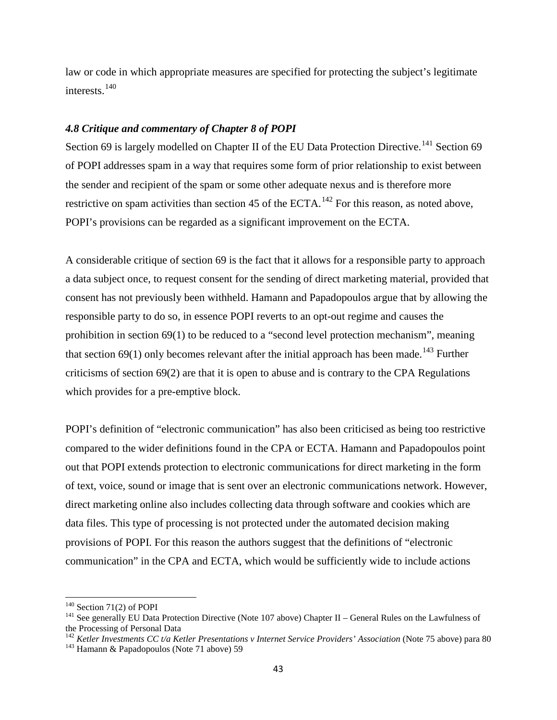law or code in which appropriate measures are specified for protecting the subject's legitimate interests. [140](#page-58-0)

#### *4.8 Critique and commentary of Chapter 8 of POPI*

Section 69 is largely modelled on Chapter II of the EU Data Protection Directive.<sup>[141](#page-58-1)</sup> Section 69 of POPI addresses spam in a way that requires some form of prior relationship to exist between the sender and recipient of the spam or some other adequate nexus and is therefore more restrictive on spam activities than section 45 of the ECTA.<sup>[142](#page-58-2)</sup> For this reason, as noted above, POPI's provisions can be regarded as a significant improvement on the ECTA.

A considerable critique of section 69 is the fact that it allows for a responsible party to approach a data subject once, to request consent for the sending of direct marketing material, provided that consent has not previously been withheld. Hamann and Papadopoulos argue that by allowing the responsible party to do so, in essence POPI reverts to an opt-out regime and causes the prohibition in section 69(1) to be reduced to a "second level protection mechanism", meaning that section 69(1) only becomes relevant after the initial approach has been made.<sup>[143](#page-58-3)</sup> Further criticisms of section 69(2) are that it is open to abuse and is contrary to the CPA Regulations which provides for a pre-emptive block.

POPI's definition of "electronic communication" has also been criticised as being too restrictive compared to the wider definitions found in the CPA or ECTA. Hamann and Papadopoulos point out that POPI extends protection to electronic communications for direct marketing in the form of text, voice, sound or image that is sent over an electronic communications network. However, direct marketing online also includes collecting data through software and cookies which are data files. This type of processing is not protected under the automated decision making provisions of POPI. For this reason the authors suggest that the definitions of "electronic communication" in the CPA and ECTA, which would be sufficiently wide to include actions

<span id="page-58-1"></span><span id="page-58-0"></span><sup>&</sup>lt;sup>140</sup> Section 71(2) of POPI<br><sup>141</sup> See generally EU Data Protection Directive (Note 107 above) Chapter II – General Rules on the Lawfulness of the Processing of Personal Data

<span id="page-58-2"></span><sup>&</sup>lt;sup>142</sup> *Ketler Investments CC t/a Ketler Presentations v Internet Service Providers' Association* (Note 75 above) para 80 <sup>143</sup> Hamann & Papadopoulos (Note 71 above) 59

<span id="page-58-3"></span>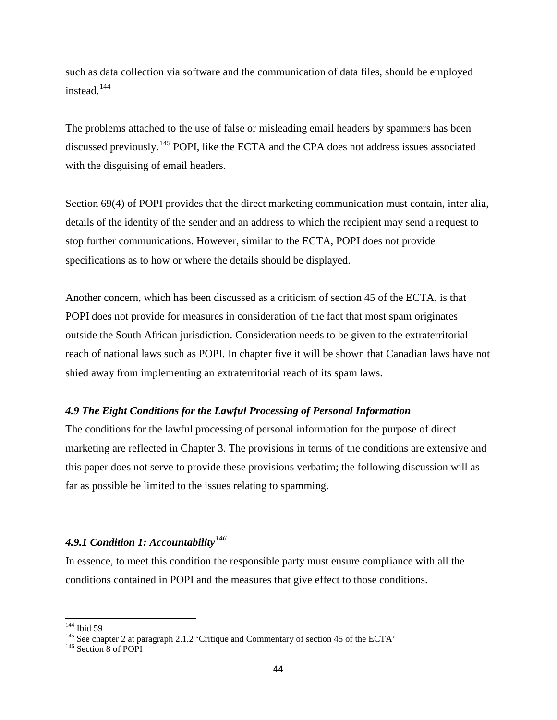such as data collection via software and the communication of data files, should be employed instead.<sup>[144](#page-59-0)</sup>

The problems attached to the use of false or misleading email headers by spammers has been discussed previously.<sup>[145](#page-59-1)</sup> POPI, like the ECTA and the CPA does not address issues associated with the disguising of email headers.

Section 69(4) of POPI provides that the direct marketing communication must contain, inter alia, details of the identity of the sender and an address to which the recipient may send a request to stop further communications. However, similar to the ECTA, POPI does not provide specifications as to how or where the details should be displayed.

Another concern, which has been discussed as a criticism of section 45 of the ECTA, is that POPI does not provide for measures in consideration of the fact that most spam originates outside the South African jurisdiction. Consideration needs to be given to the extraterritorial reach of national laws such as POPI. In chapter five it will be shown that Canadian laws have not shied away from implementing an extraterritorial reach of its spam laws.

#### *4.9 The Eight Conditions for the Lawful Processing of Personal Information*

The conditions for the lawful processing of personal information for the purpose of direct marketing are reflected in Chapter 3. The provisions in terms of the conditions are extensive and this paper does not serve to provide these provisions verbatim; the following discussion will as far as possible be limited to the issues relating to spamming.

## *4.9.1 Condition 1: Accountability[146](#page-59-2)*

In essence, to meet this condition the responsible party must ensure compliance with all the conditions contained in POPI and the measures that give effect to those conditions.

<span id="page-59-1"></span><span id="page-59-0"></span><sup>&</sup>lt;sup>144</sup> Ibid 59<br><sup>145</sup> See chapter 2 at paragraph 2.1.2 'Critique and Commentary of section 45 of the ECTA' <sup>146</sup> Section 8 of POPI

<span id="page-59-2"></span>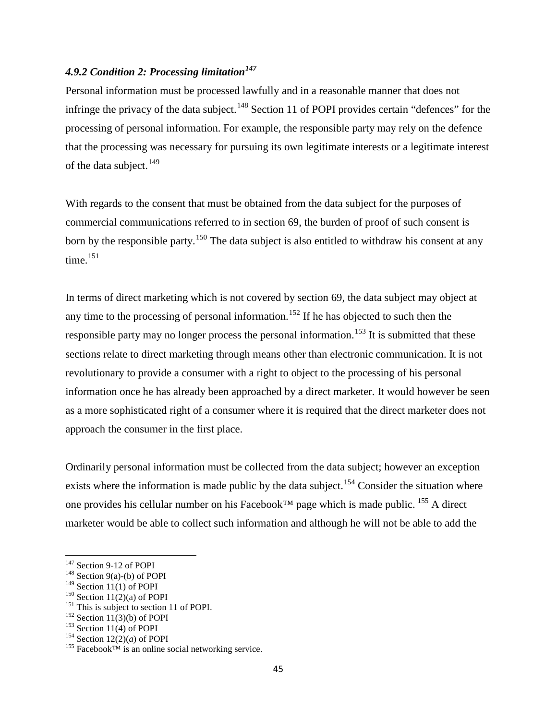## *4.9.2 Condition 2: Processing limitation[147](#page-60-0)*

Personal information must be processed lawfully and in a reasonable manner that does not infringe the privacy of the data subject.<sup>[148](#page-60-1)</sup> Section 11 of POPI provides certain "defences" for the processing of personal information. For example, the responsible party may rely on the defence that the processing was necessary for pursuing its own legitimate interests or a legitimate interest of the data subject.<sup>[149](#page-60-2)</sup>

With regards to the consent that must be obtained from the data subject for the purposes of commercial communications referred to in section 69, the burden of proof of such consent is born by the responsible party.<sup>[150](#page-60-3)</sup> The data subject is also entitled to withdraw his consent at any time.<sup>[151](#page-60-4)</sup>

In terms of direct marketing which is not covered by section 69, the data subject may object at any time to the processing of personal information.<sup>[152](#page-60-5)</sup> If he has objected to such then the responsible party may no longer process the personal information.<sup>[153](#page-60-6)</sup> It is submitted that these sections relate to direct marketing through means other than electronic communication. It is not revolutionary to provide a consumer with a right to object to the processing of his personal information once he has already been approached by a direct marketer. It would however be seen as a more sophisticated right of a consumer where it is required that the direct marketer does not approach the consumer in the first place.

Ordinarily personal information must be collected from the data subject; however an exception exists where the information is made public by the data subject.<sup>[154](#page-60-7)</sup> Consider the situation where one provides his cellular number on his Facebook<sup>™</sup> page which is made public. <sup>[155](#page-60-8)</sup> A direct marketer would be able to collect such information and although he will not be able to add the

<span id="page-60-1"></span><span id="page-60-0"></span><sup>&</sup>lt;sup>147</sup> Section 9-12 of POPI<br><sup>148</sup> Section 9(a)-(b) of POPI<br><sup>149</sup> Section 11(1) of POPI

<span id="page-60-5"></span>

<span id="page-60-6"></span>

<span id="page-60-8"></span><span id="page-60-7"></span>

<span id="page-60-4"></span><span id="page-60-3"></span><span id="page-60-2"></span><sup>&</sup>lt;sup>150</sup> Section 11(2)(a) of POPI<br><sup>151</sup> This is subject to section 11 of POPI.<br><sup>152</sup> Section 11(3)(b) of POPI<br><sup>153</sup> Section 11(4) of POPI<br><sup>154</sup> Section 12(2)(*a*) of POPI<br><sup>154</sup> Facebook<sup>TM</sup> is an online social networking ser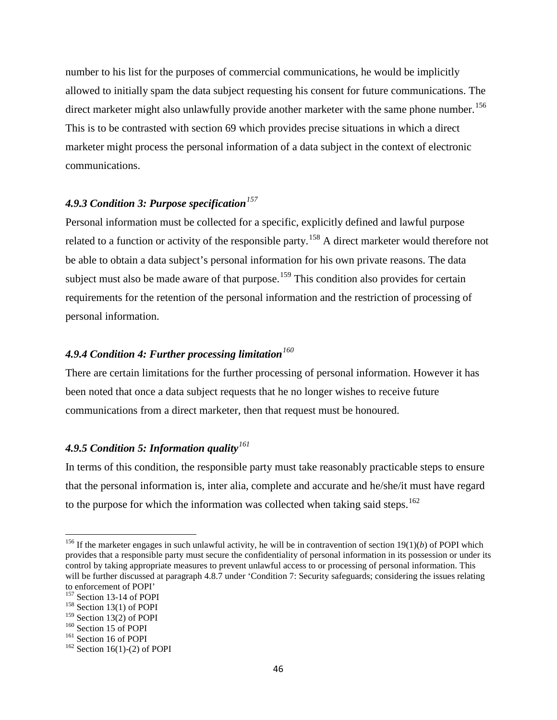number to his list for the purposes of commercial communications, he would be implicitly allowed to initially spam the data subject requesting his consent for future communications. The direct marketer might also unlawfully provide another marketer with the same phone number.<sup>[156](#page-61-0)</sup> This is to be contrasted with section 69 which provides precise situations in which a direct marketer might process the personal information of a data subject in the context of electronic communications.

## *4.9.3 Condition 3: Purpose specification[157](#page-61-1)*

Personal information must be collected for a specific, explicitly defined and lawful purpose related to a function or activity of the responsible party.<sup>[158](#page-61-2)</sup> A direct marketer would therefore not be able to obtain a data subject's personal information for his own private reasons. The data subject must also be made aware of that purpose.<sup>[159](#page-61-3)</sup> This condition also provides for certain requirements for the retention of the personal information and the restriction of processing of personal information.

## *4.9.4 Condition 4: Further processing limitation[160](#page-61-4)*

There are certain limitations for the further processing of personal information. However it has been noted that once a data subject requests that he no longer wishes to receive future communications from a direct marketer, then that request must be honoured.

## *4.9.5 Condition 5: Information quality[161](#page-61-5)*

In terms of this condition, the responsible party must take reasonably practicable steps to ensure that the personal information is, inter alia, complete and accurate and he/she/it must have regard to the purpose for which the information was collected when taking said steps.<sup>[162](#page-61-6)</sup>

<span id="page-61-0"></span><sup>&</sup>lt;sup>156</sup> If the marketer engages in such unlawful activity, he will be in contravention of section 19(1)(*b*) of POPI which provides that a responsible party must secure the confidentiality of personal information in its possession or under its control by taking appropriate measures to prevent unlawful access to or processing of personal information. This will be further discussed at paragraph 4.8.7 under 'Condition 7: Security safeguards; considering the issues relating

<span id="page-61-1"></span>to enforcement of POPI'<br><sup>157</sup> Section 13-14 of POPI

<span id="page-61-2"></span><sup>&</sup>lt;sup>158</sup> Section 13(1) of POPI<br><sup>159</sup> Section 13(2) of POPI

<span id="page-61-6"></span><span id="page-61-5"></span>

<span id="page-61-4"></span><span id="page-61-3"></span><sup>&</sup>lt;sup>160</sup> Section 15 of POPI<br><sup>161</sup> Section 16 of POPI <sup>162</sup> Section 16(1)-(2) of POPI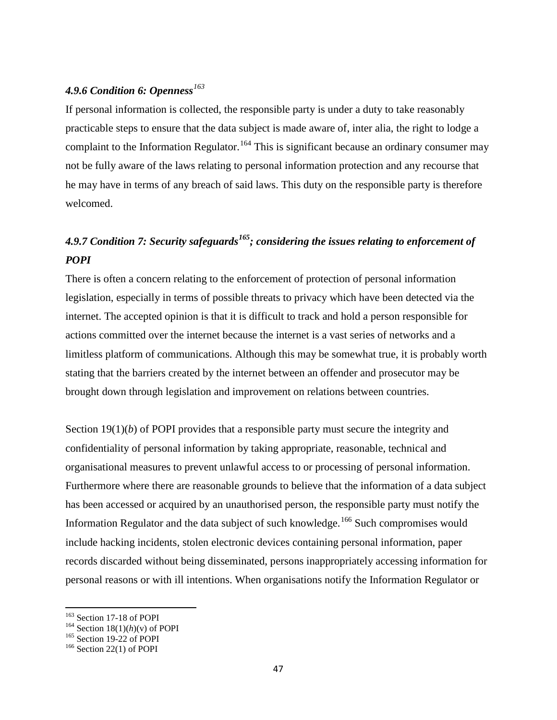## *4.9.6 Condition 6: Openness[163](#page-62-0)*

If personal information is collected, the responsible party is under a duty to take reasonably practicable steps to ensure that the data subject is made aware of, inter alia, the right to lodge a complaint to the Information Regulator.<sup>[164](#page-62-1)</sup> This is significant because an ordinary consumer may not be fully aware of the laws relating to personal information protection and any recourse that he may have in terms of any breach of said laws. This duty on the responsible party is therefore welcomed.

# *4.9.7 Condition 7: Security safeguards[165;](#page-62-2) considering the issues relating to enforcement of POPI*

There is often a concern relating to the enforcement of protection of personal information legislation, especially in terms of possible threats to privacy which have been detected via the internet. The accepted opinion is that it is difficult to track and hold a person responsible for actions committed over the internet because the internet is a vast series of networks and a limitless platform of communications. Although this may be somewhat true, it is probably worth stating that the barriers created by the internet between an offender and prosecutor may be brought down through legislation and improvement on relations between countries.

Section 19(1)(*b*) of POPI provides that a responsible party must secure the integrity and confidentiality of personal information by taking appropriate, reasonable, technical and organisational measures to prevent unlawful access to or processing of personal information. Furthermore where there are reasonable grounds to believe that the information of a data subject has been accessed or acquired by an unauthorised person, the responsible party must notify the Information Regulator and the data subject of such knowledge.<sup>[166](#page-62-3)</sup> Such compromises would include hacking incidents, stolen electronic devices containing personal information, paper records discarded without being disseminated, persons inappropriately accessing information for personal reasons or with ill intentions. When organisations notify the Information Regulator or

<span id="page-62-1"></span><span id="page-62-0"></span><sup>&</sup>lt;sup>163</sup> Section 17-18 of POPI<br><sup>164</sup> Section 18(1)(*h*)(*v*) of POPI<br><sup>165</sup> Section 19-22 of POPI<br><sup>166</sup> Section 22(1) of POPI

<span id="page-62-2"></span>

<span id="page-62-3"></span>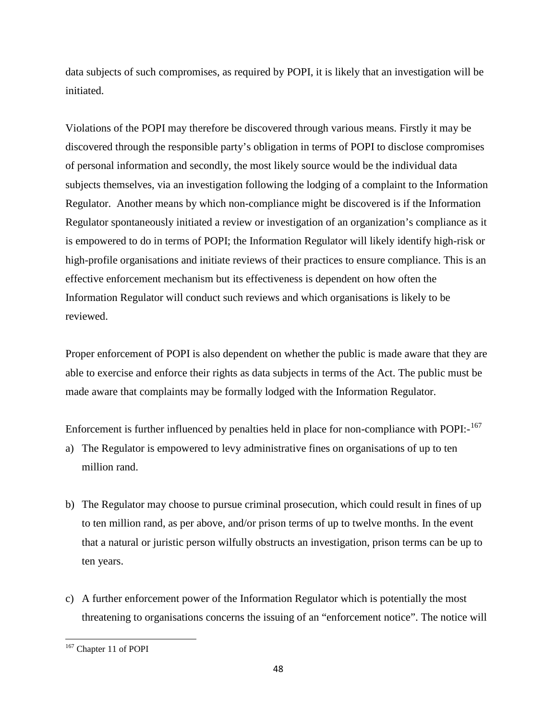data subjects of such compromises, as required by POPI, it is likely that an investigation will be initiated.

Violations of the POPI may therefore be discovered through various means. Firstly it may be discovered through the responsible party's obligation in terms of POPI to disclose compromises of personal information and secondly, the most likely source would be the individual data subjects themselves, via an investigation following the lodging of a complaint to the Information Regulator. Another means by which non-compliance might be discovered is if the Information Regulator spontaneously initiated a review or investigation of an organization's compliance as it is empowered to do in terms of POPI; the Information Regulator will likely identify high-risk or high-profile organisations and initiate reviews of their practices to ensure compliance. This is an effective enforcement mechanism but its effectiveness is dependent on how often the Information Regulator will conduct such reviews and which organisations is likely to be reviewed.

Proper enforcement of POPI is also dependent on whether the public is made aware that they are able to exercise and enforce their rights as data subjects in terms of the Act. The public must be made aware that complaints may be formally lodged with the Information Regulator.

Enforcement is further influenced by penalties held in place for non-compliance with POPI:-<sup>167</sup>

- a) The Regulator is empowered to levy administrative fines on organisations of up to ten million rand.
- b) The Regulator may choose to pursue criminal prosecution, which could result in fines of up to ten million rand, as per above, and/or prison terms of up to twelve months. In the event that a natural or juristic person wilfully obstructs an investigation, prison terms can be up to ten years.
- c) A further enforcement power of the Information Regulator which is potentially the most threatening to organisations concerns the issuing of an "enforcement notice". The notice will

<span id="page-63-0"></span><sup>167</sup> Chapter 11 of POPI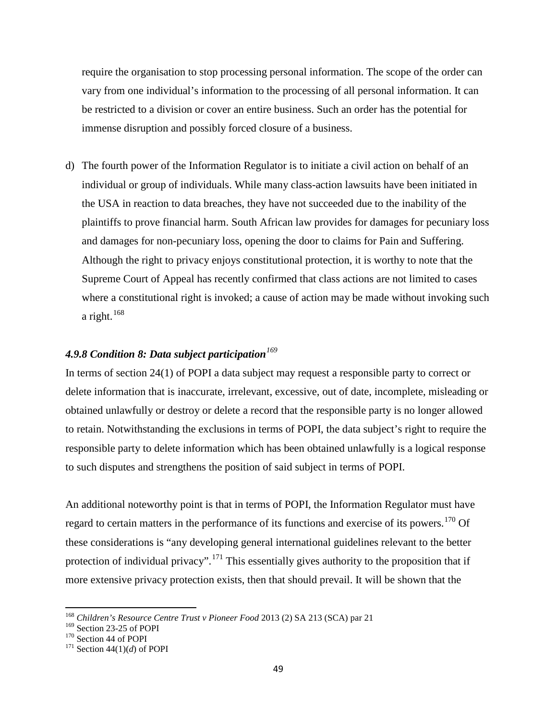require the organisation to stop processing personal information. The scope of the order can vary from one individual's information to the processing of all personal information. It can be restricted to a division or cover an entire business. Such an order has the potential for immense disruption and possibly forced closure of a business.

d) The fourth power of the Information Regulator is to initiate a civil action on behalf of an individual or group of individuals. While many class-action lawsuits have been initiated in the USA in reaction to data breaches, they have not succeeded due to the inability of the plaintiffs to prove financial harm. South African law provides for damages for pecuniary loss and damages for non-pecuniary loss, opening the door to claims for Pain and Suffering. Although the right to privacy enjoys constitutional protection, it is worthy to note that the Supreme Court of Appeal has recently confirmed that class actions are not limited to cases where a constitutional right is invoked; a cause of action may be made without invoking such a right. $168$ 

## *4.9.8 Condition 8: Data subject participation[169](#page-64-1)*

In terms of section 24(1) of POPI a data subject may request a responsible party to correct or delete information that is inaccurate, irrelevant, excessive, out of date, incomplete, misleading or obtained unlawfully or destroy or delete a record that the responsible party is no longer allowed to retain. Notwithstanding the exclusions in terms of POPI, the data subject's right to require the responsible party to delete information which has been obtained unlawfully is a logical response to such disputes and strengthens the position of said subject in terms of POPI.

An additional noteworthy point is that in terms of POPI, the Information Regulator must have regard to certain matters in the performance of its functions and exercise of its powers.<sup>[170](#page-64-2)</sup> Of these considerations is "any developing general international guidelines relevant to the better protection of individual privacy".<sup>[171](#page-64-3)</sup> This essentially gives authority to the proposition that if more extensive privacy protection exists, then that should prevail. It will be shown that the

<span id="page-64-0"></span> $^{168}$  *Children's Resource Centre Trust v Pioneer Food* 2013 (2) SA 213 (SCA) par 21 $^{169}$  Section 23-25 of POPI

<span id="page-64-1"></span>

<span id="page-64-3"></span><span id="page-64-2"></span><sup>&</sup>lt;sup>170</sup> Section 44 of POPI<br><sup>171</sup> Section 44(1)(*d*) of POPI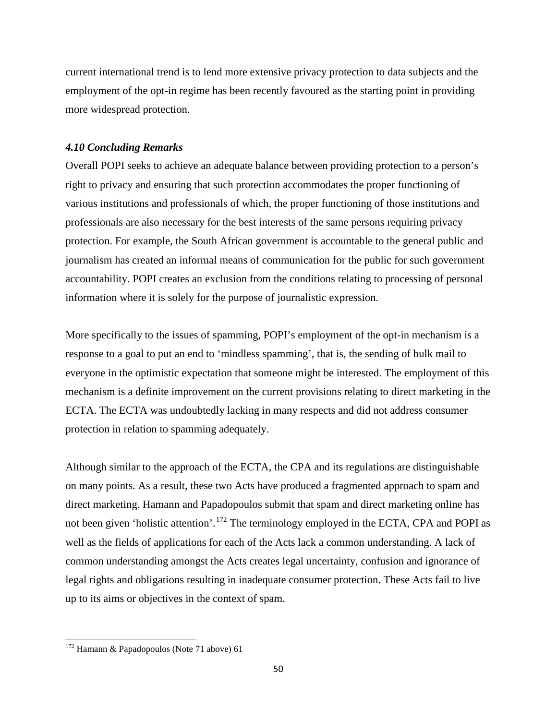current international trend is to lend more extensive privacy protection to data subjects and the employment of the opt-in regime has been recently favoured as the starting point in providing more widespread protection.

#### *4.10 Concluding Remarks*

Overall POPI seeks to achieve an adequate balance between providing protection to a person's right to privacy and ensuring that such protection accommodates the proper functioning of various institutions and professionals of which, the proper functioning of those institutions and professionals are also necessary for the best interests of the same persons requiring privacy protection. For example, the South African government is accountable to the general public and journalism has created an informal means of communication for the public for such government accountability. POPI creates an exclusion from the conditions relating to processing of personal information where it is solely for the purpose of journalistic expression.

More specifically to the issues of spamming, POPI's employment of the opt-in mechanism is a response to a goal to put an end to 'mindless spamming', that is, the sending of bulk mail to everyone in the optimistic expectation that someone might be interested. The employment of this mechanism is a definite improvement on the current provisions relating to direct marketing in the ECTA. The ECTA was undoubtedly lacking in many respects and did not address consumer protection in relation to spamming adequately.

Although similar to the approach of the ECTA, the CPA and its regulations are distinguishable on many points. As a result, these two Acts have produced a fragmented approach to spam and direct marketing. Hamann and Papadopoulos submit that spam and direct marketing online has not been given 'holistic attention'.<sup>[172](#page-65-0)</sup> The terminology employed in the ECTA, CPA and POPI as well as the fields of applications for each of the Acts lack a common understanding. A lack of common understanding amongst the Acts creates legal uncertainty, confusion and ignorance of legal rights and obligations resulting in inadequate consumer protection. These Acts fail to live up to its aims or objectives in the context of spam.

<span id="page-65-0"></span><sup>172</sup> Hamann & Papadopoulos (Note 71 above) 61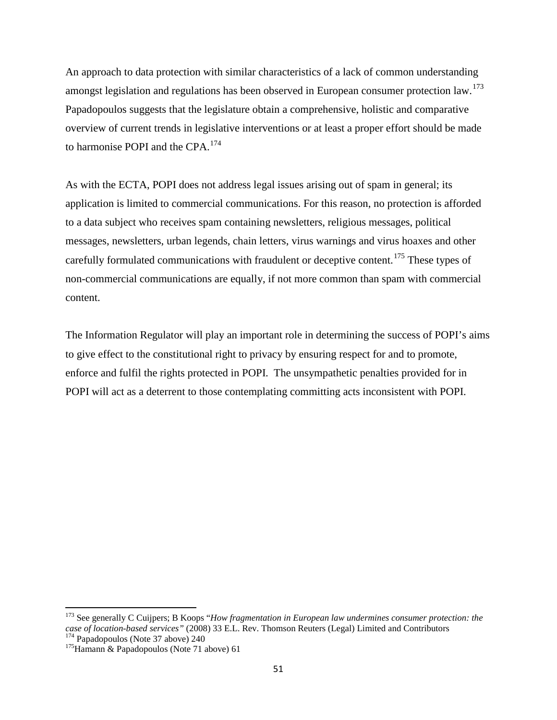An approach to data protection with similar characteristics of a lack of common understanding amongst legislation and regulations has been observed in European consumer protection law.<sup>[173](#page-66-0)</sup> Papadopoulos suggests that the legislature obtain a comprehensive, holistic and comparative overview of current trends in legislative interventions or at least a proper effort should be made to harmonise POPI and the CPA.<sup>[174](#page-66-1)</sup>

As with the ECTA, POPI does not address legal issues arising out of spam in general; its application is limited to commercial communications. For this reason, no protection is afforded to a data subject who receives spam containing newsletters, religious messages, political messages, newsletters, urban legends, chain letters, virus warnings and virus hoaxes and other carefully formulated communications with fraudulent or deceptive content.<sup>[175](#page-66-2)</sup> These types of non-commercial communications are equally, if not more common than spam with commercial content.

The Information Regulator will play an important role in determining the success of POPI's aims to give effect to the constitutional right to privacy by ensuring respect for and to promote, enforce and fulfil the rights protected in POPI. The unsympathetic penalties provided for in POPI will act as a deterrent to those contemplating committing acts inconsistent with POPI.

<span id="page-66-0"></span><sup>173</sup> See generally C Cuijpers; B Koops "*How fragmentation in European law undermines consumer protection: the case of location-based services"* (2008) 33 E.L. Rev. Thomson Reuters (Legal) Limited and Contributors <sup>174</sup> Papadopoulos (Note 37 above) 240 <sup>175</sup>Hamann & Papadopoulos (Note 71 above) 61

<span id="page-66-2"></span><span id="page-66-1"></span>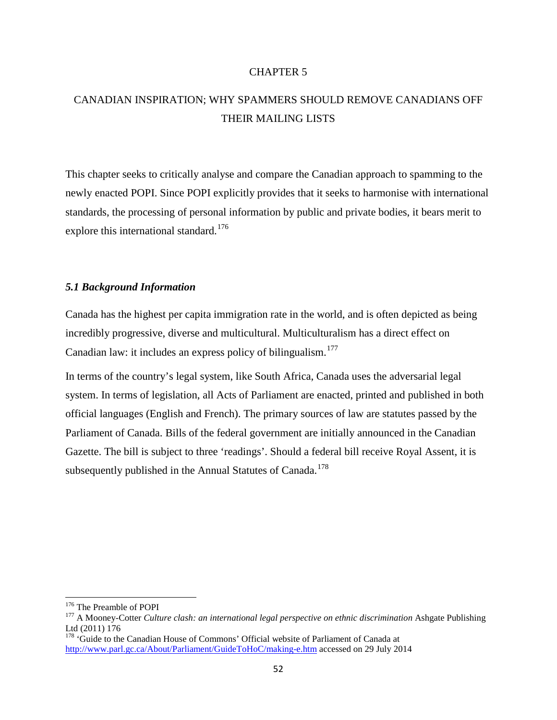## CHAPTER 5

# CANADIAN INSPIRATION; WHY SPAMMERS SHOULD REMOVE CANADIANS OFF THEIR MAILING LISTS

This chapter seeks to critically analyse and compare the Canadian approach to spamming to the newly enacted POPI. Since POPI explicitly provides that it seeks to harmonise with international standards, the processing of personal information by public and private bodies, it bears merit to explore this international standard.<sup>[176](#page-67-0)</sup>

## *5.1 Background Information*

Canada has the highest per capita immigration rate in the world, and is often depicted as being incredibly progressive, diverse and multicultural. Multiculturalism has a direct effect on Canadian law: it includes an express policy of bilingualism.<sup>[177](#page-67-1)</sup>

In terms of the country's legal system, like South Africa, Canada uses the adversarial legal system. In terms of legislation, all Acts of Parliament are enacted, printed and published in both official languages (English and French). The primary sources of law are statutes passed by the Parliament of Canada. Bills of the federal government are initially announced in the Canadian Gazette. The bill is subject to three 'readings'. Should a federal bill receive Royal Assent, it is subsequently published in the Annual Statutes of Canada.<sup>[178](#page-67-2)</sup>

<span id="page-67-1"></span><span id="page-67-0"></span><sup>&</sup>lt;sup>176</sup> The Preamble of POPI<br><sup>177</sup> A Mooney-Cotter *Culture clash: an international legal perspective on ethnic discrimination* Ashgate Publishing Ltd (2011) 176

<span id="page-67-2"></span><sup>&</sup>lt;sup>178</sup> 'Guide to the Canadian House of Commons' Official website of Parliament of Canada at <http://www.parl.gc.ca/About/Parliament/GuideToHoC/making-e.htm> accessed on 29 July 2014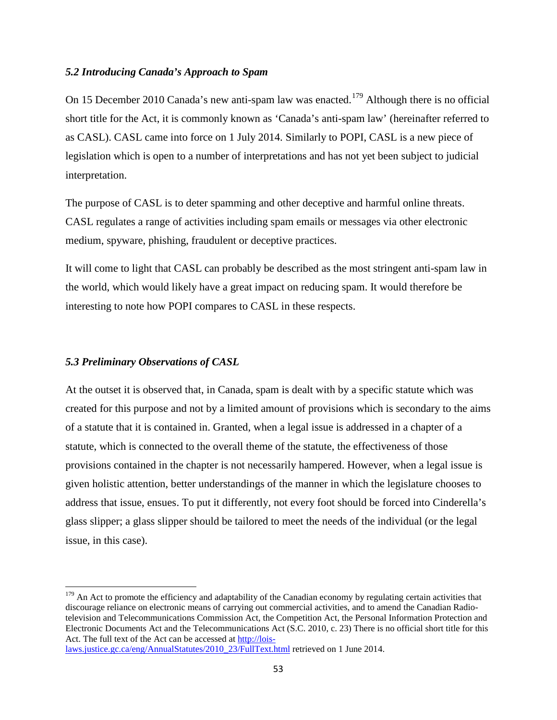## *5.2 Introducing Canada's Approach to Spam*

On 15 December 2010 Canada's new anti-spam law was enacted.<sup>[179](#page-68-0)</sup> Although there is no official short title for the Act, it is commonly known as 'Canada's anti-spam law' (hereinafter referred to as CASL). CASL came into force on 1 July 2014. Similarly to POPI, CASL is a new piece of legislation which is open to a number of interpretations and has not yet been subject to judicial interpretation.

The purpose of CASL is to deter spamming and other deceptive and harmful online threats. CASL regulates a range of activities including spam emails or messages via other electronic medium, spyware, phishing, fraudulent or deceptive practices.

It will come to light that CASL can probably be described as the most stringent anti-spam law in the world, which would likely have a great impact on reducing spam. It would therefore be interesting to note how POPI compares to CASL in these respects.

#### *5.3 Preliminary Observations of CASL*

At the outset it is observed that, in Canada, spam is dealt with by a specific statute which was created for this purpose and not by a limited amount of provisions which is secondary to the aims of a statute that it is contained in. Granted, when a legal issue is addressed in a chapter of a statute, which is connected to the overall theme of the statute, the effectiveness of those provisions contained in the chapter is not necessarily hampered. However, when a legal issue is given holistic attention, better understandings of the manner in which the legislature chooses to address that issue, ensues. To put it differently, not every foot should be forced into Cinderella's glass slipper; a glass slipper should be tailored to meet the needs of the individual (or the legal issue, in this case).

<span id="page-68-0"></span> $179$  An Act to promote the efficiency and adaptability of the Canadian economy by regulating certain activities that discourage reliance on electronic means of carrying out commercial activities, and to amend the Canadian Radiotelevision and Telecommunications Commission Act, the Competition Act, the Personal Information Protection and Electronic Documents Act and the Telecommunications Act (S.C. 2010, c. 23) There is no official short title for this Act. The full text of the Act can be accessed at [http://lois](http://lois-laws.justice.gc.ca/eng/AnnualStatutes/2010_23/FullText.html)[laws.justice.gc.ca/eng/AnnualStatutes/2010\\_23/FullText.html](http://lois-laws.justice.gc.ca/eng/AnnualStatutes/2010_23/FullText.html) retrieved on 1 June 2014.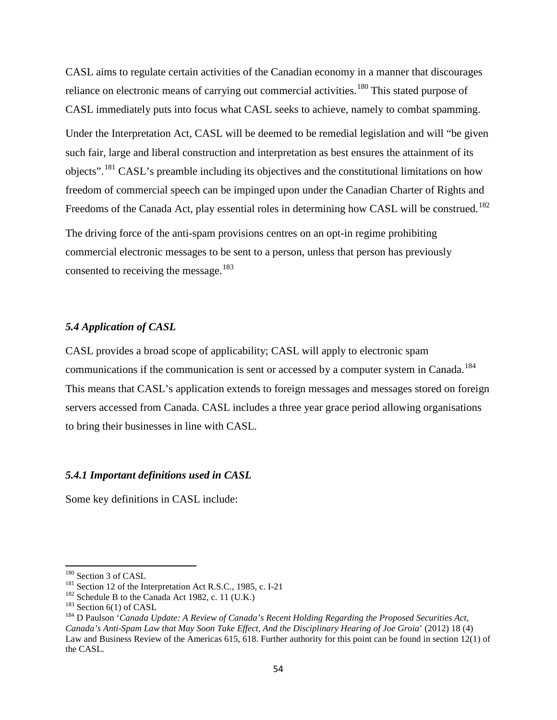CASL aims to regulate certain activities of the Canadian economy in a manner that discourages reliance on electronic means of carrying out commercial activities.<sup>[180](#page-69-0)</sup> This stated purpose of CASL immediately puts into focus what CASL seeks to achieve, namely to combat spamming. Under the Interpretation Act, CASL will be deemed to be remedial legislation and will "be given such fair, large and liberal construction and interpretation as best ensures the attainment of its objects".<sup>[181](#page-69-1)</sup> CASL's preamble including its objectives and the constitutional limitations on how freedom of commercial speech can be impinged upon under the Canadian Charter of Rights and Freedoms of the Canada Act, play essential roles in determining how CASL will be construed.<sup>[182](#page-69-2)</sup> The driving force of the anti-spam provisions centres on an opt-in regime prohibiting commercial electronic messages to be sent to a person, unless that person has previously consented to receiving the message.<sup>[183](#page-69-3)</sup>

## *5.4 Application of CASL*

CASL provides a broad scope of applicability; CASL will apply to electronic spam communications if the communication is sent or accessed by a computer system in Canada.<sup>[184](#page-69-4)</sup> This means that CASL's application extends to foreign messages and messages stored on foreign servers accessed from Canada. CASL includes a three year grace period allowing organisations to bring their businesses in line with CASL.

## *5.4.1 Important definitions used in CASL*

Some key definitions in CASL include:

<span id="page-69-2"></span>

<span id="page-69-4"></span><span id="page-69-3"></span>

<span id="page-69-1"></span><span id="page-69-0"></span><sup>&</sup>lt;sup>180</sup> Section 3 of CASL<br><sup>181</sup> Section 12 of the Interpretation Act R.S.C., 1985, c. I-21<br><sup>182</sup> Schedule B to the Canada Act 1982, c. 11 (U.K.)<br><sup>183</sup> Section 6(1) of CASL<br><sup>184</sup> D Paulson '*Canada Update: A Review of Canada Canada's Anti-Spam Law that May Soon Take Effect, And the Disciplinary Hearing of Joe Groia*' (2012) 18 (4) Law and Business Review of the Americas 615, 618. Further authority for this point can be found in section 12(1) of the CASL.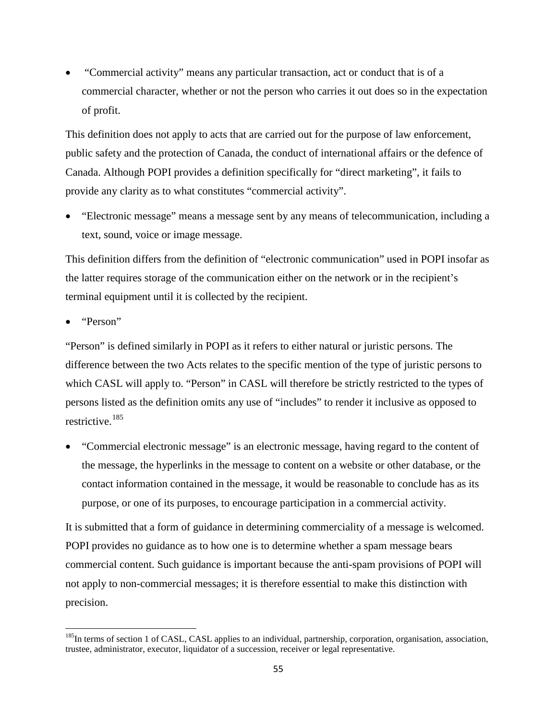• "Commercial activity" means any particular transaction, act or conduct that is of a commercial character, whether or not the person who carries it out does so in the expectation of profit.

This definition does not apply to acts that are carried out for the purpose of law enforcement, public safety and the protection of Canada, the conduct of international affairs or the defence of Canada. Although POPI provides a definition specifically for "direct marketing", it fails to provide any clarity as to what constitutes "commercial activity".

• "Electronic message" means a message sent by any means of telecommunication, including a text, sound, voice or image message.

This definition differs from the definition of "electronic communication" used in POPI insofar as the latter requires storage of the communication either on the network or in the recipient's terminal equipment until it is collected by the recipient.

• "Person"

"Person" is defined similarly in POPI as it refers to either natural or juristic persons. The difference between the two Acts relates to the specific mention of the type of juristic persons to which CASL will apply to. "Person" in CASL will therefore be strictly restricted to the types of persons listed as the definition omits any use of "includes" to render it inclusive as opposed to restrictive.[185](#page-70-0)

• "Commercial electronic message" is an electronic message, having regard to the content of the message, the hyperlinks in the message to content on a website or other database, or the contact information contained in the message, it would be reasonable to conclude has as its purpose, or one of its purposes, to encourage participation in a commercial activity.

It is submitted that a form of guidance in determining commerciality of a message is welcomed. POPI provides no guidance as to how one is to determine whether a spam message bears commercial content. Such guidance is important because the anti-spam provisions of POPI will not apply to non-commercial messages; it is therefore essential to make this distinction with precision.

<span id="page-70-0"></span><sup>&</sup>lt;sup>185</sup>In terms of section 1 of CASL, CASL applies to an individual, partnership, corporation, organisation, association, trustee, administrator, executor, liquidator of a succession, receiver or legal representative.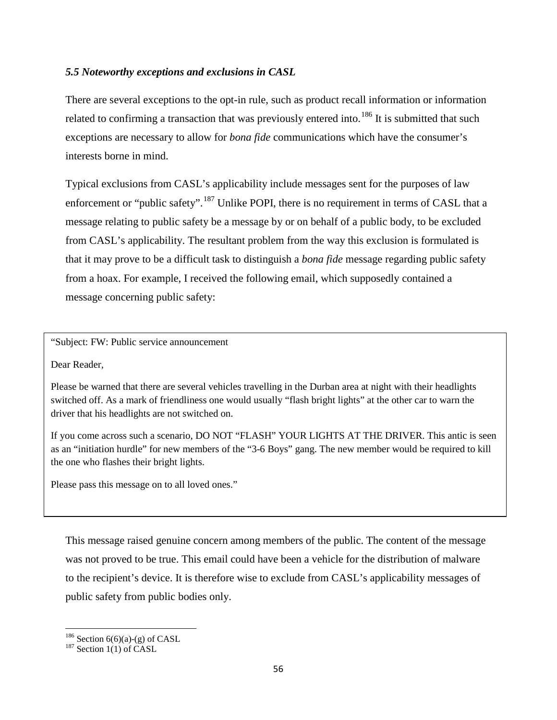## *5.5 Noteworthy exceptions and exclusions in CASL*

There are several exceptions to the opt-in rule, such as product recall information or information related to confirming a transaction that was previously entered into.<sup>[186](#page-71-0)</sup> It is submitted that such exceptions are necessary to allow for *bona fide* communications which have the consumer's interests borne in mind.

Typical exclusions from CASL's applicability include messages sent for the purposes of law enforcement or "public safety".<sup>[187](#page-71-1)</sup> Unlike POPI, there is no requirement in terms of CASL that a message relating to public safety be a message by or on behalf of a public body, to be excluded from CASL's applicability. The resultant problem from the way this exclusion is formulated is that it may prove to be a difficult task to distinguish a *bona fide* message regarding public safety from a hoax. For example, I received the following email, which supposedly contained a message concerning public safety:

"Subject: FW: Public service announcement

Dear Reader,

Please be warned that there are several vehicles travelling in the Durban area at night with their headlights switched off. As a mark of friendliness one would usually "flash bright lights" at the other car to warn the driver that his headlights are not switched on.

If you come across such a scenario, DO NOT "FLASH" YOUR LIGHTS AT THE DRIVER. This antic is seen as an "initiation hurdle" for new members of the "3-6 Boys" gang. The new member would be required to kill the one who flashes their bright lights.

Please pass this message on to all loved ones."

This message raised genuine concern among members of the public. The content of the message was not proved to be true. This email could have been a vehicle for the distribution of malware to the recipient's device. It is therefore wise to exclude from CASL's applicability messages of public safety from public bodies only.

<span id="page-71-0"></span><sup>&</sup>lt;sup>186</sup> Section 6(6)(a)-(g) of CASL <sup>187</sup> Section 1(1) of CASL

<span id="page-71-1"></span>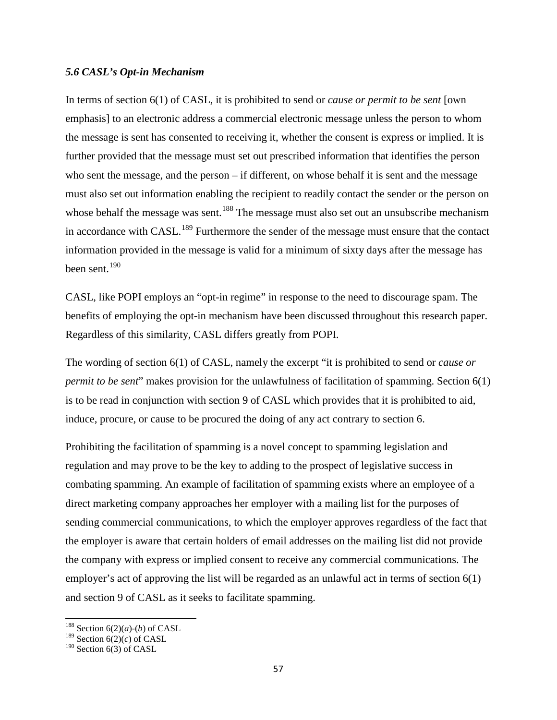#### *5.6 CASL's Opt-in Mechanism*

In terms of section 6(1) of CASL, it is prohibited to send or *cause or permit to be sent* [own emphasis] to an electronic address a commercial electronic message unless the person to whom the message is sent has consented to receiving it, whether the consent is express or implied. It is further provided that the message must set out prescribed information that identifies the person who sent the message, and the person – if different, on whose behalf it is sent and the message must also set out information enabling the recipient to readily contact the sender or the person on whose behalf the message was sent.<sup>[188](#page-72-0)</sup> The message must also set out an unsubscribe mechanism in accordance with CASL.<sup>[189](#page-72-1)</sup> Furthermore the sender of the message must ensure that the contact information provided in the message is valid for a minimum of sixty days after the message has been sent.<sup>[190](#page-72-2)</sup>

CASL, like POPI employs an "opt-in regime" in response to the need to discourage spam. The benefits of employing the opt-in mechanism have been discussed throughout this research paper. Regardless of this similarity, CASL differs greatly from POPI.

The wording of section 6(1) of CASL, namely the excerpt "it is prohibited to send or *cause or permit to be sent*" makes provision for the unlawfulness of facilitation of spamming. Section 6(1) is to be read in conjunction with section 9 of CASL which provides that it is prohibited to aid, induce, procure, or cause to be procured the doing of any act contrary to section 6.

Prohibiting the facilitation of spamming is a novel concept to spamming legislation and regulation and may prove to be the key to adding to the prospect of legislative success in combating spamming. An example of facilitation of spamming exists where an employee of a direct marketing company approaches her employer with a mailing list for the purposes of sending commercial communications, to which the employer approves regardless of the fact that the employer is aware that certain holders of email addresses on the mailing list did not provide the company with express or implied consent to receive any commercial communications. The employer's act of approving the list will be regarded as an unlawful act in terms of section 6(1) and section 9 of CASL as it seeks to facilitate spamming.

<span id="page-72-0"></span><sup>&</sup>lt;sup>188</sup> Section  $6(2)(a)-(b)$  of CASL

<span id="page-72-1"></span> $189$  Section  $6(2)(c)$  of CASL

<span id="page-72-2"></span> $190$  Section 6(3) of CASL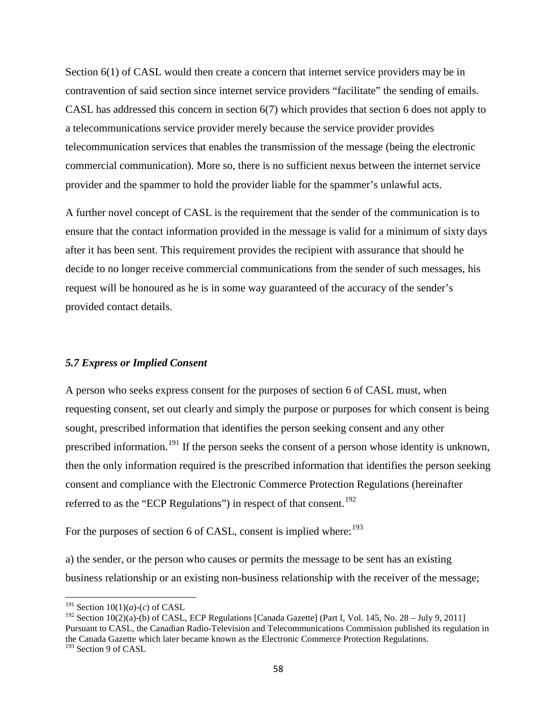Section 6(1) of CASL would then create a concern that internet service providers may be in contravention of said section since internet service providers "facilitate" the sending of emails. CASL has addressed this concern in section 6(7) which provides that section 6 does not apply to a telecommunications service provider merely because the service provider provides telecommunication services that enables the transmission of the message (being the electronic commercial communication). More so, there is no sufficient nexus between the internet service provider and the spammer to hold the provider liable for the spammer's unlawful acts.

A further novel concept of CASL is the requirement that the sender of the communication is to ensure that the contact information provided in the message is valid for a minimum of sixty days after it has been sent. This requirement provides the recipient with assurance that should he decide to no longer receive commercial communications from the sender of such messages, his request will be honoured as he is in some way guaranteed of the accuracy of the sender's provided contact details.

#### *5.7 Express or Implied Consent*

A person who seeks express consent for the purposes of section 6 of CASL must, when requesting consent, set out clearly and simply the purpose or purposes for which consent is being sought, prescribed information that identifies the person seeking consent and any other prescribed information.<sup>[191](#page-73-0)</sup> If the person seeks the consent of a person whose identity is unknown, then the only information required is the prescribed information that identifies the person seeking consent and compliance with the Electronic Commerce Protection Regulations (hereinafter referred to as the "ECP Regulations") in respect of that consent.<sup>[192](#page-73-1)</sup>

For the purposes of section 6 of CASL, consent is implied where:  $193$ 

a) the sender, or the person who causes or permits the message to be sent has an existing business relationship or an existing non-business relationship with the receiver of the message;

<span id="page-73-0"></span><sup>&</sup>lt;sup>191</sup> Section 10(1)(*a*)-(*c*) of CASL

<span id="page-73-2"></span><span id="page-73-1"></span><sup>&</sup>lt;sup>192</sup> Section 10(2)(a)-(b) of CASL, ECP Regulations [Canada Gazette] (Part I, Vol. 145, No. 28 – July 9, 2011] Pursuant to CASL, the Canadian Radio-Television and Telecommunications Commission published its regulation in the Canada Gazette which later became known as the Electronic Commerce Protection Regulations. <sup>193</sup> Section 9 of CASL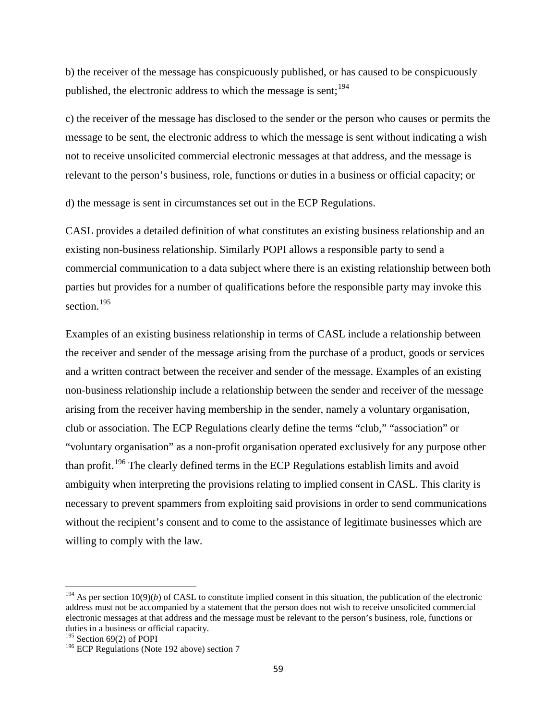b) the receiver of the message has conspicuously published, or has caused to be conspicuously published, the electronic address to which the message is sent;  $194$ 

c) the receiver of the message has disclosed to the sender or the person who causes or permits the message to be sent, the electronic address to which the message is sent without indicating a wish not to receive unsolicited commercial electronic messages at that address, and the message is relevant to the person's business, role, functions or duties in a business or official capacity; or

d) the message is sent in circumstances set out in the ECP Regulations.

CASL provides a detailed definition of what constitutes an existing business relationship and an existing non-business relationship. Similarly POPI allows a responsible party to send a commercial communication to a data subject where there is an existing relationship between both parties but provides for a number of qualifications before the responsible party may invoke this section.<sup>195</sup>

Examples of an existing business relationship in terms of CASL include a relationship between the receiver and sender of the message arising from the purchase of a product, goods or services and a written contract between the receiver and sender of the message. Examples of an existing non-business relationship include a relationship between the sender and receiver of the message arising from the receiver having membership in the sender, namely a voluntary organisation, club or association. The ECP Regulations clearly define the terms "club," "association" or "voluntary organisation" as a non-profit organisation operated exclusively for any purpose other than profit.<sup>[196](#page-74-2)</sup> The clearly defined terms in the ECP Regulations establish limits and avoid ambiguity when interpreting the provisions relating to implied consent in CASL. This clarity is necessary to prevent spammers from exploiting said provisions in order to send communications without the recipient's consent and to come to the assistance of legitimate businesses which are willing to comply with the law.

<span id="page-74-0"></span> $194$  As per section 10(9)(*b*) of CASL to constitute implied consent in this situation, the publication of the electronic address must not be accompanied by a statement that the person does not wish to receive unsolicited commercial electronic messages at that address and the message must be relevant to the person's business, role, functions or duties in a business or official capacity.

<span id="page-74-1"></span><sup>&</sup>lt;sup>195</sup> Section 69(2) of POPI

<span id="page-74-2"></span><sup>&</sup>lt;sup>196</sup> ECP Regulations (Note 192 above) section 7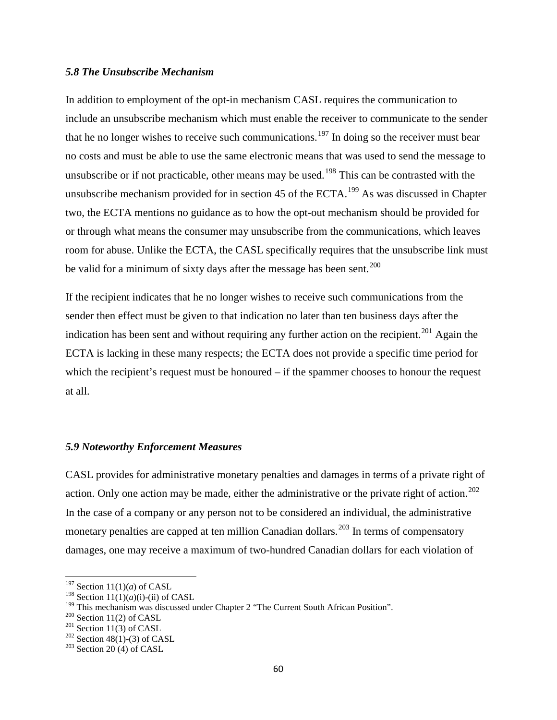### *5.8 The Unsubscribe Mechanism*

In addition to employment of the opt-in mechanism CASL requires the communication to include an unsubscribe mechanism which must enable the receiver to communicate to the sender that he no longer wishes to receive such communications.<sup>[197](#page-75-0)</sup> In doing so the receiver must bear no costs and must be able to use the same electronic means that was used to send the message to unsubscribe or if not practicable, other means may be used.<sup>[198](#page-75-1)</sup> This can be contrasted with the unsubscribe mechanism provided for in section 45 of the ECTA.<sup>[199](#page-75-2)</sup> As was discussed in Chapter two, the ECTA mentions no guidance as to how the opt-out mechanism should be provided for or through what means the consumer may unsubscribe from the communications, which leaves room for abuse. Unlike the ECTA, the CASL specifically requires that the unsubscribe link must be valid for a minimum of sixty days after the message has been sent.<sup>[200](#page-75-3)</sup>

If the recipient indicates that he no longer wishes to receive such communications from the sender then effect must be given to that indication no later than ten business days after the indication has been sent and without requiring any further action on the recipient.<sup>[201](#page-75-4)</sup> Again the ECTA is lacking in these many respects; the ECTA does not provide a specific time period for which the recipient's request must be honoured – if the spammer chooses to honour the request at all.

# *5.9 Noteworthy Enforcement Measures*

CASL provides for administrative monetary penalties and damages in terms of a private right of action. Only one action may be made, either the administrative or the private right of action.<sup>[202](#page-75-5)</sup> In the case of a company or any person not to be considered an individual, the administrative monetary penalties are capped at ten million Canadian dollars.<sup>[203](#page-75-6)</sup> In terms of compensatory damages, one may receive a maximum of two-hundred Canadian dollars for each violation of

<span id="page-75-0"></span><sup>197</sup> Section 11(1)(*a*) of CASL

<span id="page-75-1"></span><sup>&</sup>lt;sup>198</sup> Section 11(1)(*a*)(i)-(ii) of CASL

<span id="page-75-2"></span><sup>&</sup>lt;sup>199</sup> This mechanism was discussed under Chapter 2 "The Current South African Position".<br><sup>200</sup> Section 11(2) of CASL<br><sup>201</sup> Section 48(1)-(3) of CASL<br><sup>203</sup> Section 20 (4) of CASL

<span id="page-75-3"></span>

<span id="page-75-4"></span>

<span id="page-75-6"></span><span id="page-75-5"></span>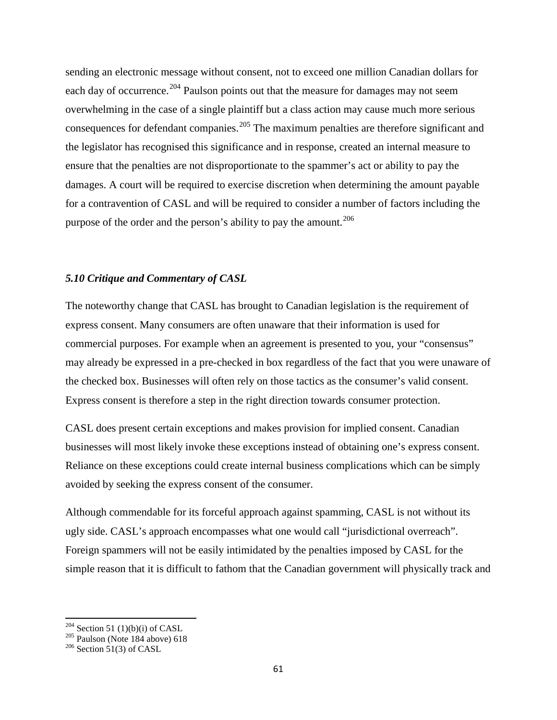sending an electronic message without consent, not to exceed one million Canadian dollars for each day of occurrence.<sup>[204](#page-76-0)</sup> Paulson points out that the measure for damages may not seem overwhelming in the case of a single plaintiff but a class action may cause much more serious consequences for defendant companies.<sup>[205](#page-76-1)</sup> The maximum penalties are therefore significant and the legislator has recognised this significance and in response, created an internal measure to ensure that the penalties are not disproportionate to the spammer's act or ability to pay the damages. A court will be required to exercise discretion when determining the amount payable for a contravention of CASL and will be required to consider a number of factors including the purpose of the order and the person's ability to pay the amount.<sup>[206](#page-76-2)</sup>

## *5.10 Critique and Commentary of CASL*

The noteworthy change that CASL has brought to Canadian legislation is the requirement of express consent. Many consumers are often unaware that their information is used for commercial purposes. For example when an agreement is presented to you, your "consensus" may already be expressed in a pre-checked in box regardless of the fact that you were unaware of the checked box. Businesses will often rely on those tactics as the consumer's valid consent. Express consent is therefore a step in the right direction towards consumer protection.

CASL does present certain exceptions and makes provision for implied consent. Canadian businesses will most likely invoke these exceptions instead of obtaining one's express consent. Reliance on these exceptions could create internal business complications which can be simply avoided by seeking the express consent of the consumer.

Although commendable for its forceful approach against spamming, CASL is not without its ugly side. CASL's approach encompasses what one would call "jurisdictional overreach". Foreign spammers will not be easily intimidated by the penalties imposed by CASL for the simple reason that it is difficult to fathom that the Canadian government will physically track and

<span id="page-76-0"></span><sup>&</sup>lt;sup>204</sup> Section 51 (1)(b)(i) of CASL<br><sup>205</sup> Paulson (Note 184 above) 618<br><sup>206</sup> Section 51(3) of CASL

<span id="page-76-1"></span>

<span id="page-76-2"></span>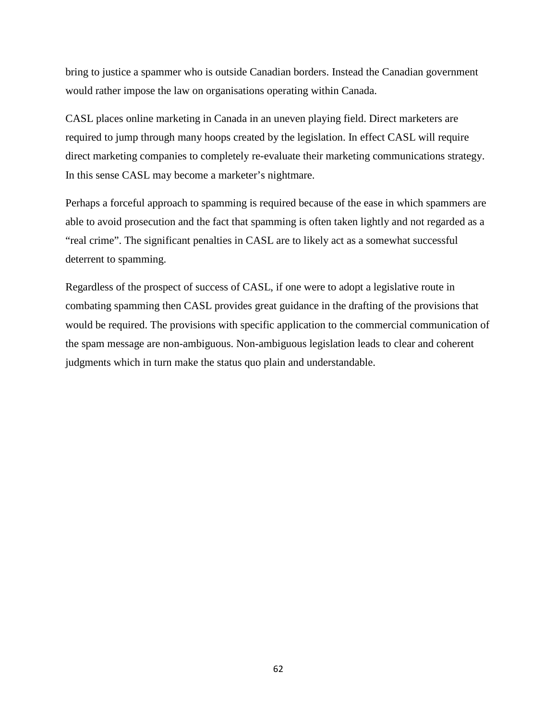bring to justice a spammer who is outside Canadian borders. Instead the Canadian government would rather impose the law on organisations operating within Canada.

CASL places online marketing in Canada in an uneven playing field. Direct marketers are required to jump through many hoops created by the legislation. In effect CASL will require direct marketing companies to completely re-evaluate their marketing communications strategy. In this sense CASL may become a marketer's nightmare.

Perhaps a forceful approach to spamming is required because of the ease in which spammers are able to avoid prosecution and the fact that spamming is often taken lightly and not regarded as a "real crime". The significant penalties in CASL are to likely act as a somewhat successful deterrent to spamming.

Regardless of the prospect of success of CASL, if one were to adopt a legislative route in combating spamming then CASL provides great guidance in the drafting of the provisions that would be required. The provisions with specific application to the commercial communication of the spam message are non-ambiguous. Non-ambiguous legislation leads to clear and coherent judgments which in turn make the status quo plain and understandable.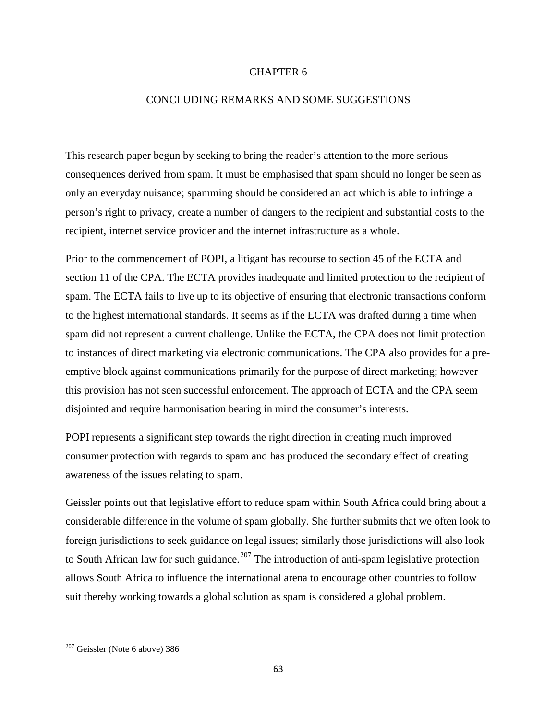# CHAPTER 6

# CONCLUDING REMARKS AND SOME SUGGESTIONS

This research paper begun by seeking to bring the reader's attention to the more serious consequences derived from spam. It must be emphasised that spam should no longer be seen as only an everyday nuisance; spamming should be considered an act which is able to infringe a person's right to privacy, create a number of dangers to the recipient and substantial costs to the recipient, internet service provider and the internet infrastructure as a whole.

Prior to the commencement of POPI, a litigant has recourse to section 45 of the ECTA and section 11 of the CPA. The ECTA provides inadequate and limited protection to the recipient of spam. The ECTA fails to live up to its objective of ensuring that electronic transactions conform to the highest international standards. It seems as if the ECTA was drafted during a time when spam did not represent a current challenge. Unlike the ECTA, the CPA does not limit protection to instances of direct marketing via electronic communications. The CPA also provides for a preemptive block against communications primarily for the purpose of direct marketing; however this provision has not seen successful enforcement. The approach of ECTA and the CPA seem disjointed and require harmonisation bearing in mind the consumer's interests.

POPI represents a significant step towards the right direction in creating much improved consumer protection with regards to spam and has produced the secondary effect of creating awareness of the issues relating to spam.

Geissler points out that legislative effort to reduce spam within South Africa could bring about a considerable difference in the volume of spam globally. She further submits that we often look to foreign jurisdictions to seek guidance on legal issues; similarly those jurisdictions will also look to South African law for such guidance.<sup>[207](#page-78-0)</sup> The introduction of anti-spam legislative protection allows South Africa to influence the international arena to encourage other countries to follow suit thereby working towards a global solution as spam is considered a global problem.

<span id="page-78-0"></span><sup>207</sup> Geissler (Note 6 above) 386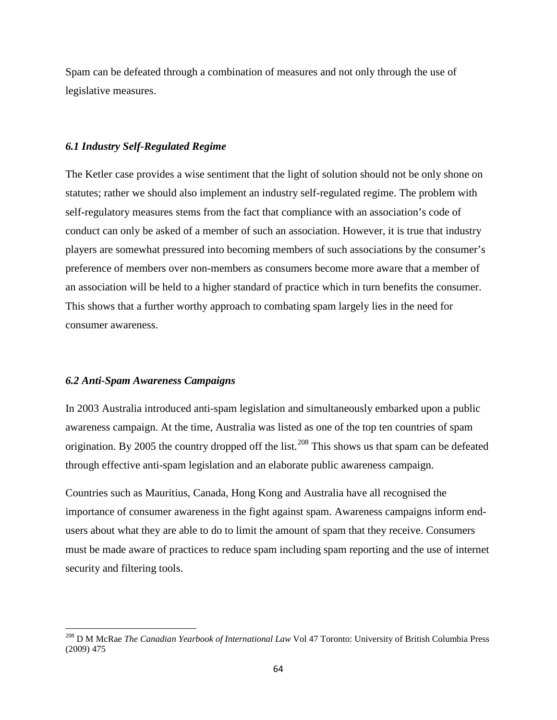Spam can be defeated through a combination of measures and not only through the use of legislative measures.

# *6.1 Industry Self-Regulated Regime*

The Ketler case provides a wise sentiment that the light of solution should not be only shone on statutes; rather we should also implement an industry self-regulated regime. The problem with self-regulatory measures stems from the fact that compliance with an association's code of conduct can only be asked of a member of such an association. However, it is true that industry players are somewhat pressured into becoming members of such associations by the consumer's preference of members over non-members as consumers become more aware that a member of an association will be held to a higher standard of practice which in turn benefits the consumer. This shows that a further worthy approach to combating spam largely lies in the need for consumer awareness.

### *6.2 Anti-Spam Awareness Campaigns*

In 2003 Australia introduced anti-spam legislation and simultaneously embarked upon a public awareness campaign. At the time, Australia was listed as one of the top ten countries of spam origination. By 2005 the country dropped off the list.<sup>[208](#page-79-0)</sup> This shows us that spam can be defeated through effective anti-spam legislation and an elaborate public awareness campaign.

Countries such as Mauritius, Canada, Hong Kong and Australia have all recognised the importance of consumer awareness in the fight against spam. Awareness campaigns inform endusers about what they are able to do to limit the amount of spam that they receive. Consumers must be made aware of practices to reduce spam including spam reporting and the use of internet security and filtering tools.

<span id="page-79-0"></span><sup>208</sup> D M McRae *The Canadian Yearbook of International Law* Vol 47 Toronto: University of British Columbia Press (2009) 475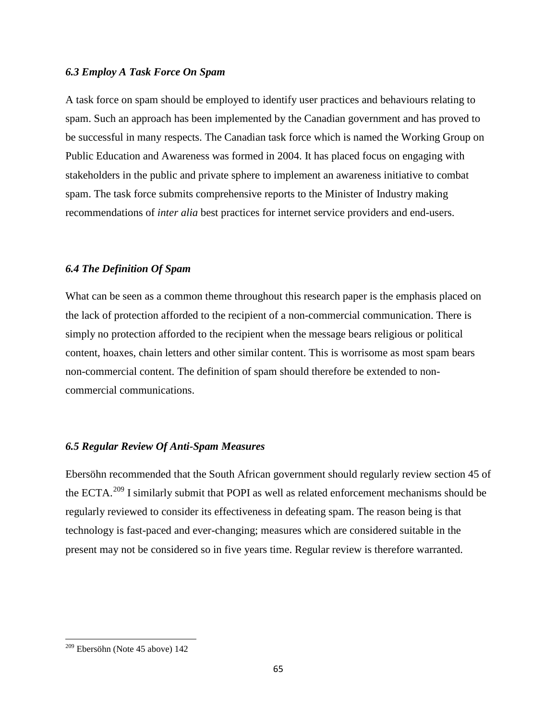# *6.3 Employ A Task Force On Spam*

A task force on spam should be employed to identify user practices and behaviours relating to spam. Such an approach has been implemented by the Canadian government and has proved to be successful in many respects. The Canadian task force which is named the Working Group on Public Education and Awareness was formed in 2004. It has placed focus on engaging with stakeholders in the public and private sphere to implement an awareness initiative to combat spam. The task force submits comprehensive reports to the Minister of Industry making recommendations of *inter alia* best practices for internet service providers and end-users.

#### *6.4 The Definition Of Spam*

What can be seen as a common theme throughout this research paper is the emphasis placed on the lack of protection afforded to the recipient of a non-commercial communication. There is simply no protection afforded to the recipient when the message bears religious or political content, hoaxes, chain letters and other similar content. This is worrisome as most spam bears non-commercial content. The definition of spam should therefore be extended to noncommercial communications.

# *6.5 Regular Review Of Anti-Spam Measures*

Ebersöhn recommended that the South African government should regularly review section 45 of the ECTA.<sup>[209](#page-80-0)</sup> I similarly submit that POPI as well as related enforcement mechanisms should be regularly reviewed to consider its effectiveness in defeating spam. The reason being is that technology is fast-paced and ever-changing; measures which are considered suitable in the present may not be considered so in five years time. Regular review is therefore warranted.

<span id="page-80-0"></span><sup>209</sup> Ebersöhn (Note 45 above) 142